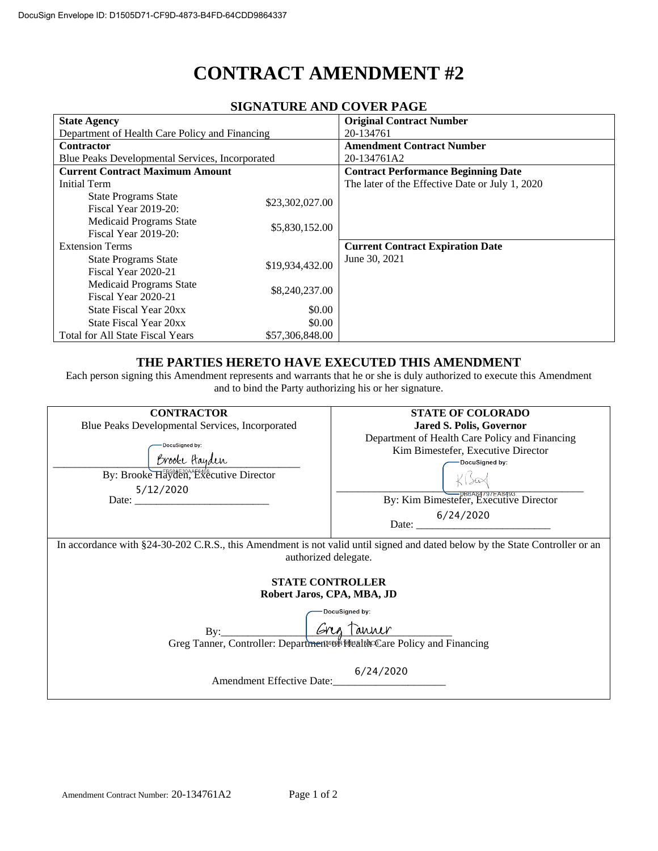# **CONTRACT AMENDMENT #2**

| SIGNATUNE AND COVERTAGE                                |                 |                                                 |  |  |
|--------------------------------------------------------|-----------------|-------------------------------------------------|--|--|
| <b>State Agency</b>                                    |                 | <b>Original Contract Number</b>                 |  |  |
| Department of Health Care Policy and Financing         |                 | 20-134761                                       |  |  |
| <b>Contractor</b>                                      |                 | <b>Amendment Contract Number</b>                |  |  |
| Blue Peaks Developmental Services, Incorporated        |                 | 20-134761A2                                     |  |  |
| <b>Current Contract Maximum Amount</b>                 |                 | <b>Contract Performance Beginning Date</b>      |  |  |
| Initial Term                                           |                 | The later of the Effective Date or July 1, 2020 |  |  |
| <b>State Programs State</b><br>Fiscal Year 2019-20:    | \$23,302,027.00 |                                                 |  |  |
| <b>Medicaid Programs State</b><br>Fiscal Year 2019-20: | \$5,830,152.00  |                                                 |  |  |
| <b>Extension Terms</b>                                 |                 | <b>Current Contract Expiration Date</b>         |  |  |
| <b>State Programs State</b><br>Fiscal Year 2020-21     | \$19,934,432.00 | June 30, 2021                                   |  |  |
| <b>Medicaid Programs State</b><br>Fiscal Year 2020-21  | \$8,240,237.00  |                                                 |  |  |
| State Fiscal Year 20xx                                 | \$0.00          |                                                 |  |  |
| State Fiscal Year 20xx                                 | \$0.00          |                                                 |  |  |
| <b>Total for All State Fiscal Years</b>                | \$57,306,848.00 |                                                 |  |  |

# **SIGNATURE AND COVER PAGE**

## **THE PARTIES HERETO HAVE EXECUTED THIS AMENDMENT**

Each person signing this Amendment represents and warrants that he or she is duly authorized to execute this Amendment and to bind the Party authorizing his or her signature.

| <b>CONTRACTOR</b>                                                                                                                                    | <b>STATE OF COLORADO</b>                                                                                                                                                        |  |
|------------------------------------------------------------------------------------------------------------------------------------------------------|---------------------------------------------------------------------------------------------------------------------------------------------------------------------------------|--|
| Blue Peaks Developmental Services, Incorporated                                                                                                      | <b>Jared S. Polis, Governor</b>                                                                                                                                                 |  |
| DocuSigned by:<br>Brooke Hayden<br>By: Brooke Hayden, Executive Director<br>5/12/2020<br>Date: $\frac{1}{2}$                                         | Department of Health Care Policy and Financing<br>Kim Bimestefer, Executive Director<br>DocuSigned by:<br>By: Kim Bimestefer, Executive Director<br>Date: $\frac{6/24/2020}{2}$ |  |
|                                                                                                                                                      |                                                                                                                                                                                 |  |
| In accordance with §24-30-202 C.R.S., this Amendment is not valid until signed and dated below by the State Controller or an<br>authorized delegate. |                                                                                                                                                                                 |  |
| <b>STATE CONTROLLER</b><br>Robert Jaros, CPA, MBA, JD                                                                                                |                                                                                                                                                                                 |  |
|                                                                                                                                                      | DocuSigned by:                                                                                                                                                                  |  |
| By: Cres Tanner<br>Greg Tanner, Controller: Department <sup>489</sup> Prealth <sup>6</sup> Care Policy and Financing                                 |                                                                                                                                                                                 |  |
|                                                                                                                                                      |                                                                                                                                                                                 |  |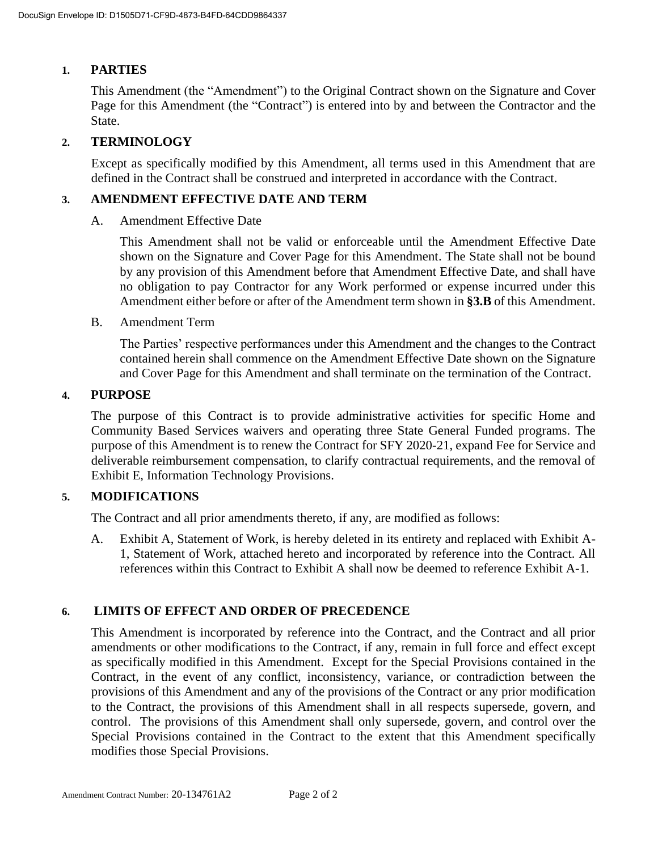## **1. PARTIES**

This Amendment (the "Amendment") to the Original Contract shown on the Signature and Cover Page for this Amendment (the "Contract") is entered into by and between the Contractor and the State.

## **2. TERMINOLOGY**

Except as specifically modified by this Amendment, all terms used in this Amendment that are defined in the Contract shall be construed and interpreted in accordance with the Contract.

#### **3. AMENDMENT EFFECTIVE DATE AND TERM**

A. Amendment Effective Date

This Amendment shall not be valid or enforceable until the Amendment Effective Date shown on the Signature and Cover Page for this Amendment. The State shall not be bound by any provision of this Amendment before that Amendment Effective Date, and shall have no obligation to pay Contractor for any Work performed or expense incurred under this Amendment either before or after of the Amendment term shown in **§3.B** of this Amendment.

B. Amendment Term

The Parties' respective performances under this Amendment and the changes to the Contract contained herein shall commence on the Amendment Effective Date shown on the Signature and Cover Page for this Amendment and shall terminate on the termination of the Contract.

#### **4. PURPOSE**

The purpose of this Contract is to provide administrative activities for specific Home and Community Based Services waivers and operating three State General Funded programs. The purpose of this Amendment is to renew the Contract for SFY 2020-21, expand Fee for Service and deliverable reimbursement compensation, to clarify contractual requirements, and the removal of Exhibit E, Information Technology Provisions.

## **5. MODIFICATIONS**

The Contract and all prior amendments thereto, if any, are modified as follows:

A. Exhibit A, Statement of Work, is hereby deleted in its entirety and replaced with Exhibit A-1, Statement of Work, attached hereto and incorporated by reference into the Contract. All references within this Contract to Exhibit A shall now be deemed to reference Exhibit A-1.

#### **6. LIMITS OF EFFECT AND ORDER OF PRECEDENCE**

This Amendment is incorporated by reference into the Contract, and the Contract and all prior amendments or other modifications to the Contract, if any, remain in full force and effect except as specifically modified in this Amendment. Except for the Special Provisions contained in the Contract, in the event of any conflict, inconsistency, variance, or contradiction between the provisions of this Amendment and any of the provisions of the Contract or any prior modification to the Contract, the provisions of this Amendment shall in all respects supersede, govern, and control. The provisions of this Amendment shall only supersede, govern, and control over the Special Provisions contained in the Contract to the extent that this Amendment specifically modifies those Special Provisions.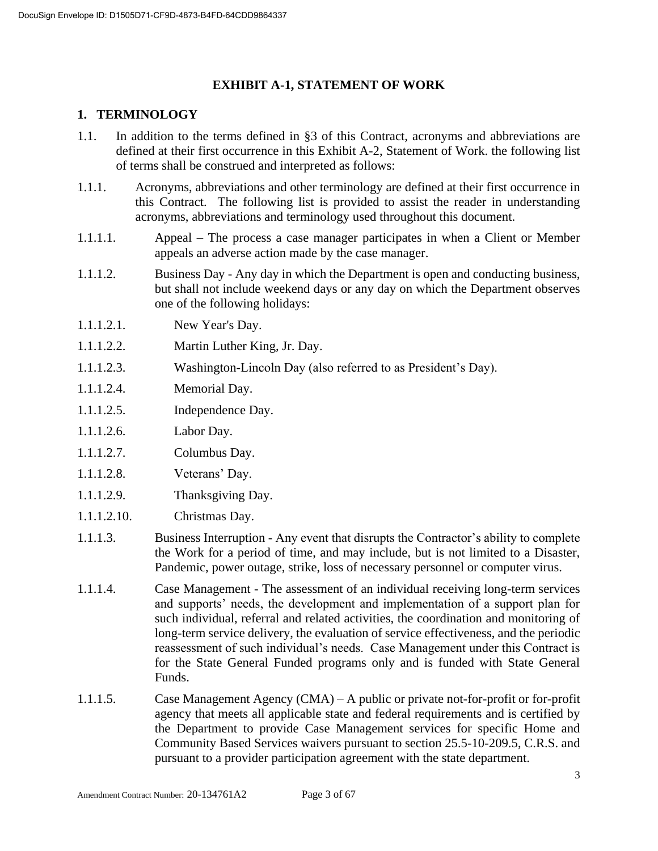## **EXHIBIT A-1, STATEMENT OF WORK**

## **1. TERMINOLOGY**

- 1.1. In addition to the terms defined in §3 of this Contract, acronyms and abbreviations are defined at their first occurrence in this Exhibit A-2, Statement of Work. the following list of terms shall be construed and interpreted as follows:
- 1.1.1. Acronyms, abbreviations and other terminology are defined at their first occurrence in this Contract. The following list is provided to assist the reader in understanding acronyms, abbreviations and terminology used throughout this document.
- 1.1.1.1. Appeal The process a case manager participates in when a Client or Member appeals an adverse action made by the case manager.
- 1.1.1.2. Business Day Any day in which the Department is open and conducting business, but shall not include weekend days or any day on which the Department observes one of the following holidays:
- 1.1.1.2.1. New Year's Day.
- 1.1.1.2.2. Martin Luther King, Jr. Day.
- 1.1.1.2.3. Washington-Lincoln Day (also referred to as President's Day).
- 1.1.1.2.4. Memorial Day.
- 1.1.1.2.5. Independence Day.
- 1.1.1.2.6. Labor Day.
- 1.1.1.2.7. Columbus Day.
- 1.1.1.2.8. Veterans' Day.
- 1.1.1.2.9. Thanksgiving Day.
- 1.1.1.2.10. Christmas Day.
- 1.1.1.3. Business Interruption Any event that disrupts the Contractor's ability to complete the Work for a period of time, and may include, but is not limited to a Disaster, Pandemic, power outage, strike, loss of necessary personnel or computer virus.
- 1.1.1.4. Case Management The assessment of an individual receiving long-term services and supports' needs, the development and implementation of a support plan for such individual, referral and related activities, the coordination and monitoring of long-term service delivery, the evaluation of service effectiveness, and the periodic reassessment of such individual's needs. Case Management under this Contract is for the State General Funded programs only and is funded with State General Funds.
- 1.1.1.5. Case Management Agency (CMA) A public or private not-for-profit or for-profit agency that meets all applicable state and federal requirements and is certified by the Department to provide Case Management services for specific Home and Community Based Services waivers pursuant to section 25.5-10-209.5, C.R.S. and pursuant to a provider participation agreement with the state department.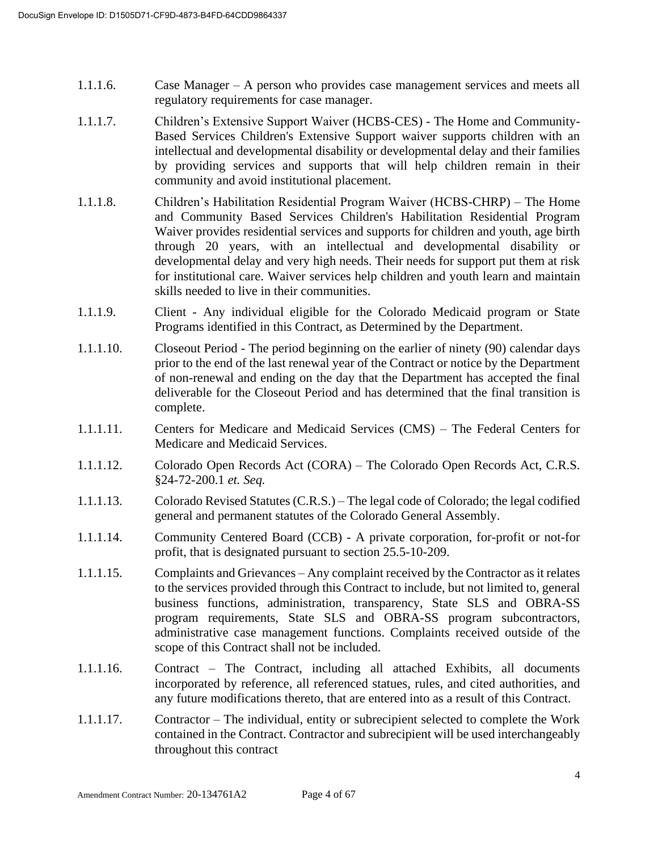- 1.1.1.6. Case Manager A person who provides case management services and meets all regulatory requirements for case manager.
- 1.1.1.7. Children's Extensive Support Waiver (HCBS-CES) The Home and Community-Based Services Children's Extensive Support waiver supports children with an intellectual and developmental disability or developmental delay and their families by providing services and supports that will help children remain in their community and avoid institutional placement.
- 1.1.1.8. Children's Habilitation Residential Program Waiver (HCBS-CHRP) The Home and Community Based Services Children's Habilitation Residential Program Waiver provides residential services and supports for children and youth, age birth through 20 years, with an intellectual and developmental disability or developmental delay and very high needs. Their needs for support put them at risk for institutional care. Waiver services help children and youth learn and maintain skills needed to live in their communities.
- 1.1.1.9. Client Any individual eligible for the Colorado Medicaid program or State Programs identified in this Contract, as Determined by the Department.
- 1.1.1.10. Closeout Period The period beginning on the earlier of ninety (90) calendar days prior to the end of the last renewal year of the Contract or notice by the Department of non-renewal and ending on the day that the Department has accepted the final deliverable for the Closeout Period and has determined that the final transition is complete.
- 1.1.1.11. Centers for Medicare and Medicaid Services (CMS) The Federal Centers for Medicare and Medicaid Services.
- 1.1.1.12. Colorado Open Records Act (CORA) The Colorado Open Records Act, C.R.S. §24-72-200.1 *et. Seq.*
- 1.1.1.13. Colorado Revised Statutes (C.R.S.) The legal code of Colorado; the legal codified general and permanent statutes of the Colorado General Assembly.
- 1.1.1.14. Community Centered Board (CCB) A private corporation, for-profit or not-for profit, that is designated pursuant to section 25.5-10-209.
- 1.1.1.15. Complaints and Grievances Any complaint received by the Contractor as it relates to the services provided through this Contract to include, but not limited to, general business functions, administration, transparency, State SLS and OBRA-SS program requirements, State SLS and OBRA-SS program subcontractors, administrative case management functions. Complaints received outside of the scope of this Contract shall not be included.
- 1.1.1.16. Contract The Contract, including all attached Exhibits, all documents incorporated by reference, all referenced statues, rules, and cited authorities, and any future modifications thereto, that are entered into as a result of this Contract.
- 1.1.1.17. Contractor The individual, entity or subrecipient selected to complete the Work contained in the Contract. Contractor and subrecipient will be used interchangeably throughout this contract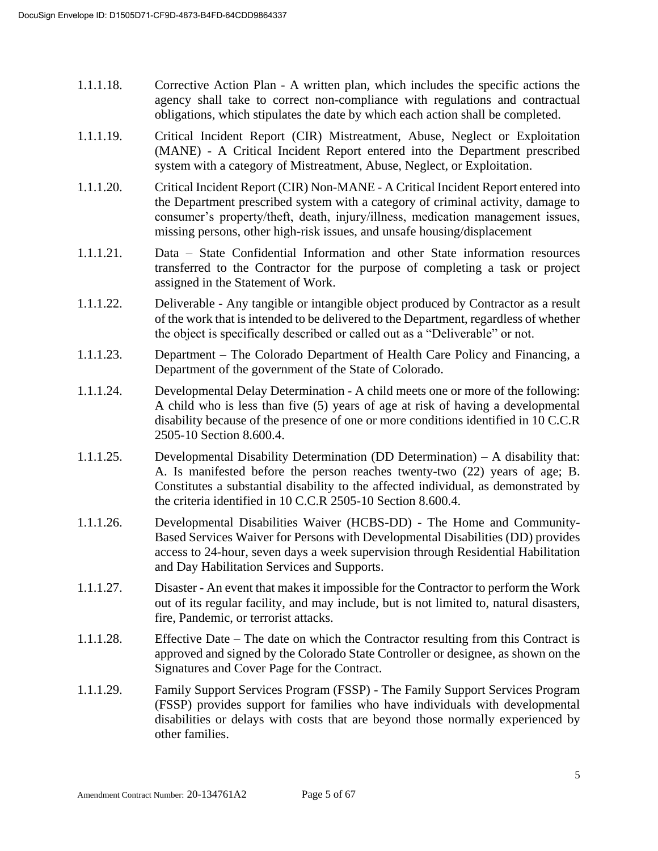- 1.1.1.18. Corrective Action Plan A written plan, which includes the specific actions the agency shall take to correct non-compliance with regulations and contractual obligations, which stipulates the date by which each action shall be completed.
- 1.1.1.19. Critical Incident Report (CIR) Mistreatment, Abuse, Neglect or Exploitation (MANE) - A Critical Incident Report entered into the Department prescribed system with a category of Mistreatment, Abuse, Neglect, or Exploitation.
- 1.1.1.20. Critical Incident Report (CIR) Non-MANE A Critical Incident Report entered into the Department prescribed system with a category of criminal activity, damage to consumer's property/theft, death, injury/illness, medication management issues, missing persons, other high-risk issues, and unsafe housing/displacement
- 1.1.1.21. Data State Confidential Information and other State information resources transferred to the Contractor for the purpose of completing a task or project assigned in the Statement of Work.
- 1.1.1.22. Deliverable Any tangible or intangible object produced by Contractor as a result of the work that is intended to be delivered to the Department, regardless of whether the object is specifically described or called out as a "Deliverable" or not.
- 1.1.1.23. Department The Colorado Department of Health Care Policy and Financing, a Department of the government of the State of Colorado.
- 1.1.1.24. Developmental Delay Determination A child meets one or more of the following: A child who is less than five (5) years of age at risk of having a developmental disability because of the presence of one or more conditions identified in 10 C.C.R 2505-10 Section 8.600.4.
- 1.1.1.25. Developmental Disability Determination (DD Determination) A disability that: A. Is manifested before the person reaches twenty-two (22) years of age; B. Constitutes a substantial disability to the affected individual, as demonstrated by the criteria identified in 10 C.C.R 2505-10 Section 8.600.4.
- 1.1.1.26. Developmental Disabilities Waiver (HCBS-DD) The Home and Community-Based Services Waiver for Persons with Developmental Disabilities (DD) provides access to 24-hour, seven days a week supervision through Residential Habilitation and Day Habilitation Services and Supports.
- 1.1.1.27. Disaster An event that makes it impossible for the Contractor to perform the Work out of its regular facility, and may include, but is not limited to, natural disasters, fire, Pandemic, or terrorist attacks.
- 1.1.1.28. Effective Date The date on which the Contractor resulting from this Contract is approved and signed by the Colorado State Controller or designee, as shown on the Signatures and Cover Page for the Contract.
- 1.1.1.29. Family Support Services Program (FSSP) The Family Support Services Program (FSSP) provides support for families who have individuals with developmental disabilities or delays with costs that are beyond those normally experienced by other families.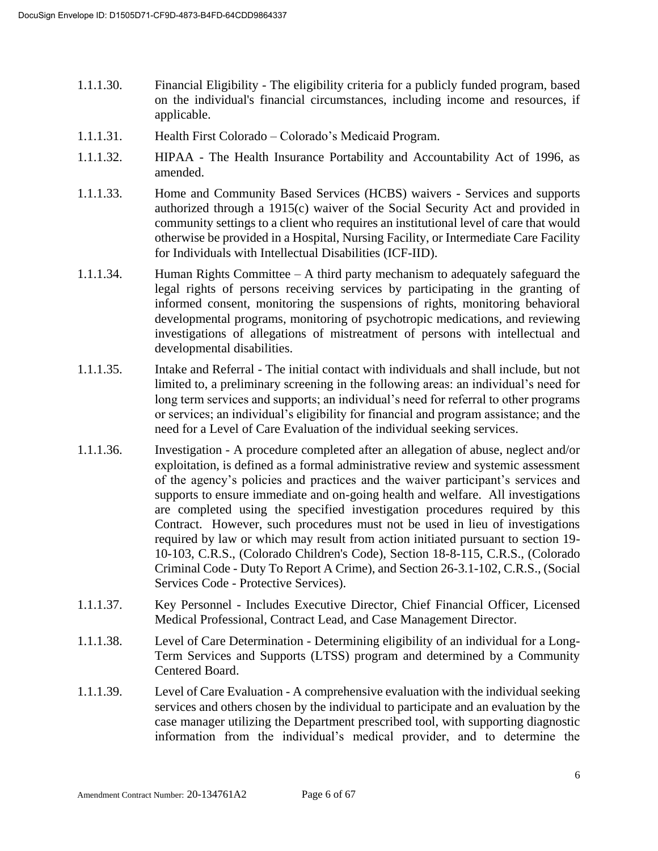- 1.1.1.30. Financial Eligibility The eligibility criteria for a publicly funded program, based on the individual's financial circumstances, including income and resources, if applicable.
- 1.1.1.31. Health First Colorado Colorado's Medicaid Program.
- 1.1.1.32. HIPAA The Health Insurance Portability and Accountability Act of 1996, as amended.
- 1.1.1.33. Home and Community Based Services (HCBS) waivers Services and supports authorized through a 1915(c) waiver of the Social Security Act and provided in community settings to a client who requires an institutional level of care that would otherwise be provided in a Hospital, Nursing Facility, or Intermediate Care Facility for Individuals with Intellectual Disabilities (ICF-IID).
- 1.1.1.34. Human Rights Committee A third party mechanism to adequately safeguard the legal rights of persons receiving services by participating in the granting of informed consent, monitoring the suspensions of rights, monitoring behavioral developmental programs, monitoring of psychotropic medications, and reviewing investigations of allegations of mistreatment of persons with intellectual and developmental disabilities.
- 1.1.1.35. Intake and Referral The initial contact with individuals and shall include, but not limited to, a preliminary screening in the following areas: an individual's need for long term services and supports; an individual's need for referral to other programs or services; an individual's eligibility for financial and program assistance; and the need for a Level of Care Evaluation of the individual seeking services.
- 1.1.1.36. Investigation A procedure completed after an allegation of abuse, neglect and/or exploitation, is defined as a formal administrative review and systemic assessment of the agency's policies and practices and the waiver participant's services and supports to ensure immediate and on-going health and welfare. All investigations are completed using the specified investigation procedures required by this Contract. However, such procedures must not be used in lieu of investigations required by law or which may result from action initiated pursuant to section 19- 10-103, C.R.S., (Colorado Children's Code), Section 18-8-115, C.R.S., (Colorado Criminal Code - Duty To Report A Crime), and Section 26-3.1-102, C.R.S., (Social Services Code - Protective Services).
- 1.1.1.37. Key Personnel Includes Executive Director, Chief Financial Officer, Licensed Medical Professional, Contract Lead, and Case Management Director.
- 1.1.1.38. Level of Care Determination Determining eligibility of an individual for a Long-Term Services and Supports (LTSS) program and determined by a Community Centered Board.
- 1.1.1.39. Level of Care Evaluation A comprehensive evaluation with the individual seeking services and others chosen by the individual to participate and an evaluation by the case manager utilizing the Department prescribed tool, with supporting diagnostic information from the individual's medical provider, and to determine the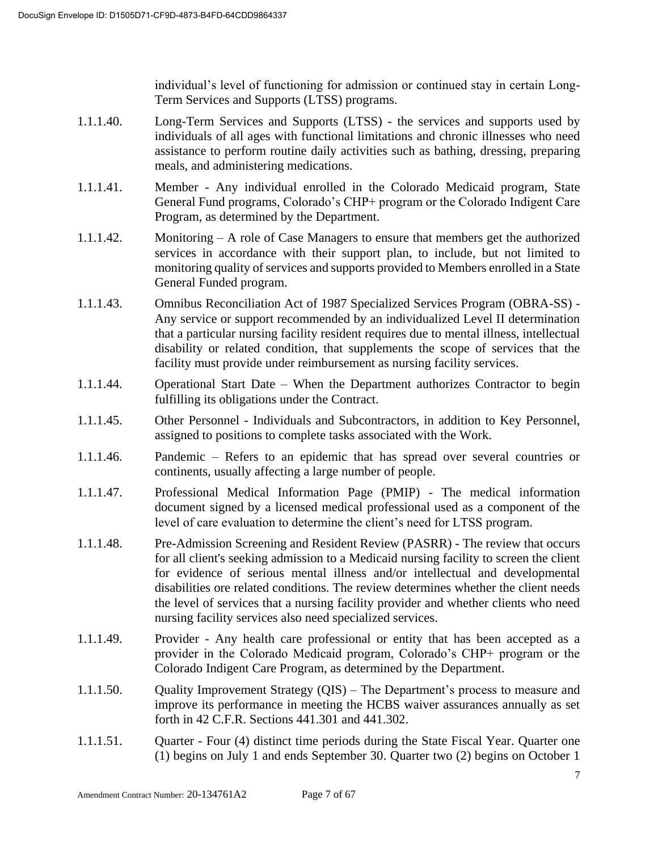individual's level of functioning for admission or continued stay in certain Long-Term Services and Supports (LTSS) programs.

- 1.1.1.40. Long-Term Services and Supports (LTSS) the services and supports used by individuals of all ages with functional limitations and chronic illnesses who need assistance to perform routine daily activities such as bathing, dressing, preparing meals, and administering medications.
- 1.1.1.41. Member Any individual enrolled in the Colorado Medicaid program, State General Fund programs, Colorado's CHP+ program or the Colorado Indigent Care Program, as determined by the Department.
- 1.1.1.42. Monitoring A role of Case Managers to ensure that members get the authorized services in accordance with their support plan, to include, but not limited to monitoring quality of services and supports provided to Members enrolled in a State General Funded program.
- 1.1.1.43. Omnibus Reconciliation Act of 1987 Specialized Services Program (OBRA-SS) Any service or support recommended by an individualized Level II determination that a particular nursing facility resident requires due to mental illness, intellectual disability or related condition, that supplements the scope of services that the facility must provide under reimbursement as nursing facility services.
- 1.1.1.44. Operational Start Date When the Department authorizes Contractor to begin fulfilling its obligations under the Contract.
- 1.1.1.45. Other Personnel Individuals and Subcontractors, in addition to Key Personnel, assigned to positions to complete tasks associated with the Work.
- 1.1.1.46. Pandemic Refers to an epidemic that has spread over several countries or continents, usually affecting a large number of people.
- 1.1.1.47. Professional Medical Information Page (PMIP) The medical information document signed by a licensed medical professional used as a component of the level of care evaluation to determine the client's need for LTSS program.
- 1.1.1.48. Pre-Admission Screening and Resident Review (PASRR) The review that occurs for all client's seeking admission to a Medicaid nursing facility to screen the client for evidence of serious mental illness and/or intellectual and developmental disabilities ore related conditions. The review determines whether the client needs the level of services that a nursing facility provider and whether clients who need nursing facility services also need specialized services.
- 1.1.1.49. Provider Any health care professional or entity that has been accepted as a provider in the Colorado Medicaid program, Colorado's CHP+ program or the Colorado Indigent Care Program, as determined by the Department.
- 1.1.1.50. Quality Improvement Strategy (QIS) The Department's process to measure and improve its performance in meeting the HCBS waiver assurances annually as set forth in 42 C.F.R. Sections 441.301 and 441.302.
- 1.1.1.51. Quarter Four (4) distinct time periods during the State Fiscal Year. Quarter one (1) begins on July 1 and ends September 30. Quarter two (2) begins on October 1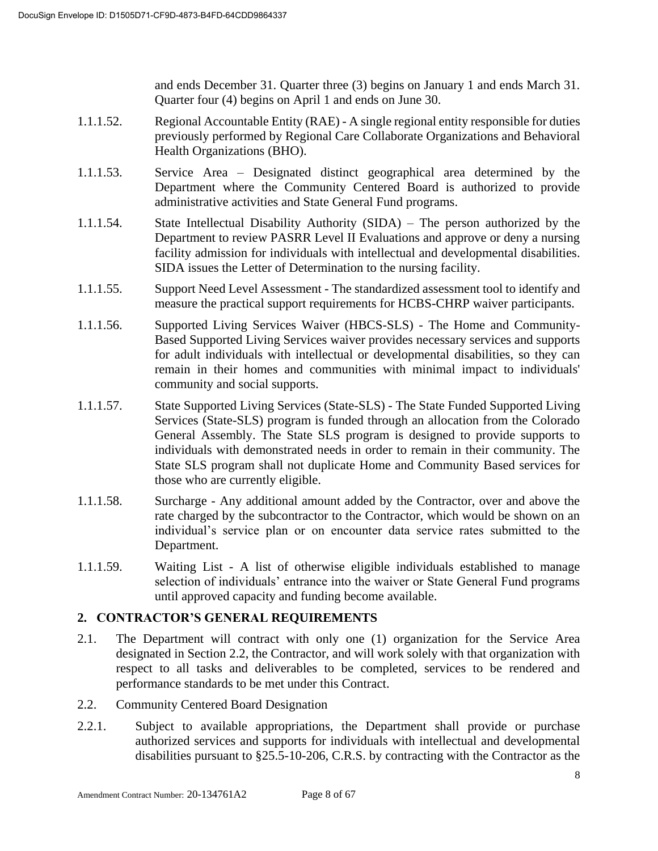and ends December 31. Quarter three (3) begins on January 1 and ends March 31. Quarter four (4) begins on April 1 and ends on June 30.

- 1.1.1.52. Regional Accountable Entity (RAE) A single regional entity responsible for duties previously performed by Regional Care Collaborate Organizations and Behavioral Health Organizations (BHO).
- 1.1.1.53. Service Area Designated distinct geographical area determined by the Department where the Community Centered Board is authorized to provide administrative activities and State General Fund programs.
- 1.1.1.54. State Intellectual Disability Authority (SIDA) The person authorized by the Department to review PASRR Level II Evaluations and approve or deny a nursing facility admission for individuals with intellectual and developmental disabilities. SIDA issues the Letter of Determination to the nursing facility.
- 1.1.1.55. Support Need Level Assessment The standardized assessment tool to identify and measure the practical support requirements for HCBS-CHRP waiver participants.
- 1.1.1.56. Supported Living Services Waiver (HBCS-SLS) The Home and Community-Based Supported Living Services waiver provides necessary services and supports for adult individuals with intellectual or developmental disabilities, so they can remain in their homes and communities with minimal impact to individuals' community and social supports.
- 1.1.1.57. State Supported Living Services (State-SLS) The State Funded Supported Living Services (State-SLS) program is funded through an allocation from the Colorado General Assembly. The State SLS program is designed to provide supports to individuals with demonstrated needs in order to remain in their community. The State SLS program shall not duplicate Home and Community Based services for those who are currently eligible.
- 1.1.1.58. Surcharge Any additional amount added by the Contractor, over and above the rate charged by the subcontractor to the Contractor, which would be shown on an individual's service plan or on encounter data service rates submitted to the Department.
- 1.1.1.59. Waiting List A list of otherwise eligible individuals established to manage selection of individuals' entrance into the waiver or State General Fund programs until approved capacity and funding become available.

## **2. CONTRACTOR'S GENERAL REQUIREMENTS**

- 2.1. The Department will contract with only one (1) organization for the Service Area designated in Section 2.2, the Contractor, and will work solely with that organization with respect to all tasks and deliverables to be completed, services to be rendered and performance standards to be met under this Contract.
- 2.2. Community Centered Board Designation
- 2.2.1. Subject to available appropriations, the Department shall provide or purchase authorized services and supports for individuals with intellectual and developmental disabilities pursuant to §25.5-10-206, C.R.S. by contracting with the Contractor as the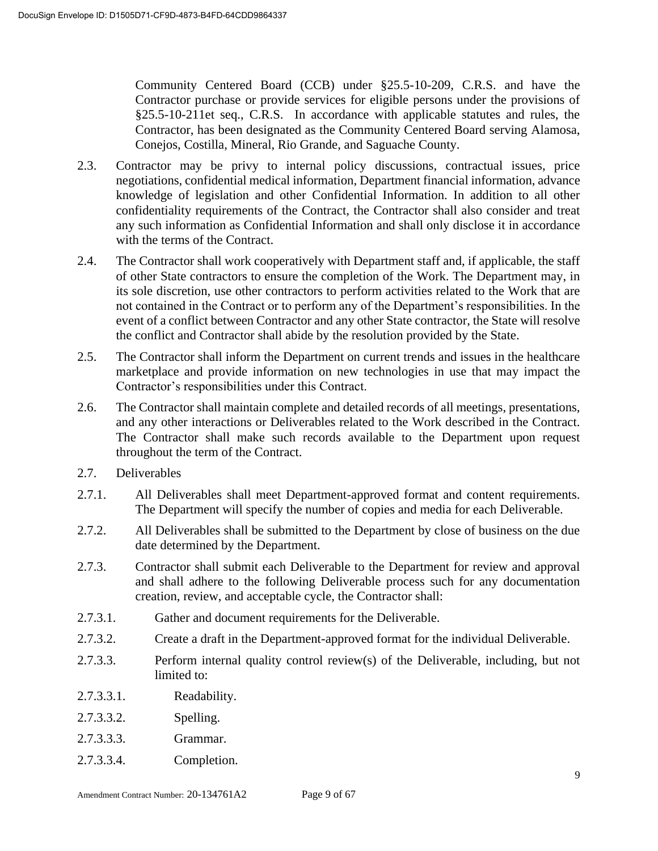Community Centered Board (CCB) under §25.5-10-209, C.R.S. and have the Contractor purchase or provide services for eligible persons under the provisions of §25.5-10-211et seq., C.R.S. In accordance with applicable statutes and rules, the Contractor, has been designated as the Community Centered Board serving Alamosa, Conejos, Costilla, Mineral, Rio Grande, and Saguache County.

- 2.3. Contractor may be privy to internal policy discussions, contractual issues, price negotiations, confidential medical information, Department financial information, advance knowledge of legislation and other Confidential Information. In addition to all other confidentiality requirements of the Contract, the Contractor shall also consider and treat any such information as Confidential Information and shall only disclose it in accordance with the terms of the Contract.
- 2.4. The Contractor shall work cooperatively with Department staff and, if applicable, the staff of other State contractors to ensure the completion of the Work. The Department may, in its sole discretion, use other contractors to perform activities related to the Work that are not contained in the Contract or to perform any of the Department's responsibilities. In the event of a conflict between Contractor and any other State contractor, the State will resolve the conflict and Contractor shall abide by the resolution provided by the State.
- 2.5. The Contractor shall inform the Department on current trends and issues in the healthcare marketplace and provide information on new technologies in use that may impact the Contractor's responsibilities under this Contract.
- 2.6. The Contractor shall maintain complete and detailed records of all meetings, presentations, and any other interactions or Deliverables related to the Work described in the Contract. The Contractor shall make such records available to the Department upon request throughout the term of the Contract.
- 2.7. Deliverables
- 2.7.1. All Deliverables shall meet Department-approved format and content requirements. The Department will specify the number of copies and media for each Deliverable.
- 2.7.2. All Deliverables shall be submitted to the Department by close of business on the due date determined by the Department.
- 2.7.3. Contractor shall submit each Deliverable to the Department for review and approval and shall adhere to the following Deliverable process such for any documentation creation, review, and acceptable cycle, the Contractor shall:
- 2.7.3.1. Gather and document requirements for the Deliverable.
- 2.7.3.2. Create a draft in the Department-approved format for the individual Deliverable.
- 2.7.3.3. Perform internal quality control review(s) of the Deliverable, including, but not limited to:
- 2.7.3.3.1. Readability.
- 2.7.3.3.2. Spelling.
- 2.7.3.3.3. Grammar.
- 2.7.3.3.4. Completion.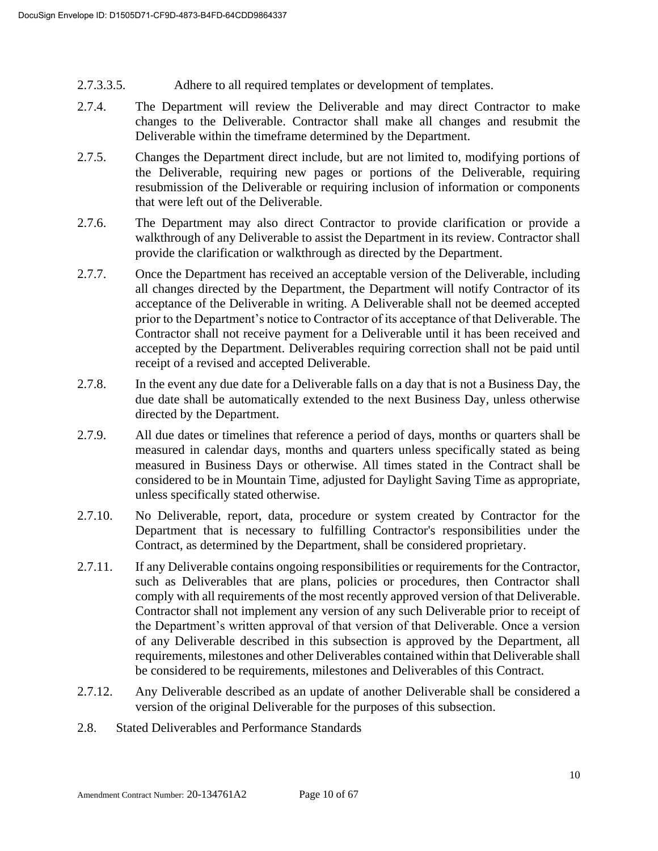- 2.7.3.3.5. Adhere to all required templates or development of templates.
- 2.7.4. The Department will review the Deliverable and may direct Contractor to make changes to the Deliverable. Contractor shall make all changes and resubmit the Deliverable within the timeframe determined by the Department.
- 2.7.5. Changes the Department direct include, but are not limited to, modifying portions of the Deliverable, requiring new pages or portions of the Deliverable, requiring resubmission of the Deliverable or requiring inclusion of information or components that were left out of the Deliverable.
- 2.7.6. The Department may also direct Contractor to provide clarification or provide a walkthrough of any Deliverable to assist the Department in its review. Contractor shall provide the clarification or walkthrough as directed by the Department.
- 2.7.7. Once the Department has received an acceptable version of the Deliverable, including all changes directed by the Department, the Department will notify Contractor of its acceptance of the Deliverable in writing. A Deliverable shall not be deemed accepted prior to the Department's notice to Contractor of its acceptance of that Deliverable. The Contractor shall not receive payment for a Deliverable until it has been received and accepted by the Department. Deliverables requiring correction shall not be paid until receipt of a revised and accepted Deliverable.
- 2.7.8. In the event any due date for a Deliverable falls on a day that is not a Business Day, the due date shall be automatically extended to the next Business Day, unless otherwise directed by the Department.
- 2.7.9. All due dates or timelines that reference a period of days, months or quarters shall be measured in calendar days, months and quarters unless specifically stated as being measured in Business Days or otherwise. All times stated in the Contract shall be considered to be in Mountain Time, adjusted for Daylight Saving Time as appropriate, unless specifically stated otherwise.
- 2.7.10. No Deliverable, report, data, procedure or system created by Contractor for the Department that is necessary to fulfilling Contractor's responsibilities under the Contract, as determined by the Department, shall be considered proprietary.
- 2.7.11. If any Deliverable contains ongoing responsibilities or requirements for the Contractor, such as Deliverables that are plans, policies or procedures, then Contractor shall comply with all requirements of the most recently approved version of that Deliverable. Contractor shall not implement any version of any such Deliverable prior to receipt of the Department's written approval of that version of that Deliverable. Once a version of any Deliverable described in this subsection is approved by the Department, all requirements, milestones and other Deliverables contained within that Deliverable shall be considered to be requirements, milestones and Deliverables of this Contract.
- 2.7.12. Any Deliverable described as an update of another Deliverable shall be considered a version of the original Deliverable for the purposes of this subsection.
- 2.8. Stated Deliverables and Performance Standards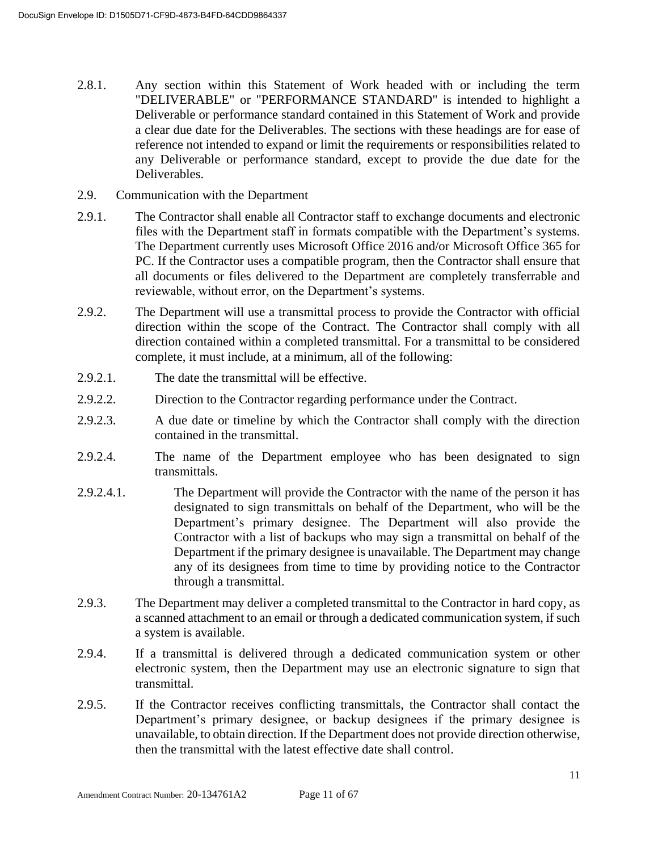- 2.8.1. Any section within this Statement of Work headed with or including the term "DELIVERABLE" or "PERFORMANCE STANDARD" is intended to highlight a Deliverable or performance standard contained in this Statement of Work and provide a clear due date for the Deliverables. The sections with these headings are for ease of reference not intended to expand or limit the requirements or responsibilities related to any Deliverable or performance standard, except to provide the due date for the Deliverables.
- 2.9. Communication with the Department
- 2.9.1. The Contractor shall enable all Contractor staff to exchange documents and electronic files with the Department staff in formats compatible with the Department's systems. The Department currently uses Microsoft Office 2016 and/or Microsoft Office 365 for PC. If the Contractor uses a compatible program, then the Contractor shall ensure that all documents or files delivered to the Department are completely transferrable and reviewable, without error, on the Department's systems.
- 2.9.2. The Department will use a transmittal process to provide the Contractor with official direction within the scope of the Contract. The Contractor shall comply with all direction contained within a completed transmittal. For a transmittal to be considered complete, it must include, at a minimum, all of the following:
- 2.9.2.1. The date the transmittal will be effective.
- 2.9.2.2. Direction to the Contractor regarding performance under the Contract.
- 2.9.2.3. A due date or timeline by which the Contractor shall comply with the direction contained in the transmittal.
- 2.9.2.4. The name of the Department employee who has been designated to sign transmittals.
- 2.9.2.4.1. The Department will provide the Contractor with the name of the person it has designated to sign transmittals on behalf of the Department, who will be the Department's primary designee. The Department will also provide the Contractor with a list of backups who may sign a transmittal on behalf of the Department if the primary designee is unavailable. The Department may change any of its designees from time to time by providing notice to the Contractor through a transmittal.
- 2.9.3. The Department may deliver a completed transmittal to the Contractor in hard copy, as a scanned attachment to an email or through a dedicated communication system, if such a system is available.
- 2.9.4. If a transmittal is delivered through a dedicated communication system or other electronic system, then the Department may use an electronic signature to sign that transmittal.
- 2.9.5. If the Contractor receives conflicting transmittals, the Contractor shall contact the Department's primary designee, or backup designees if the primary designee is unavailable, to obtain direction. If the Department does not provide direction otherwise, then the transmittal with the latest effective date shall control.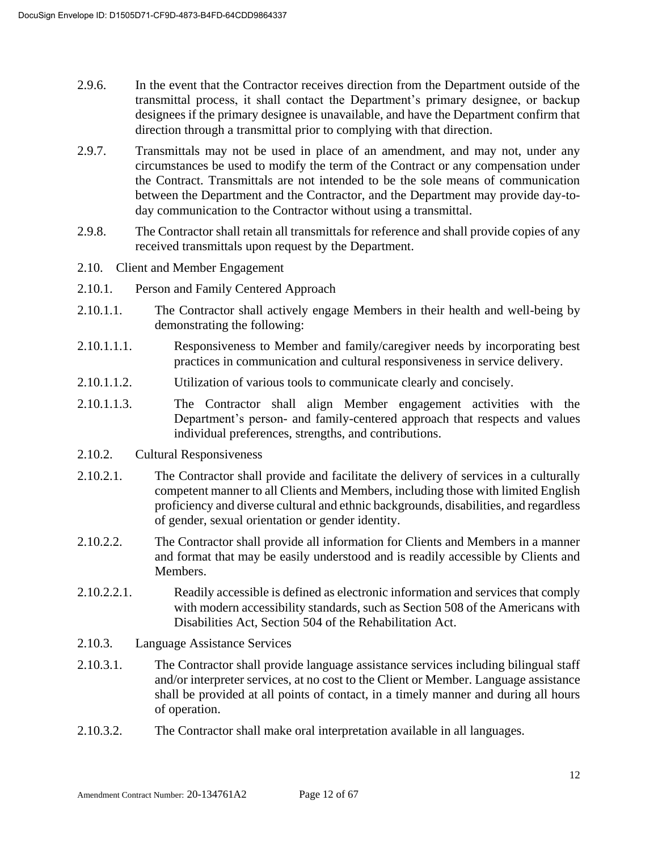- 2.9.6. In the event that the Contractor receives direction from the Department outside of the transmittal process, it shall contact the Department's primary designee, or backup designees if the primary designee is unavailable, and have the Department confirm that direction through a transmittal prior to complying with that direction.
- 2.9.7. Transmittals may not be used in place of an amendment, and may not, under any circumstances be used to modify the term of the Contract or any compensation under the Contract. Transmittals are not intended to be the sole means of communication between the Department and the Contractor, and the Department may provide day-today communication to the Contractor without using a transmittal.
- 2.9.8. The Contractor shall retain all transmittals for reference and shall provide copies of any received transmittals upon request by the Department.
- 2.10. Client and Member Engagement
- 2.10.1. Person and Family Centered Approach
- 2.10.1.1. The Contractor shall actively engage Members in their health and well-being by demonstrating the following:
- 2.10.1.1.1. Responsiveness to Member and family/caregiver needs by incorporating best practices in communication and cultural responsiveness in service delivery.
- 2.10.1.1.2. Utilization of various tools to communicate clearly and concisely.
- 2.10.1.1.3. The Contractor shall align Member engagement activities with the Department's person- and family-centered approach that respects and values individual preferences, strengths, and contributions.
- 2.10.2. Cultural Responsiveness
- 2.10.2.1. The Contractor shall provide and facilitate the delivery of services in a culturally competent manner to all Clients and Members, including those with limited English proficiency and diverse cultural and ethnic backgrounds, disabilities, and regardless of gender, sexual orientation or gender identity.
- 2.10.2.2. The Contractor shall provide all information for Clients and Members in a manner and format that may be easily understood and is readily accessible by Clients and Members.
- 2.10.2.2.1. Readily accessible is defined as electronic information and services that comply with modern accessibility standards, such as Section 508 of the Americans with Disabilities Act, Section 504 of the Rehabilitation Act.
- 2.10.3. Language Assistance Services
- 2.10.3.1. The Contractor shall provide language assistance services including bilingual staff and/or interpreter services, at no cost to the Client or Member. Language assistance shall be provided at all points of contact, in a timely manner and during all hours of operation.
- 2.10.3.2. The Contractor shall make oral interpretation available in all languages.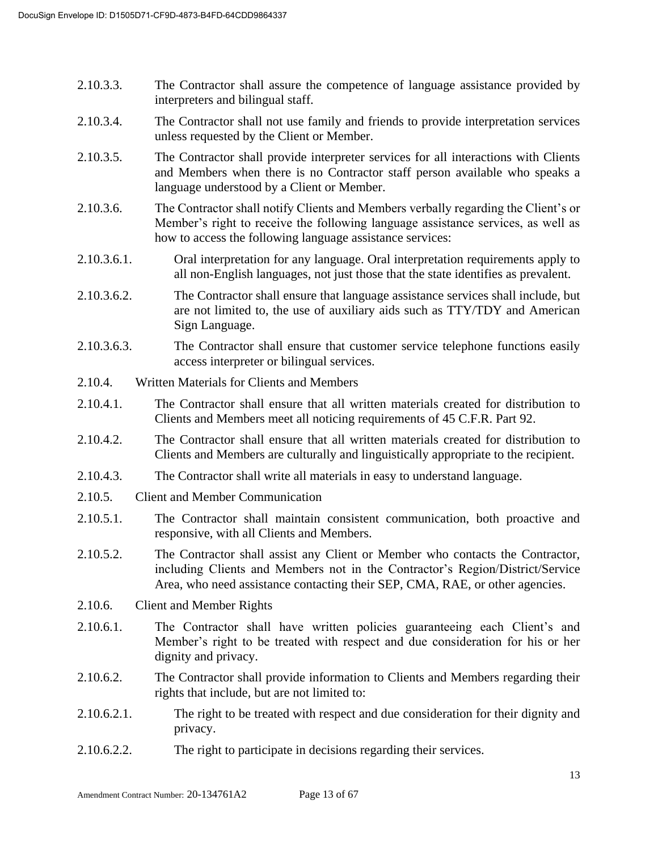- 2.10.3.3. The Contractor shall assure the competence of language assistance provided by interpreters and bilingual staff.
- 2.10.3.4. The Contractor shall not use family and friends to provide interpretation services unless requested by the Client or Member.
- 2.10.3.5. The Contractor shall provide interpreter services for all interactions with Clients and Members when there is no Contractor staff person available who speaks a language understood by a Client or Member.
- 2.10.3.6. The Contractor shall notify Clients and Members verbally regarding the Client's or Member's right to receive the following language assistance services, as well as how to access the following language assistance services:
- 2.10.3.6.1. Oral interpretation for any language. Oral interpretation requirements apply to all non-English languages, not just those that the state identifies as prevalent.
- 2.10.3.6.2. The Contractor shall ensure that language assistance services shall include, but are not limited to, the use of auxiliary aids such as TTY/TDY and American Sign Language.
- 2.10.3.6.3. The Contractor shall ensure that customer service telephone functions easily access interpreter or bilingual services.
- 2.10.4. Written Materials for Clients and Members
- 2.10.4.1. The Contractor shall ensure that all written materials created for distribution to Clients and Members meet all noticing requirements of 45 C.F.R. Part 92.
- 2.10.4.2. The Contractor shall ensure that all written materials created for distribution to Clients and Members are culturally and linguistically appropriate to the recipient.
- 2.10.4.3. The Contractor shall write all materials in easy to understand language.
- 2.10.5. Client and Member Communication
- 2.10.5.1. The Contractor shall maintain consistent communication, both proactive and responsive, with all Clients and Members.
- 2.10.5.2. The Contractor shall assist any Client or Member who contacts the Contractor, including Clients and Members not in the Contractor's Region/District/Service Area, who need assistance contacting their SEP, CMA, RAE, or other agencies.
- 2.10.6. Client and Member Rights
- 2.10.6.1. The Contractor shall have written policies guaranteeing each Client's and Member's right to be treated with respect and due consideration for his or her dignity and privacy.
- 2.10.6.2. The Contractor shall provide information to Clients and Members regarding their rights that include, but are not limited to:
- 2.10.6.2.1. The right to be treated with respect and due consideration for their dignity and privacy.
- 2.10.6.2.2. The right to participate in decisions regarding their services.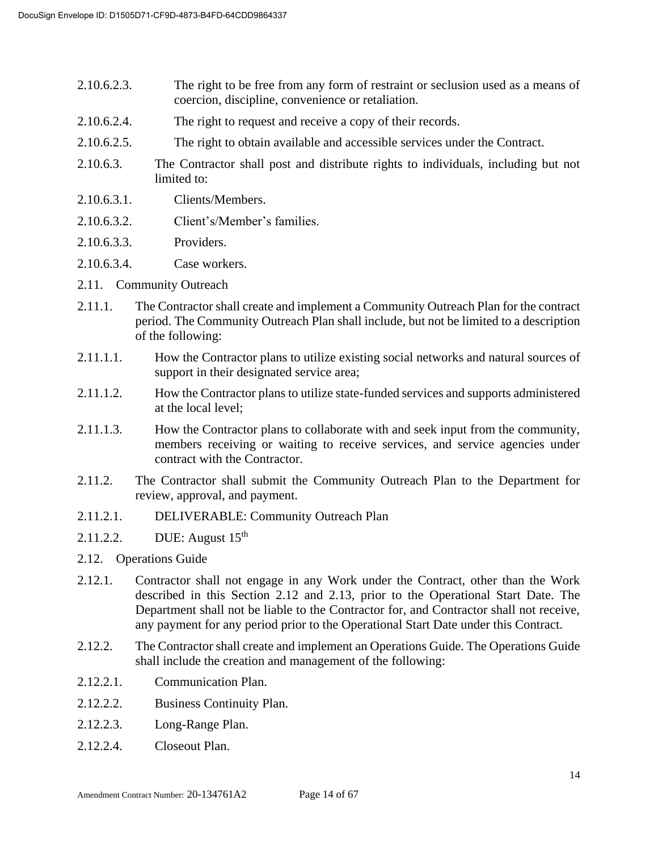- 2.10.6.2.3. The right to be free from any form of restraint or seclusion used as a means of coercion, discipline, convenience or retaliation.
- 2.10.6.2.4. The right to request and receive a copy of their records.
- 2.10.6.2.5. The right to obtain available and accessible services under the Contract.
- 2.10.6.3. The Contractor shall post and distribute rights to individuals, including but not limited to:
- 2.10.6.3.1. Clients/Members.
- 2.10.6.3.2. Client's/Member's families.
- 2.10.6.3.3. Providers.
- 2.10.6.3.4. Case workers.
- 2.11. Community Outreach
- 2.11.1. The Contractor shall create and implement a Community Outreach Plan for the contract period. The Community Outreach Plan shall include, but not be limited to a description of the following:
- 2.11.1.1. How the Contractor plans to utilize existing social networks and natural sources of support in their designated service area;
- 2.11.1.2. How the Contractor plans to utilize state-funded services and supports administered at the local level;
- 2.11.1.3. How the Contractor plans to collaborate with and seek input from the community, members receiving or waiting to receive services, and service agencies under contract with the Contractor.
- 2.11.2. The Contractor shall submit the Community Outreach Plan to the Department for review, approval, and payment.
- 2.11.2.1. DELIVERABLE: Community Outreach Plan
- 2.11.2.2. DUE: August 15<sup>th</sup>
- 2.12. Operations Guide
- 2.12.1. Contractor shall not engage in any Work under the Contract, other than the Work described in this Section 2.12 and 2.13, prior to the Operational Start Date. The Department shall not be liable to the Contractor for, and Contractor shall not receive, any payment for any period prior to the Operational Start Date under this Contract.
- 2.12.2. The Contractor shall create and implement an Operations Guide. The Operations Guide shall include the creation and management of the following:
- 2.12.2.1. Communication Plan.
- 2.12.2.2. Business Continuity Plan.
- 2.12.2.3. Long-Range Plan.
- 2.12.2.4. Closeout Plan.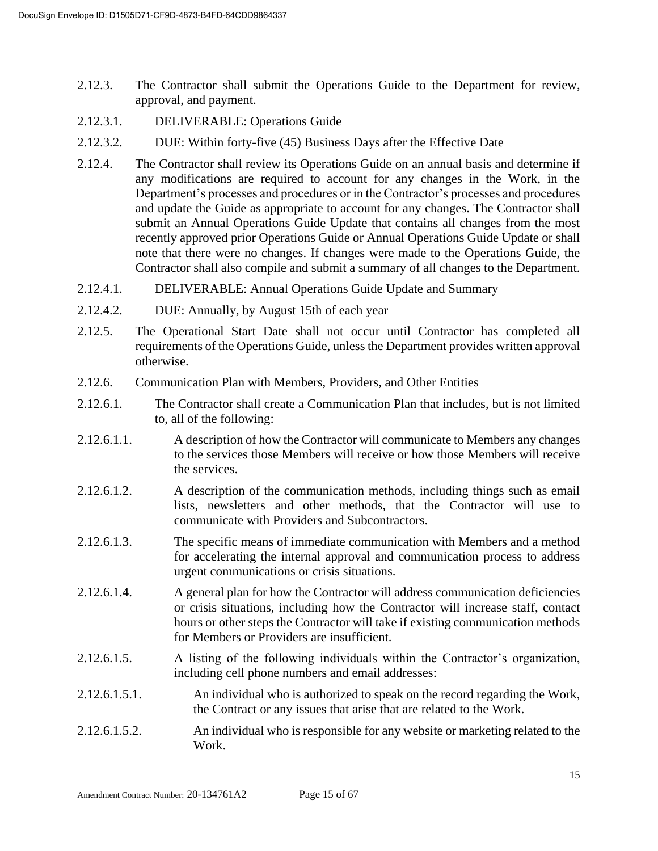- 2.12.3. The Contractor shall submit the Operations Guide to the Department for review, approval, and payment.
- 2.12.3.1. DELIVERABLE: Operations Guide
- 2.12.3.2. DUE: Within forty-five (45) Business Days after the Effective Date
- 2.12.4. The Contractor shall review its Operations Guide on an annual basis and determine if any modifications are required to account for any changes in the Work, in the Department's processes and procedures or in the Contractor's processes and procedures and update the Guide as appropriate to account for any changes. The Contractor shall submit an Annual Operations Guide Update that contains all changes from the most recently approved prior Operations Guide or Annual Operations Guide Update or shall note that there were no changes. If changes were made to the Operations Guide, the Contractor shall also compile and submit a summary of all changes to the Department.
- 2.12.4.1. DELIVERABLE: Annual Operations Guide Update and Summary
- 2.12.4.2. DUE: Annually, by August 15th of each year
- 2.12.5. The Operational Start Date shall not occur until Contractor has completed all requirements of the Operations Guide, unless the Department provides written approval otherwise.
- 2.12.6. Communication Plan with Members, Providers, and Other Entities
- 2.12.6.1. The Contractor shall create a Communication Plan that includes, but is not limited to, all of the following:
- 2.12.6.1.1. A description of how the Contractor will communicate to Members any changes to the services those Members will receive or how those Members will receive the services.
- 2.12.6.1.2. A description of the communication methods, including things such as email lists, newsletters and other methods, that the Contractor will use to communicate with Providers and Subcontractors.
- 2.12.6.1.3. The specific means of immediate communication with Members and a method for accelerating the internal approval and communication process to address urgent communications or crisis situations.
- 2.12.6.1.4. A general plan for how the Contractor will address communication deficiencies or crisis situations, including how the Contractor will increase staff, contact hours or other steps the Contractor will take if existing communication methods for Members or Providers are insufficient.
- 2.12.6.1.5. A listing of the following individuals within the Contractor's organization, including cell phone numbers and email addresses:
- 2.12.6.1.5.1. An individual who is authorized to speak on the record regarding the Work, the Contract or any issues that arise that are related to the Work.
- 2.12.6.1.5.2. An individual who is responsible for any website or marketing related to the Work.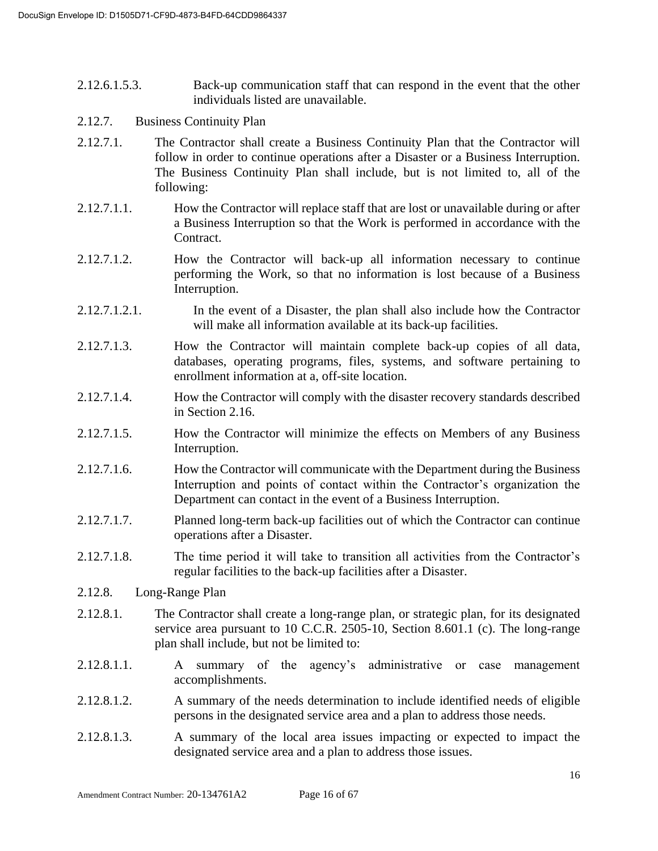- 2.12.6.1.5.3. Back-up communication staff that can respond in the event that the other individuals listed are unavailable.
- 2.12.7. Business Continuity Plan
- 2.12.7.1. The Contractor shall create a Business Continuity Plan that the Contractor will follow in order to continue operations after a Disaster or a Business Interruption. The Business Continuity Plan shall include, but is not limited to, all of the following:
- 2.12.7.1.1. How the Contractor will replace staff that are lost or unavailable during or after a Business Interruption so that the Work is performed in accordance with the Contract.
- 2.12.7.1.2. How the Contractor will back-up all information necessary to continue performing the Work, so that no information is lost because of a Business Interruption.
- 2.12.7.1.2.1. In the event of a Disaster, the plan shall also include how the Contractor will make all information available at its back-up facilities.
- 2.12.7.1.3. How the Contractor will maintain complete back-up copies of all data, databases, operating programs, files, systems, and software pertaining to enrollment information at a, off-site location.
- 2.12.7.1.4. How the Contractor will comply with the disaster recovery standards described in Section 2.16.
- 2.12.7.1.5. How the Contractor will minimize the effects on Members of any Business Interruption.
- 2.12.7.1.6. How the Contractor will communicate with the Department during the Business Interruption and points of contact within the Contractor's organization the Department can contact in the event of a Business Interruption.
- 2.12.7.1.7. Planned long-term back-up facilities out of which the Contractor can continue operations after a Disaster.
- 2.12.7.1.8. The time period it will take to transition all activities from the Contractor's regular facilities to the back-up facilities after a Disaster.
- 2.12.8. Long-Range Plan
- 2.12.8.1. The Contractor shall create a long-range plan, or strategic plan, for its designated service area pursuant to 10 C.C.R. 2505-10, Section 8.601.1 (c). The long-range plan shall include, but not be limited to:
- 2.12.8.1.1. A summary of the agency's administrative or case management accomplishments.
- 2.12.8.1.2. A summary of the needs determination to include identified needs of eligible persons in the designated service area and a plan to address those needs.
- 2.12.8.1.3. A summary of the local area issues impacting or expected to impact the designated service area and a plan to address those issues.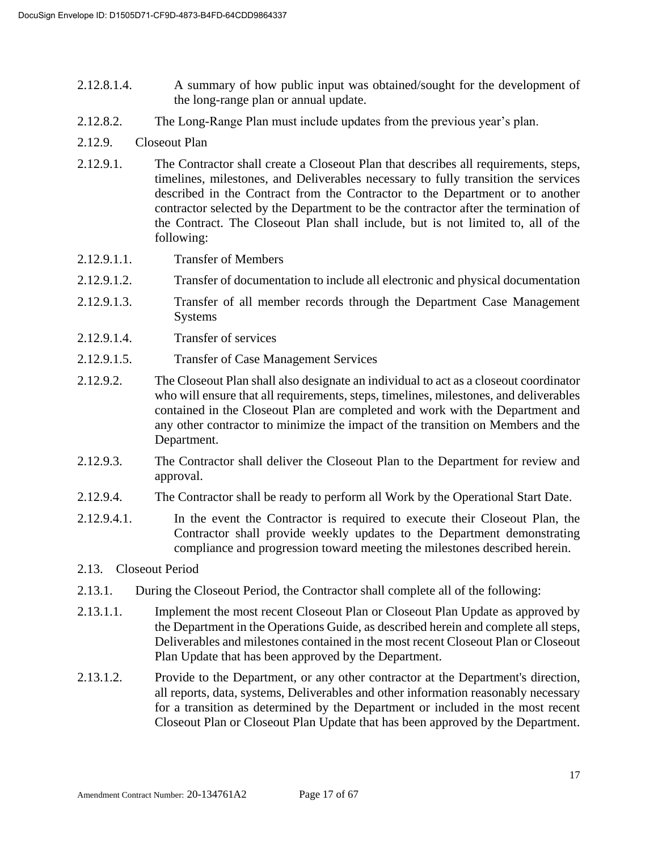- 2.12.8.1.4. A summary of how public input was obtained/sought for the development of the long-range plan or annual update.
- 2.12.8.2. The Long-Range Plan must include updates from the previous year's plan.
- 2.12.9. Closeout Plan
- 2.12.9.1. The Contractor shall create a Closeout Plan that describes all requirements, steps, timelines, milestones, and Deliverables necessary to fully transition the services described in the Contract from the Contractor to the Department or to another contractor selected by the Department to be the contractor after the termination of the Contract. The Closeout Plan shall include, but is not limited to, all of the following:
- 2.12.9.1.1. Transfer of Members
- 2.12.9.1.2. Transfer of documentation to include all electronic and physical documentation
- 2.12.9.1.3. Transfer of all member records through the Department Case Management Systems
- 2.12.9.1.4. Transfer of services
- 2.12.9.1.5. Transfer of Case Management Services
- 2.12.9.2. The Closeout Plan shall also designate an individual to act as a closeout coordinator who will ensure that all requirements, steps, timelines, milestones, and deliverables contained in the Closeout Plan are completed and work with the Department and any other contractor to minimize the impact of the transition on Members and the Department.
- 2.12.9.3. The Contractor shall deliver the Closeout Plan to the Department for review and approval.
- 2.12.9.4. The Contractor shall be ready to perform all Work by the Operational Start Date.
- 2.12.9.4.1. In the event the Contractor is required to execute their Closeout Plan, the Contractor shall provide weekly updates to the Department demonstrating compliance and progression toward meeting the milestones described herein.

#### 2.13. Closeout Period

- 2.13.1. During the Closeout Period, the Contractor shall complete all of the following:
- 2.13.1.1. Implement the most recent Closeout Plan or Closeout Plan Update as approved by the Department in the Operations Guide, as described herein and complete all steps, Deliverables and milestones contained in the most recent Closeout Plan or Closeout Plan Update that has been approved by the Department.
- 2.13.1.2. Provide to the Department, or any other contractor at the Department's direction, all reports, data, systems, Deliverables and other information reasonably necessary for a transition as determined by the Department or included in the most recent Closeout Plan or Closeout Plan Update that has been approved by the Department.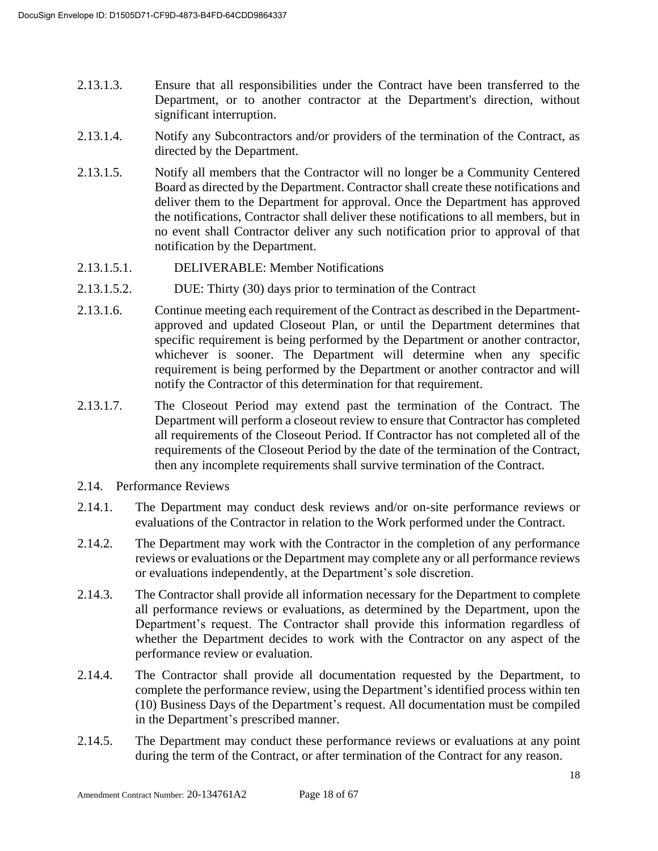- 2.13.1.3. Ensure that all responsibilities under the Contract have been transferred to the Department, or to another contractor at the Department's direction, without significant interruption.
- 2.13.1.4. Notify any Subcontractors and/or providers of the termination of the Contract, as directed by the Department.
- 2.13.1.5. Notify all members that the Contractor will no longer be a Community Centered Board as directed by the Department. Contractor shall create these notifications and deliver them to the Department for approval. Once the Department has approved the notifications, Contractor shall deliver these notifications to all members, but in no event shall Contractor deliver any such notification prior to approval of that notification by the Department.
- 2.13.1.5.1. DELIVERABLE: Member Notifications
- 2.13.1.5.2. DUE: Thirty (30) days prior to termination of the Contract
- 2.13.1.6. Continue meeting each requirement of the Contract as described in the Departmentapproved and updated Closeout Plan, or until the Department determines that specific requirement is being performed by the Department or another contractor, whichever is sooner. The Department will determine when any specific requirement is being performed by the Department or another contractor and will notify the Contractor of this determination for that requirement.
- 2.13.1.7. The Closeout Period may extend past the termination of the Contract. The Department will perform a closeout review to ensure that Contractor has completed all requirements of the Closeout Period. If Contractor has not completed all of the requirements of the Closeout Period by the date of the termination of the Contract, then any incomplete requirements shall survive termination of the Contract.
- 2.14. Performance Reviews
- 2.14.1. The Department may conduct desk reviews and/or on-site performance reviews or evaluations of the Contractor in relation to the Work performed under the Contract.
- 2.14.2. The Department may work with the Contractor in the completion of any performance reviews or evaluations or the Department may complete any or all performance reviews or evaluations independently, at the Department's sole discretion.
- 2.14.3. The Contractor shall provide all information necessary for the Department to complete all performance reviews or evaluations, as determined by the Department, upon the Department's request. The Contractor shall provide this information regardless of whether the Department decides to work with the Contractor on any aspect of the performance review or evaluation.
- 2.14.4. The Contractor shall provide all documentation requested by the Department, to complete the performance review, using the Department's identified process within ten (10) Business Days of the Department's request. All documentation must be compiled in the Department's prescribed manner.
- 2.14.5. The Department may conduct these performance reviews or evaluations at any point during the term of the Contract, or after termination of the Contract for any reason.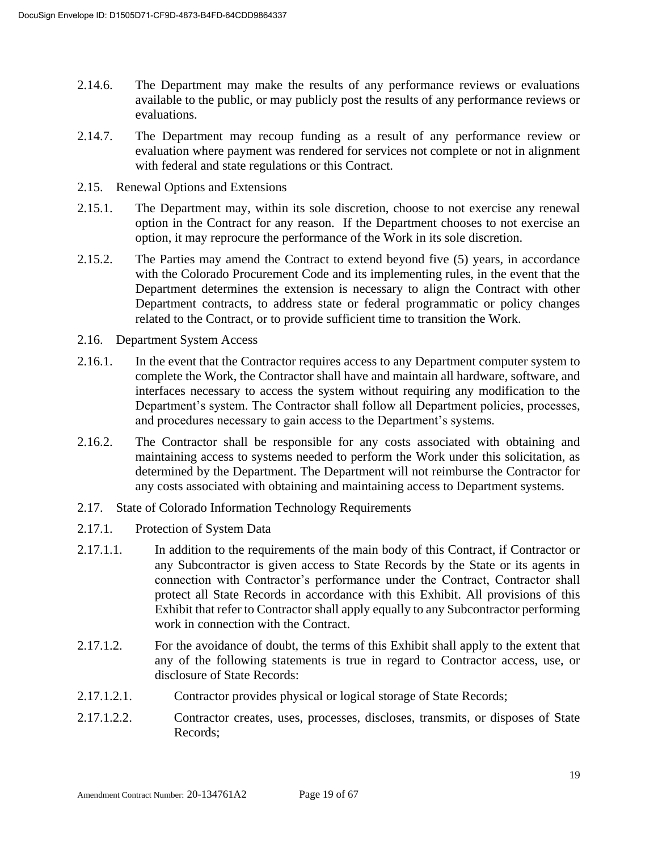- 2.14.6. The Department may make the results of any performance reviews or evaluations available to the public, or may publicly post the results of any performance reviews or evaluations.
- 2.14.7. The Department may recoup funding as a result of any performance review or evaluation where payment was rendered for services not complete or not in alignment with federal and state regulations or this Contract.
- 2.15. Renewal Options and Extensions
- 2.15.1. The Department may, within its sole discretion, choose to not exercise any renewal option in the Contract for any reason. If the Department chooses to not exercise an option, it may reprocure the performance of the Work in its sole discretion.
- 2.15.2. The Parties may amend the Contract to extend beyond five (5) years, in accordance with the Colorado Procurement Code and its implementing rules, in the event that the Department determines the extension is necessary to align the Contract with other Department contracts, to address state or federal programmatic or policy changes related to the Contract, or to provide sufficient time to transition the Work.
- 2.16. Department System Access
- 2.16.1. In the event that the Contractor requires access to any Department computer system to complete the Work, the Contractor shall have and maintain all hardware, software, and interfaces necessary to access the system without requiring any modification to the Department's system. The Contractor shall follow all Department policies, processes, and procedures necessary to gain access to the Department's systems.
- 2.16.2. The Contractor shall be responsible for any costs associated with obtaining and maintaining access to systems needed to perform the Work under this solicitation, as determined by the Department. The Department will not reimburse the Contractor for any costs associated with obtaining and maintaining access to Department systems.
- 2.17. State of Colorado Information Technology Requirements
- 2.17.1. Protection of System Data
- 2.17.1.1. In addition to the requirements of the main body of this Contract, if Contractor or any Subcontractor is given access to State Records by the State or its agents in connection with Contractor's performance under the Contract, Contractor shall protect all State Records in accordance with this Exhibit. All provisions of this Exhibit that refer to Contractor shall apply equally to any Subcontractor performing work in connection with the Contract.
- 2.17.1.2. For the avoidance of doubt, the terms of this Exhibit shall apply to the extent that any of the following statements is true in regard to Contractor access, use, or disclosure of State Records:
- 2.17.1.2.1. Contractor provides physical or logical storage of State Records;
- 2.17.1.2.2. Contractor creates, uses, processes, discloses, transmits, or disposes of State Records;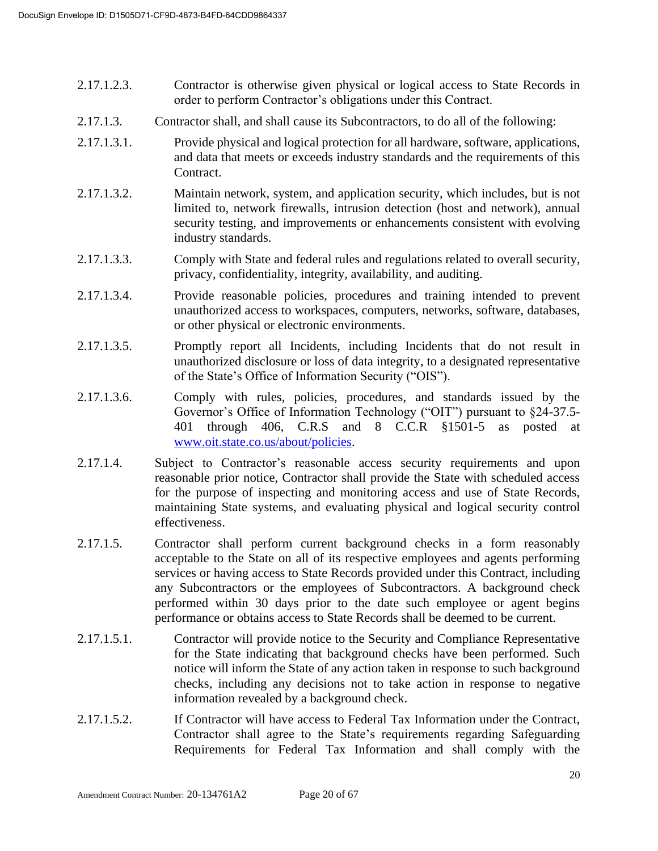- 2.17.1.2.3. Contractor is otherwise given physical or logical access to State Records in order to perform Contractor's obligations under this Contract.
- 2.17.1.3. Contractor shall, and shall cause its Subcontractors, to do all of the following:
- 2.17.1.3.1. Provide physical and logical protection for all hardware, software, applications, and data that meets or exceeds industry standards and the requirements of this Contract.
- 2.17.1.3.2. Maintain network, system, and application security, which includes, but is not limited to, network firewalls, intrusion detection (host and network), annual security testing, and improvements or enhancements consistent with evolving industry standards.
- 2.17.1.3.3. Comply with State and federal rules and regulations related to overall security, privacy, confidentiality, integrity, availability, and auditing.
- 2.17.1.3.4. Provide reasonable policies, procedures and training intended to prevent unauthorized access to workspaces, computers, networks, software, databases, or other physical or electronic environments.
- 2.17.1.3.5. Promptly report all Incidents, including Incidents that do not result in unauthorized disclosure or loss of data integrity, to a designated representative of the State's Office of Information Security ("OIS").
- 2.17.1.3.6. Comply with rules, policies, procedures, and standards issued by the Governor's Office of Information Technology ("OIT") pursuant to §24-37.5- 401 through 406, C.R.S and 8 C.C.R §1501-5 as posted at [www.oit.state.co.us/about/policies.](http://www.oit.state.co.us/about/policies)
- 2.17.1.4. Subject to Contractor's reasonable access security requirements and upon reasonable prior notice, Contractor shall provide the State with scheduled access for the purpose of inspecting and monitoring access and use of State Records, maintaining State systems, and evaluating physical and logical security control effectiveness.
- 2.17.1.5. Contractor shall perform current background checks in a form reasonably acceptable to the State on all of its respective employees and agents performing services or having access to State Records provided under this Contract, including any Subcontractors or the employees of Subcontractors. A background check performed within 30 days prior to the date such employee or agent begins performance or obtains access to State Records shall be deemed to be current.
- 2.17.1.5.1. Contractor will provide notice to the Security and Compliance Representative for the State indicating that background checks have been performed. Such notice will inform the State of any action taken in response to such background checks, including any decisions not to take action in response to negative information revealed by a background check.
- 2.17.1.5.2. If Contractor will have access to Federal Tax Information under the Contract, Contractor shall agree to the State's requirements regarding Safeguarding Requirements for Federal Tax Information and shall comply with the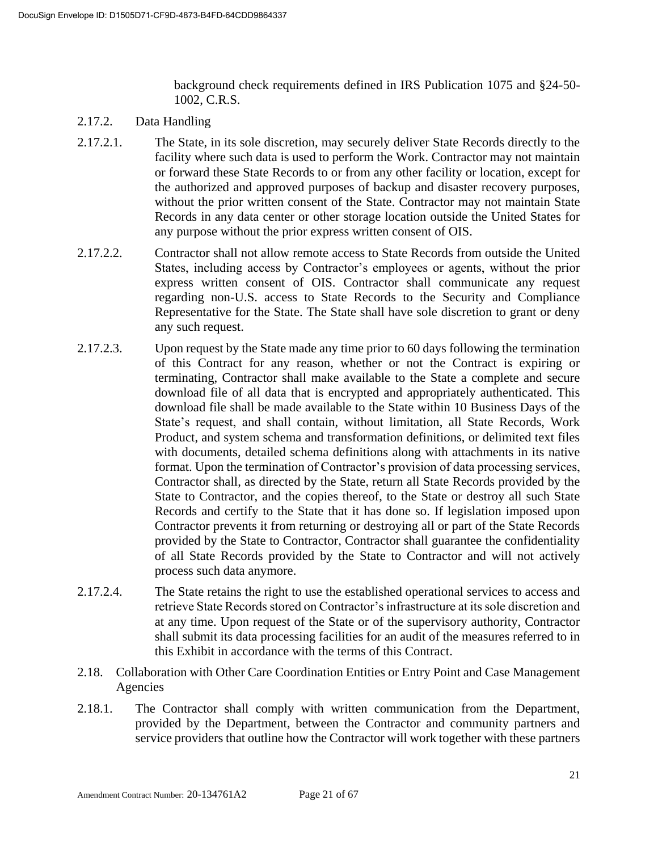background check requirements defined in IRS Publication 1075 and §24-50- 1002, C.R.S.

- 2.17.2. Data Handling
- 2.17.2.1. The State, in its sole discretion, may securely deliver State Records directly to the facility where such data is used to perform the Work. Contractor may not maintain or forward these State Records to or from any other facility or location, except for the authorized and approved purposes of backup and disaster recovery purposes, without the prior written consent of the State. Contractor may not maintain State Records in any data center or other storage location outside the United States for any purpose without the prior express written consent of OIS.
- 2.17.2.2. Contractor shall not allow remote access to State Records from outside the United States, including access by Contractor's employees or agents, without the prior express written consent of OIS. Contractor shall communicate any request regarding non-U.S. access to State Records to the Security and Compliance Representative for the State. The State shall have sole discretion to grant or deny any such request.
- 2.17.2.3. Upon request by the State made any time prior to 60 days following the termination of this Contract for any reason, whether or not the Contract is expiring or terminating, Contractor shall make available to the State a complete and secure download file of all data that is encrypted and appropriately authenticated. This download file shall be made available to the State within 10 Business Days of the State's request, and shall contain, without limitation, all State Records, Work Product, and system schema and transformation definitions, or delimited text files with documents, detailed schema definitions along with attachments in its native format. Upon the termination of Contractor's provision of data processing services, Contractor shall, as directed by the State, return all State Records provided by the State to Contractor, and the copies thereof, to the State or destroy all such State Records and certify to the State that it has done so. If legislation imposed upon Contractor prevents it from returning or destroying all or part of the State Records provided by the State to Contractor, Contractor shall guarantee the confidentiality of all State Records provided by the State to Contractor and will not actively process such data anymore.
- 2.17.2.4. The State retains the right to use the established operational services to access and retrieve State Records stored on Contractor's infrastructure at its sole discretion and at any time. Upon request of the State or of the supervisory authority, Contractor shall submit its data processing facilities for an audit of the measures referred to in this Exhibit in accordance with the terms of this Contract.
- 2.18. Collaboration with Other Care Coordination Entities or Entry Point and Case Management Agencies
- 2.18.1. The Contractor shall comply with written communication from the Department, provided by the Department, between the Contractor and community partners and service providers that outline how the Contractor will work together with these partners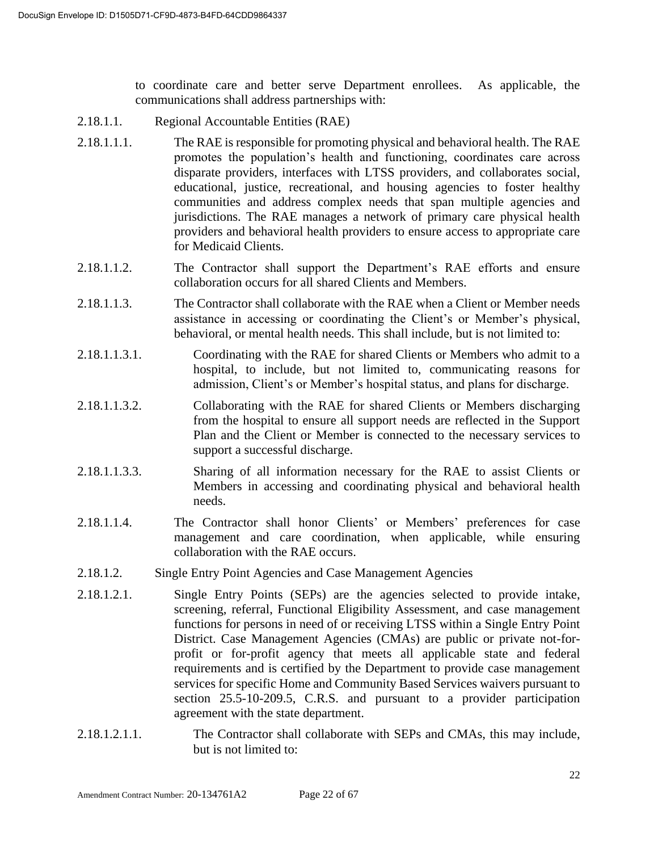to coordinate care and better serve Department enrollees. As applicable, the communications shall address partnerships with:

- 2.18.1.1. Regional Accountable Entities (RAE)
- 2.18.1.1.1. The RAE is responsible for promoting physical and behavioral health. The RAE promotes the population's health and functioning, coordinates care across disparate providers, interfaces with LTSS providers, and collaborates social, educational, justice, recreational, and housing agencies to foster healthy communities and address complex needs that span multiple agencies and jurisdictions. The RAE manages a network of primary care physical health providers and behavioral health providers to ensure access to appropriate care for Medicaid Clients.
- 2.18.1.1.2. The Contractor shall support the Department's RAE efforts and ensure collaboration occurs for all shared Clients and Members.
- 2.18.1.1.3. The Contractor shall collaborate with the RAE when a Client or Member needs assistance in accessing or coordinating the Client's or Member's physical, behavioral, or mental health needs. This shall include, but is not limited to:
- 2.18.1.1.3.1. Coordinating with the RAE for shared Clients or Members who admit to a hospital, to include, but not limited to, communicating reasons for admission, Client's or Member's hospital status, and plans for discharge.
- 2.18.1.1.3.2. Collaborating with the RAE for shared Clients or Members discharging from the hospital to ensure all support needs are reflected in the Support Plan and the Client or Member is connected to the necessary services to support a successful discharge.
- 2.18.1.1.3.3. Sharing of all information necessary for the RAE to assist Clients or Members in accessing and coordinating physical and behavioral health needs.
- 2.18.1.1.4. The Contractor shall honor Clients' or Members' preferences for case management and care coordination, when applicable, while ensuring collaboration with the RAE occurs.
- 2.18.1.2. Single Entry Point Agencies and Case Management Agencies
- 2.18.1.2.1. Single Entry Points (SEPs) are the agencies selected to provide intake, screening, referral, Functional Eligibility Assessment, and case management functions for persons in need of or receiving LTSS within a Single Entry Point District. Case Management Agencies (CMAs) are public or private not-forprofit or for-profit agency that meets all applicable state and federal requirements and is certified by the Department to provide case management services for specific Home and Community Based Services waivers pursuant to section 25.5-10-209.5, C.R.S. and pursuant to a provider participation agreement with the state department.
- 2.18.1.2.1.1. The Contractor shall collaborate with SEPs and CMAs, this may include, but is not limited to: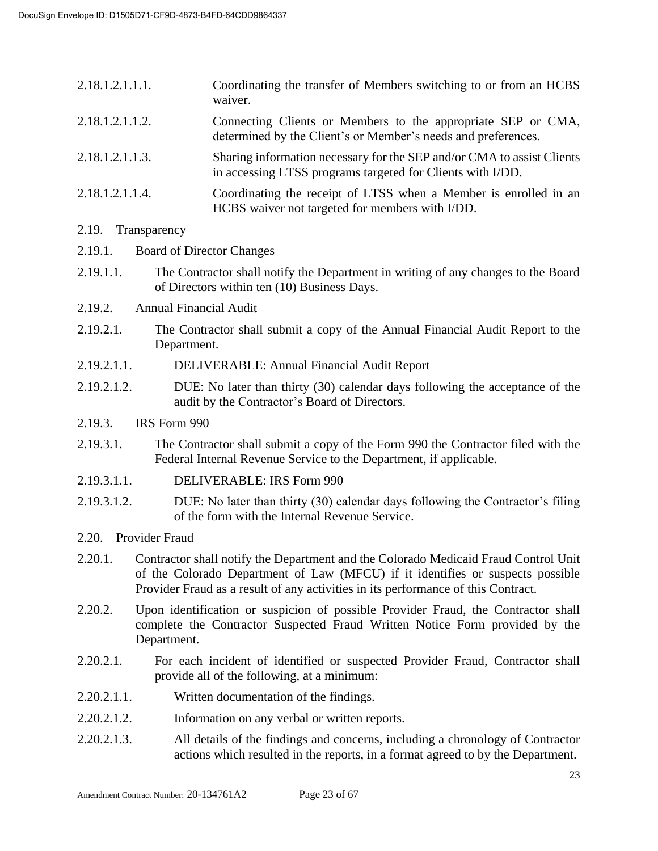| 2.18.1.2.1.1.1. | Coordinating the transfer of Members switching to or from an HCBS<br>waiver.                                                         |
|-----------------|--------------------------------------------------------------------------------------------------------------------------------------|
| 2.18.1.2.1.1.2. | Connecting Clients or Members to the appropriate SEP or CMA,<br>determined by the Client's or Member's needs and preferences.        |
| 2.18.1.2.1.1.3. | Sharing information necessary for the SEP and/or CMA to assist Clients<br>in accessing LTSS programs targeted for Clients with I/DD. |
| 2.18.1.2.1.1.4. | Coordinating the receipt of LTSS when a Member is enrolled in an<br>HCBS waiver not targeted for members with I/DD.                  |

#### 2.19. Transparency

- 2.19.1. Board of Director Changes
- 2.19.1.1. The Contractor shall notify the Department in writing of any changes to the Board of Directors within ten (10) Business Days.
- 2.19.2. Annual Financial Audit
- 2.19.2.1. The Contractor shall submit a copy of the Annual Financial Audit Report to the Department.
- 2.19.2.1.1. DELIVERABLE: Annual Financial Audit Report
- 2.19.2.1.2. DUE: No later than thirty (30) calendar days following the acceptance of the audit by the Contractor's Board of Directors.
- 2.19.3. IRS Form 990
- 2.19.3.1. The Contractor shall submit a copy of the Form 990 the Contractor filed with the Federal Internal Revenue Service to the Department, if applicable.
- 2.19.3.1.1. DELIVERABLE: IRS Form 990
- 2.19.3.1.2. DUE: No later than thirty (30) calendar days following the Contractor's filing of the form with the Internal Revenue Service.
- 2.20. Provider Fraud
- 2.20.1. Contractor shall notify the Department and the Colorado Medicaid Fraud Control Unit of the Colorado Department of Law (MFCU) if it identifies or suspects possible Provider Fraud as a result of any activities in its performance of this Contract.
- 2.20.2. Upon identification or suspicion of possible Provider Fraud, the Contractor shall complete the Contractor Suspected Fraud Written Notice Form provided by the Department.
- 2.20.2.1. For each incident of identified or suspected Provider Fraud, Contractor shall provide all of the following, at a minimum:
- 2.20.2.1.1. Written documentation of the findings.
- 2.20.2.1.2. Information on any verbal or written reports.
- 2.20.2.1.3. All details of the findings and concerns, including a chronology of Contractor actions which resulted in the reports, in a format agreed to by the Department.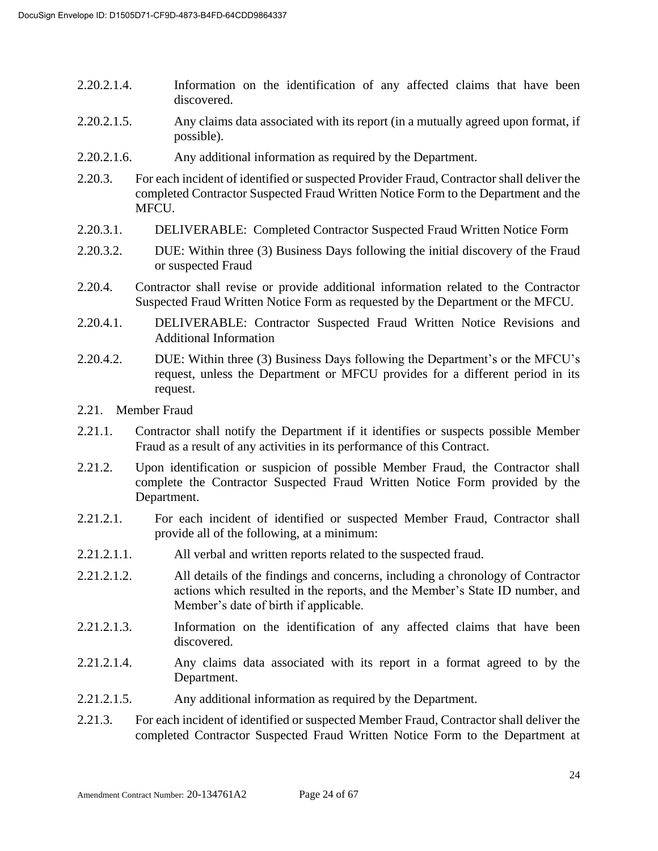- 2.20.2.1.4. Information on the identification of any affected claims that have been discovered.
- 2.20.2.1.5. Any claims data associated with its report (in a mutually agreed upon format, if possible).
- 2.20.2.1.6. Any additional information as required by the Department.
- 2.20.3. For each incident of identified or suspected Provider Fraud, Contractor shall deliver the completed Contractor Suspected Fraud Written Notice Form to the Department and the MFCU.
- 2.20.3.1. DELIVERABLE: Completed Contractor Suspected Fraud Written Notice Form
- 2.20.3.2. DUE: Within three (3) Business Days following the initial discovery of the Fraud or suspected Fraud
- 2.20.4. Contractor shall revise or provide additional information related to the Contractor Suspected Fraud Written Notice Form as requested by the Department or the MFCU.
- 2.20.4.1. DELIVERABLE: Contractor Suspected Fraud Written Notice Revisions and Additional Information
- 2.20.4.2. DUE: Within three (3) Business Days following the Department's or the MFCU's request, unless the Department or MFCU provides for a different period in its request.
- 2.21. Member Fraud
- 2.21.1. Contractor shall notify the Department if it identifies or suspects possible Member Fraud as a result of any activities in its performance of this Contract.
- 2.21.2. Upon identification or suspicion of possible Member Fraud, the Contractor shall complete the Contractor Suspected Fraud Written Notice Form provided by the Department.
- 2.21.2.1. For each incident of identified or suspected Member Fraud, Contractor shall provide all of the following, at a minimum:
- 2.21.2.1.1. All verbal and written reports related to the suspected fraud.
- 2.21.2.1.2. All details of the findings and concerns, including a chronology of Contractor actions which resulted in the reports, and the Member's State ID number, and Member's date of birth if applicable.
- 2.21.2.1.3. Information on the identification of any affected claims that have been discovered.
- 2.21.2.1.4. Any claims data associated with its report in a format agreed to by the Department.
- 2.21.2.1.5. Any additional information as required by the Department.
- 2.21.3. For each incident of identified or suspected Member Fraud, Contractor shall deliver the completed Contractor Suspected Fraud Written Notice Form to the Department at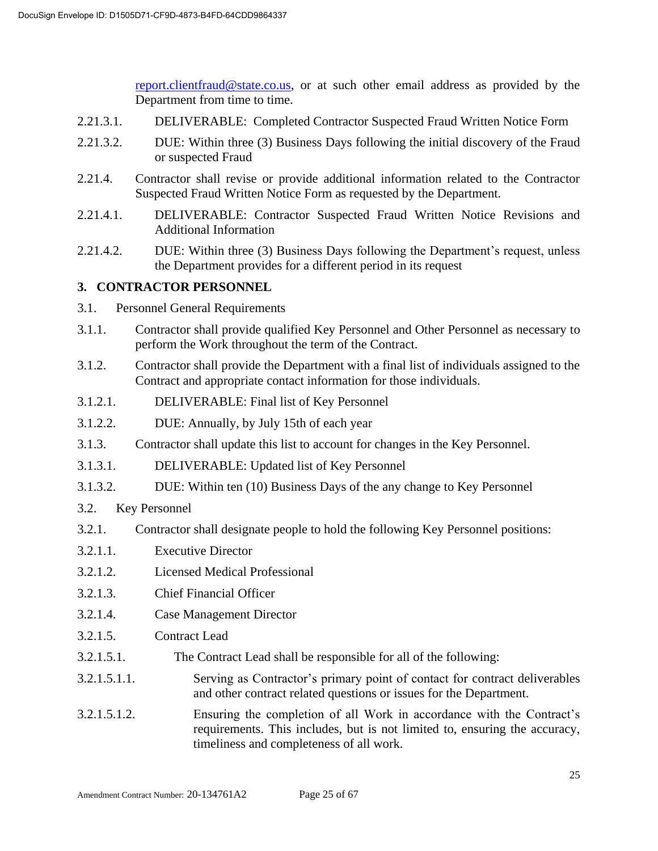[report.clientfraud@state.co.us,](mailto:report.clientfraud@state.co.us) or at such other email address as provided by the Department from time to time.

- 2.21.3.1. DELIVERABLE: Completed Contractor Suspected Fraud Written Notice Form
- 2.21.3.2. DUE: Within three (3) Business Days following the initial discovery of the Fraud or suspected Fraud
- 2.21.4. Contractor shall revise or provide additional information related to the Contractor Suspected Fraud Written Notice Form as requested by the Department.
- 2.21.4.1. DELIVERABLE: Contractor Suspected Fraud Written Notice Revisions and Additional Information
- 2.21.4.2. DUE: Within three (3) Business Days following the Department's request, unless the Department provides for a different period in its request

## **3. CONTRACTOR PERSONNEL**

- 3.1. Personnel General Requirements
- 3.1.1. Contractor shall provide qualified Key Personnel and Other Personnel as necessary to perform the Work throughout the term of the Contract.
- 3.1.2. Contractor shall provide the Department with a final list of individuals assigned to the Contract and appropriate contact information for those individuals.
- 3.1.2.1. DELIVERABLE: Final list of Key Personnel
- 3.1.2.2. DUE: Annually, by July 15th of each year
- 3.1.3. Contractor shall update this list to account for changes in the Key Personnel.
- 3.1.3.1. DELIVERABLE: Updated list of Key Personnel
- 3.1.3.2. DUE: Within ten (10) Business Days of the any change to Key Personnel
- 3.2. Key Personnel
- 3.2.1. Contractor shall designate people to hold the following Key Personnel positions:
- 3.2.1.1. Executive Director
- 3.2.1.2. Licensed Medical Professional
- 3.2.1.3. Chief Financial Officer
- 3.2.1.4. Case Management Director
- 3.2.1.5. Contract Lead
- 3.2.1.5.1. The Contract Lead shall be responsible for all of the following:
- 3.2.1.5.1.1. Serving as Contractor's primary point of contact for contract deliverables and other contract related questions or issues for the Department.
- 3.2.1.5.1.2. Ensuring the completion of all Work in accordance with the Contract's requirements. This includes, but is not limited to, ensuring the accuracy, timeliness and completeness of all work.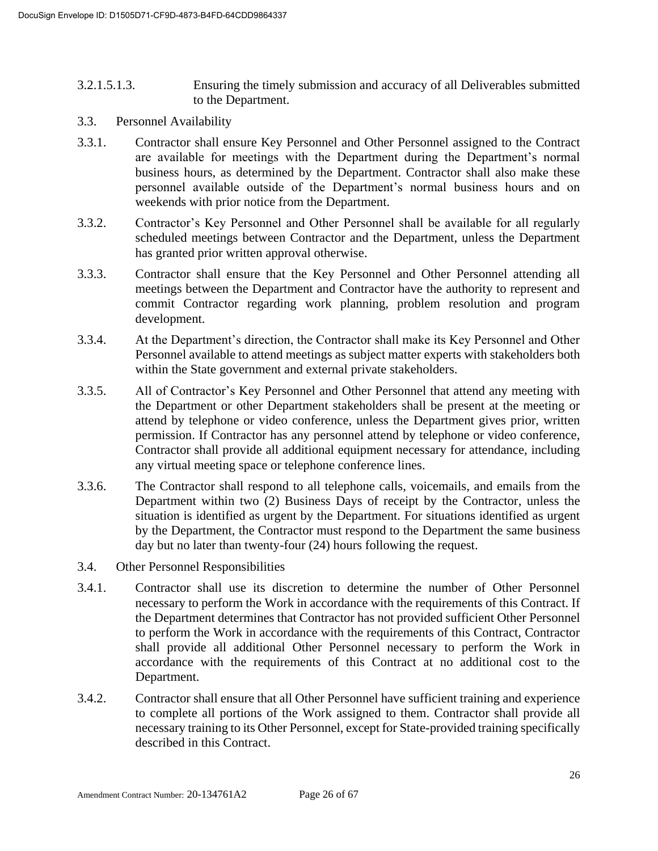- 3.2.1.5.1.3. Ensuring the timely submission and accuracy of all Deliverables submitted to the Department.
- 3.3. Personnel Availability
- 3.3.1. Contractor shall ensure Key Personnel and Other Personnel assigned to the Contract are available for meetings with the Department during the Department's normal business hours, as determined by the Department. Contractor shall also make these personnel available outside of the Department's normal business hours and on weekends with prior notice from the Department.
- 3.3.2. Contractor's Key Personnel and Other Personnel shall be available for all regularly scheduled meetings between Contractor and the Department, unless the Department has granted prior written approval otherwise.
- 3.3.3. Contractor shall ensure that the Key Personnel and Other Personnel attending all meetings between the Department and Contractor have the authority to represent and commit Contractor regarding work planning, problem resolution and program development.
- 3.3.4. At the Department's direction, the Contractor shall make its Key Personnel and Other Personnel available to attend meetings as subject matter experts with stakeholders both within the State government and external private stakeholders.
- 3.3.5. All of Contractor's Key Personnel and Other Personnel that attend any meeting with the Department or other Department stakeholders shall be present at the meeting or attend by telephone or video conference, unless the Department gives prior, written permission. If Contractor has any personnel attend by telephone or video conference, Contractor shall provide all additional equipment necessary for attendance, including any virtual meeting space or telephone conference lines.
- 3.3.6. The Contractor shall respond to all telephone calls, voicemails, and emails from the Department within two (2) Business Days of receipt by the Contractor, unless the situation is identified as urgent by the Department. For situations identified as urgent by the Department, the Contractor must respond to the Department the same business day but no later than twenty-four (24) hours following the request.
- 3.4. Other Personnel Responsibilities
- 3.4.1. Contractor shall use its discretion to determine the number of Other Personnel necessary to perform the Work in accordance with the requirements of this Contract. If the Department determines that Contractor has not provided sufficient Other Personnel to perform the Work in accordance with the requirements of this Contract, Contractor shall provide all additional Other Personnel necessary to perform the Work in accordance with the requirements of this Contract at no additional cost to the Department.
- 3.4.2. Contractor shall ensure that all Other Personnel have sufficient training and experience to complete all portions of the Work assigned to them. Contractor shall provide all necessary training to its Other Personnel, except for State-provided training specifically described in this Contract.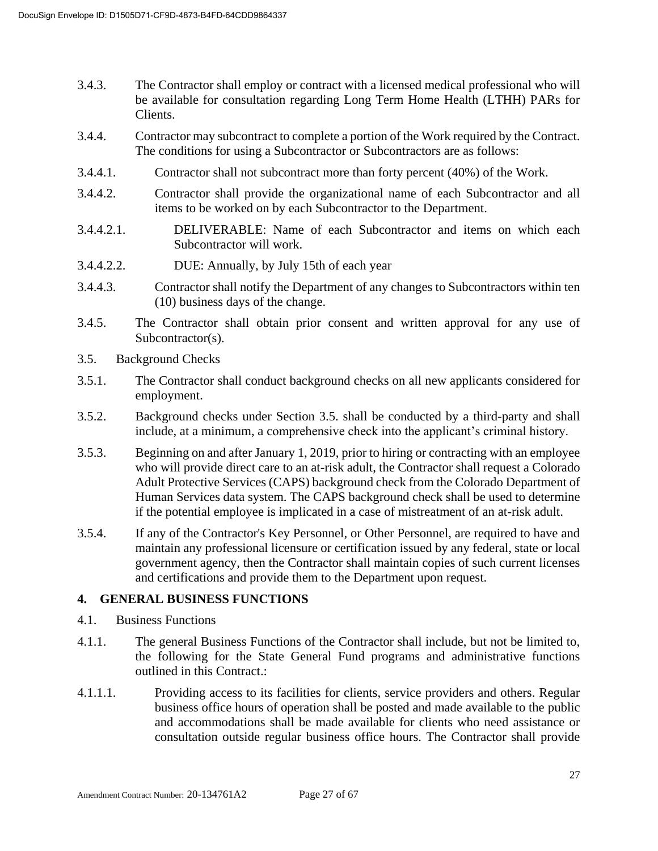- 3.4.3. The Contractor shall employ or contract with a licensed medical professional who will be available for consultation regarding Long Term Home Health (LTHH) PARs for Clients.
- 3.4.4. Contractor may subcontract to complete a portion of the Work required by the Contract. The conditions for using a Subcontractor or Subcontractors are as follows:
- 3.4.4.1. Contractor shall not subcontract more than forty percent (40%) of the Work.
- 3.4.4.2. Contractor shall provide the organizational name of each Subcontractor and all items to be worked on by each Subcontractor to the Department.
- 3.4.4.2.1. DELIVERABLE: Name of each Subcontractor and items on which each Subcontractor will work.
- 3.4.4.2.2. DUE: Annually, by July 15th of each year
- 3.4.4.3. Contractor shall notify the Department of any changes to Subcontractors within ten (10) business days of the change.
- 3.4.5. The Contractor shall obtain prior consent and written approval for any use of Subcontractor(s).
- 3.5. Background Checks
- 3.5.1. The Contractor shall conduct background checks on all new applicants considered for employment.
- 3.5.2. Background checks under Section 3.5. shall be conducted by a third-party and shall include, at a minimum, a comprehensive check into the applicant's criminal history.
- 3.5.3. Beginning on and after January 1, 2019, prior to hiring or contracting with an employee who will provide direct care to an at-risk adult, the Contractor shall request a Colorado Adult Protective Services (CAPS) background check from the Colorado Department of Human Services data system. The CAPS background check shall be used to determine if the potential employee is implicated in a case of mistreatment of an at-risk adult.
- 3.5.4. If any of the Contractor's Key Personnel, or Other Personnel, are required to have and maintain any professional licensure or certification issued by any federal, state or local government agency, then the Contractor shall maintain copies of such current licenses and certifications and provide them to the Department upon request.

#### **4. GENERAL BUSINESS FUNCTIONS**

- 4.1. Business Functions
- 4.1.1. The general Business Functions of the Contractor shall include, but not be limited to, the following for the State General Fund programs and administrative functions outlined in this Contract.:
- 4.1.1.1. Providing access to its facilities for clients, service providers and others. Regular business office hours of operation shall be posted and made available to the public and accommodations shall be made available for clients who need assistance or consultation outside regular business office hours. The Contractor shall provide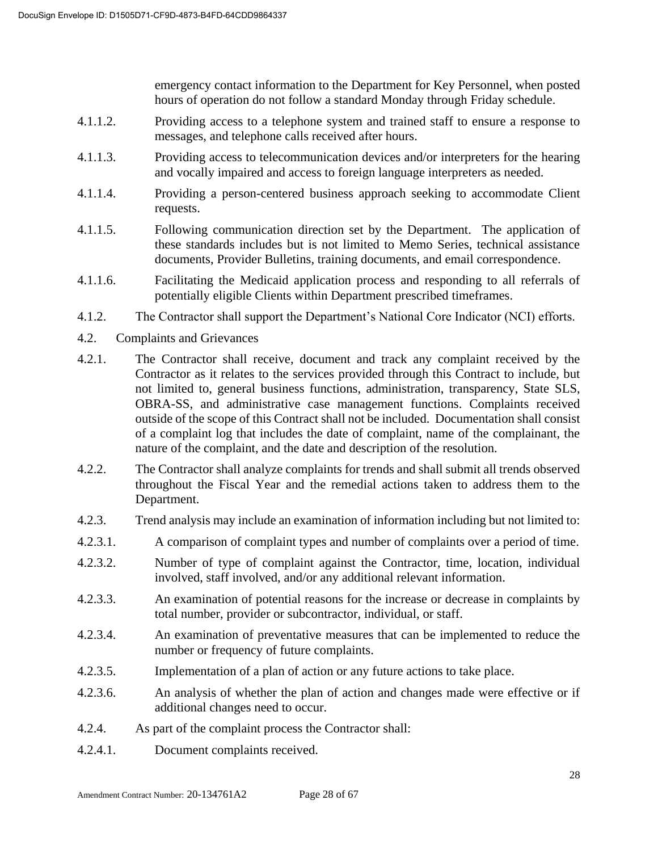emergency contact information to the Department for Key Personnel, when posted hours of operation do not follow a standard Monday through Friday schedule.

- 4.1.1.2. Providing access to a telephone system and trained staff to ensure a response to messages, and telephone calls received after hours.
- 4.1.1.3. Providing access to telecommunication devices and/or interpreters for the hearing and vocally impaired and access to foreign language interpreters as needed.
- 4.1.1.4. Providing a person-centered business approach seeking to accommodate Client requests.
- 4.1.1.5. Following communication direction set by the Department. The application of these standards includes but is not limited to Memo Series, technical assistance documents, Provider Bulletins, training documents, and email correspondence.
- 4.1.1.6. Facilitating the Medicaid application process and responding to all referrals of potentially eligible Clients within Department prescribed timeframes.
- 4.1.2. The Contractor shall support the Department's National Core Indicator (NCI) efforts.
- 4.2. Complaints and Grievances
- 4.2.1. The Contractor shall receive, document and track any complaint received by the Contractor as it relates to the services provided through this Contract to include, but not limited to, general business functions, administration, transparency, State SLS, OBRA-SS, and administrative case management functions. Complaints received outside of the scope of this Contract shall not be included. Documentation shall consist of a complaint log that includes the date of complaint, name of the complainant, the nature of the complaint, and the date and description of the resolution.
- 4.2.2. The Contractor shall analyze complaints for trends and shall submit all trends observed throughout the Fiscal Year and the remedial actions taken to address them to the Department.
- 4.2.3. Trend analysis may include an examination of information including but not limited to:
- 4.2.3.1. A comparison of complaint types and number of complaints over a period of time.
- 4.2.3.2. Number of type of complaint against the Contractor, time, location, individual involved, staff involved, and/or any additional relevant information.
- 4.2.3.3. An examination of potential reasons for the increase or decrease in complaints by total number, provider or subcontractor, individual, or staff.
- 4.2.3.4. An examination of preventative measures that can be implemented to reduce the number or frequency of future complaints.
- 4.2.3.5. Implementation of a plan of action or any future actions to take place.
- 4.2.3.6. An analysis of whether the plan of action and changes made were effective or if additional changes need to occur.
- 4.2.4. As part of the complaint process the Contractor shall:
- 4.2.4.1. Document complaints received.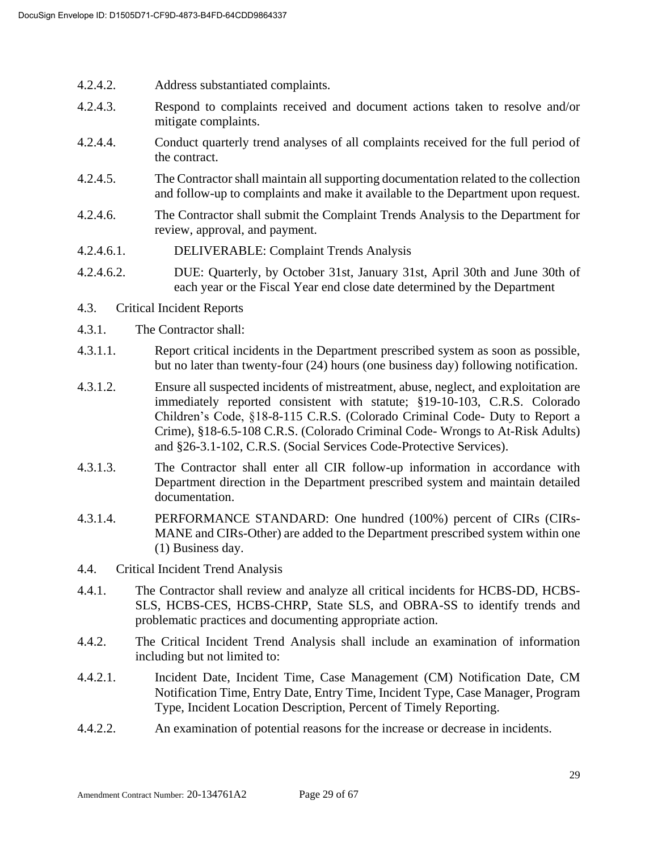- 4.2.4.2. Address substantiated complaints.
- 4.2.4.3. Respond to complaints received and document actions taken to resolve and/or mitigate complaints.
- 4.2.4.4. Conduct quarterly trend analyses of all complaints received for the full period of the contract.
- 4.2.4.5. The Contractor shall maintain all supporting documentation related to the collection and follow-up to complaints and make it available to the Department upon request.
- 4.2.4.6. The Contractor shall submit the Complaint Trends Analysis to the Department for review, approval, and payment.
- 4.2.4.6.1. DELIVERABLE: Complaint Trends Analysis
- 4.2.4.6.2. DUE: Quarterly, by October 31st, January 31st, April 30th and June 30th of each year or the Fiscal Year end close date determined by the Department
- 4.3. Critical Incident Reports
- 4.3.1. The Contractor shall:
- 4.3.1.1. Report critical incidents in the Department prescribed system as soon as possible, but no later than twenty-four (24) hours (one business day) following notification.
- 4.3.1.2. Ensure all suspected incidents of mistreatment, abuse, neglect, and exploitation are immediately reported consistent with statute; §19-10-103, C.R.S. Colorado Children's Code, §18-8-115 C.R.S. (Colorado Criminal Code- Duty to Report a Crime), §18-6.5-108 C.R.S. (Colorado Criminal Code- Wrongs to At-Risk Adults) and §26-3.1-102, C.R.S. (Social Services Code-Protective Services).
- 4.3.1.3. The Contractor shall enter all CIR follow-up information in accordance with Department direction in the Department prescribed system and maintain detailed documentation.
- 4.3.1.4. PERFORMANCE STANDARD: One hundred (100%) percent of CIRs (CIRs-MANE and CIRs-Other) are added to the Department prescribed system within one (1) Business day.
- 4.4. Critical Incident Trend Analysis
- 4.4.1. The Contractor shall review and analyze all critical incidents for HCBS-DD, HCBS-SLS, HCBS-CES, HCBS-CHRP, State SLS, and OBRA-SS to identify trends and problematic practices and documenting appropriate action.
- 4.4.2. The Critical Incident Trend Analysis shall include an examination of information including but not limited to:
- 4.4.2.1. Incident Date, Incident Time, Case Management (CM) Notification Date, CM Notification Time, Entry Date, Entry Time, Incident Type, Case Manager, Program Type, Incident Location Description, Percent of Timely Reporting.
- 4.4.2.2. An examination of potential reasons for the increase or decrease in incidents.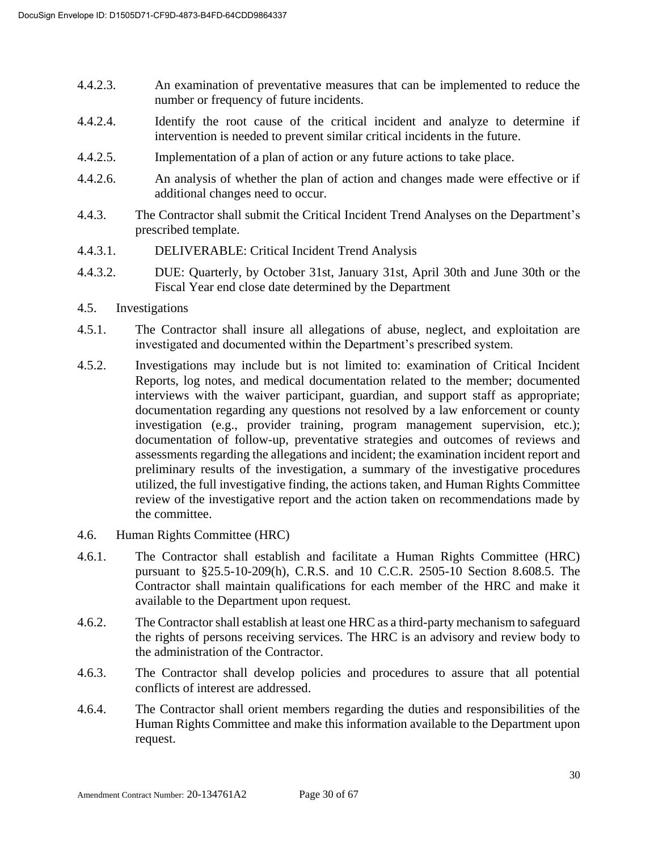- 4.4.2.3. An examination of preventative measures that can be implemented to reduce the number or frequency of future incidents.
- 4.4.2.4. Identify the root cause of the critical incident and analyze to determine if intervention is needed to prevent similar critical incidents in the future.
- 4.4.2.5. Implementation of a plan of action or any future actions to take place.
- 4.4.2.6. An analysis of whether the plan of action and changes made were effective or if additional changes need to occur.
- 4.4.3. The Contractor shall submit the Critical Incident Trend Analyses on the Department's prescribed template.
- 4.4.3.1. DELIVERABLE: Critical Incident Trend Analysis
- 4.4.3.2. DUE: Quarterly, by October 31st, January 31st, April 30th and June 30th or the Fiscal Year end close date determined by the Department
- 4.5. Investigations
- 4.5.1. The Contractor shall insure all allegations of abuse, neglect, and exploitation are investigated and documented within the Department's prescribed system.
- 4.5.2. Investigations may include but is not limited to: examination of Critical Incident Reports, log notes, and medical documentation related to the member; documented interviews with the waiver participant, guardian, and support staff as appropriate; documentation regarding any questions not resolved by a law enforcement or county investigation (e.g., provider training, program management supervision, etc.); documentation of follow-up, preventative strategies and outcomes of reviews and assessments regarding the allegations and incident; the examination incident report and preliminary results of the investigation, a summary of the investigative procedures utilized, the full investigative finding, the actions taken, and Human Rights Committee review of the investigative report and the action taken on recommendations made by the committee.
- 4.6. Human Rights Committee (HRC)
- 4.6.1. The Contractor shall establish and facilitate a Human Rights Committee (HRC) pursuant to §25.5-10-209(h), C.R.S. and 10 C.C.R. 2505-10 Section 8.608.5. The Contractor shall maintain qualifications for each member of the HRC and make it available to the Department upon request.
- 4.6.2. The Contractor shall establish at least one HRC as a third-party mechanism to safeguard the rights of persons receiving services. The HRC is an advisory and review body to the administration of the Contractor.
- 4.6.3. The Contractor shall develop policies and procedures to assure that all potential conflicts of interest are addressed.
- 4.6.4. The Contractor shall orient members regarding the duties and responsibilities of the Human Rights Committee and make this information available to the Department upon request.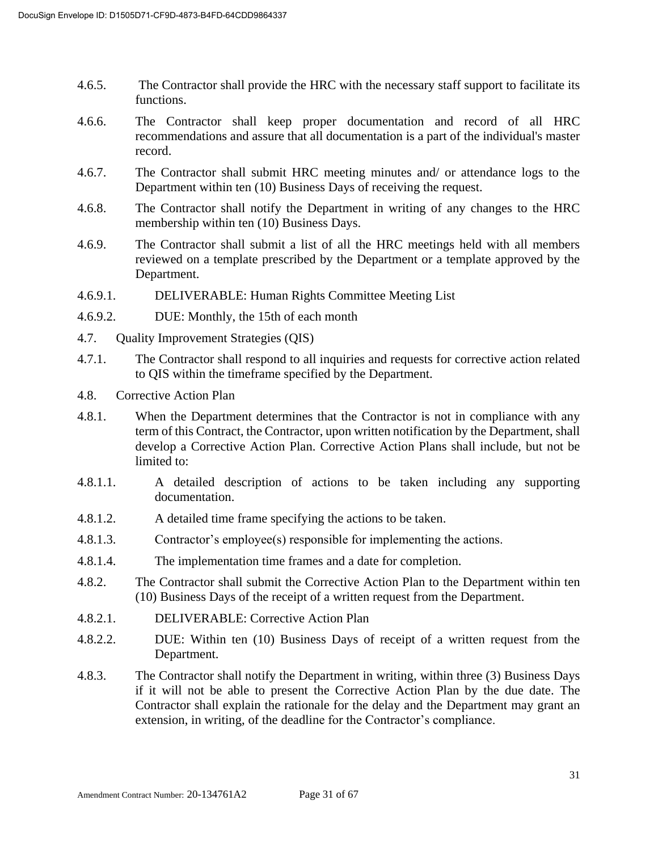- 4.6.5. The Contractor shall provide the HRC with the necessary staff support to facilitate its functions.
- 4.6.6. The Contractor shall keep proper documentation and record of all HRC recommendations and assure that all documentation is a part of the individual's master record.
- 4.6.7. The Contractor shall submit HRC meeting minutes and/ or attendance logs to the Department within ten (10) Business Days of receiving the request.
- 4.6.8. The Contractor shall notify the Department in writing of any changes to the HRC membership within ten (10) Business Days.
- 4.6.9. The Contractor shall submit a list of all the HRC meetings held with all members reviewed on a template prescribed by the Department or a template approved by the Department.
- 4.6.9.1. DELIVERABLE: Human Rights Committee Meeting List
- 4.6.9.2. DUE: Monthly, the 15th of each month
- 4.7. Quality Improvement Strategies (QIS)
- 4.7.1. The Contractor shall respond to all inquiries and requests for corrective action related to QIS within the timeframe specified by the Department.
- 4.8. Corrective Action Plan
- 4.8.1. When the Department determines that the Contractor is not in compliance with any term of this Contract, the Contractor, upon written notification by the Department, shall develop a Corrective Action Plan. Corrective Action Plans shall include, but not be limited to:
- 4.8.1.1. A detailed description of actions to be taken including any supporting documentation.
- 4.8.1.2. A detailed time frame specifying the actions to be taken.
- 4.8.1.3. Contractor's employee(s) responsible for implementing the actions.
- 4.8.1.4. The implementation time frames and a date for completion.
- 4.8.2. The Contractor shall submit the Corrective Action Plan to the Department within ten (10) Business Days of the receipt of a written request from the Department.
- 4.8.2.1. DELIVERABLE: Corrective Action Plan
- 4.8.2.2. DUE: Within ten (10) Business Days of receipt of a written request from the Department.
- 4.8.3. The Contractor shall notify the Department in writing, within three (3) Business Days if it will not be able to present the Corrective Action Plan by the due date. The Contractor shall explain the rationale for the delay and the Department may grant an extension, in writing, of the deadline for the Contractor's compliance.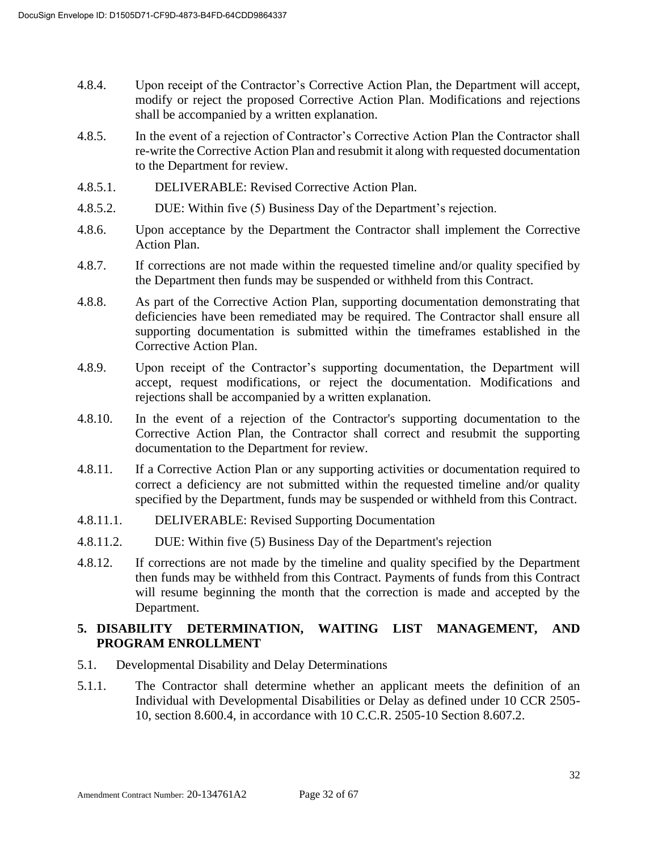- 4.8.4. Upon receipt of the Contractor's Corrective Action Plan, the Department will accept, modify or reject the proposed Corrective Action Plan. Modifications and rejections shall be accompanied by a written explanation.
- 4.8.5. In the event of a rejection of Contractor's Corrective Action Plan the Contractor shall re-write the Corrective Action Plan and resubmit it along with requested documentation to the Department for review.
- 4.8.5.1. DELIVERABLE: Revised Corrective Action Plan.
- 4.8.5.2. DUE: Within five (5) Business Day of the Department's rejection.
- 4.8.6. Upon acceptance by the Department the Contractor shall implement the Corrective Action Plan.
- 4.8.7. If corrections are not made within the requested timeline and/or quality specified by the Department then funds may be suspended or withheld from this Contract.
- 4.8.8. As part of the Corrective Action Plan, supporting documentation demonstrating that deficiencies have been remediated may be required. The Contractor shall ensure all supporting documentation is submitted within the timeframes established in the Corrective Action Plan.
- 4.8.9. Upon receipt of the Contractor's supporting documentation, the Department will accept, request modifications, or reject the documentation. Modifications and rejections shall be accompanied by a written explanation.
- 4.8.10. In the event of a rejection of the Contractor's supporting documentation to the Corrective Action Plan, the Contractor shall correct and resubmit the supporting documentation to the Department for review.
- 4.8.11. If a Corrective Action Plan or any supporting activities or documentation required to correct a deficiency are not submitted within the requested timeline and/or quality specified by the Department, funds may be suspended or withheld from this Contract.
- 4.8.11.1. DELIVERABLE: Revised Supporting Documentation
- 4.8.11.2. DUE: Within five (5) Business Day of the Department's rejection
- 4.8.12. If corrections are not made by the timeline and quality specified by the Department then funds may be withheld from this Contract. Payments of funds from this Contract will resume beginning the month that the correction is made and accepted by the Department.

## **5. DISABILITY DETERMINATION, WAITING LIST MANAGEMENT, AND PROGRAM ENROLLMENT**

- 5.1. Developmental Disability and Delay Determinations
- 5.1.1. The Contractor shall determine whether an applicant meets the definition of an Individual with Developmental Disabilities or Delay as defined under 10 CCR 2505- 10, section 8.600.4, in accordance with 10 C.C.R. 2505-10 Section 8.607.2.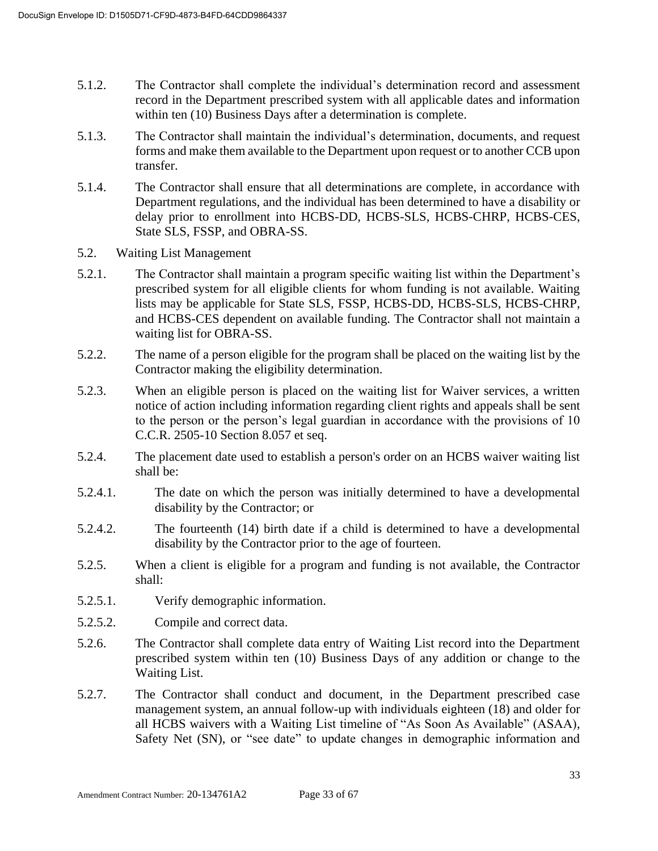- 5.1.2. The Contractor shall complete the individual's determination record and assessment record in the Department prescribed system with all applicable dates and information within ten (10) Business Days after a determination is complete.
- 5.1.3. The Contractor shall maintain the individual's determination, documents, and request forms and make them available to the Department upon request or to another CCB upon transfer.
- 5.1.4. The Contractor shall ensure that all determinations are complete, in accordance with Department regulations, and the individual has been determined to have a disability or delay prior to enrollment into HCBS-DD, HCBS-SLS, HCBS-CHRP, HCBS-CES, State SLS, FSSP, and OBRA-SS.
- 5.2. Waiting List Management
- 5.2.1. The Contractor shall maintain a program specific waiting list within the Department's prescribed system for all eligible clients for whom funding is not available. Waiting lists may be applicable for State SLS, FSSP, HCBS-DD, HCBS-SLS, HCBS-CHRP, and HCBS-CES dependent on available funding. The Contractor shall not maintain a waiting list for OBRA-SS.
- 5.2.2. The name of a person eligible for the program shall be placed on the waiting list by the Contractor making the eligibility determination.
- 5.2.3. When an eligible person is placed on the waiting list for Waiver services, a written notice of action including information regarding client rights and appeals shall be sent to the person or the person's legal guardian in accordance with the provisions of 10 C.C.R. 2505-10 Section 8.057 et seq.
- 5.2.4. The placement date used to establish a person's order on an HCBS waiver waiting list shall be:
- 5.2.4.1. The date on which the person was initially determined to have a developmental disability by the Contractor; or
- 5.2.4.2. The fourteenth (14) birth date if a child is determined to have a developmental disability by the Contractor prior to the age of fourteen.
- 5.2.5. When a client is eligible for a program and funding is not available, the Contractor shall:
- 5.2.5.1. Verify demographic information.
- 5.2.5.2. Compile and correct data.
- 5.2.6. The Contractor shall complete data entry of Waiting List record into the Department prescribed system within ten (10) Business Days of any addition or change to the Waiting List.
- 5.2.7. The Contractor shall conduct and document, in the Department prescribed case management system, an annual follow-up with individuals eighteen (18) and older for all HCBS waivers with a Waiting List timeline of "As Soon As Available" (ASAA), Safety Net (SN), or "see date" to update changes in demographic information and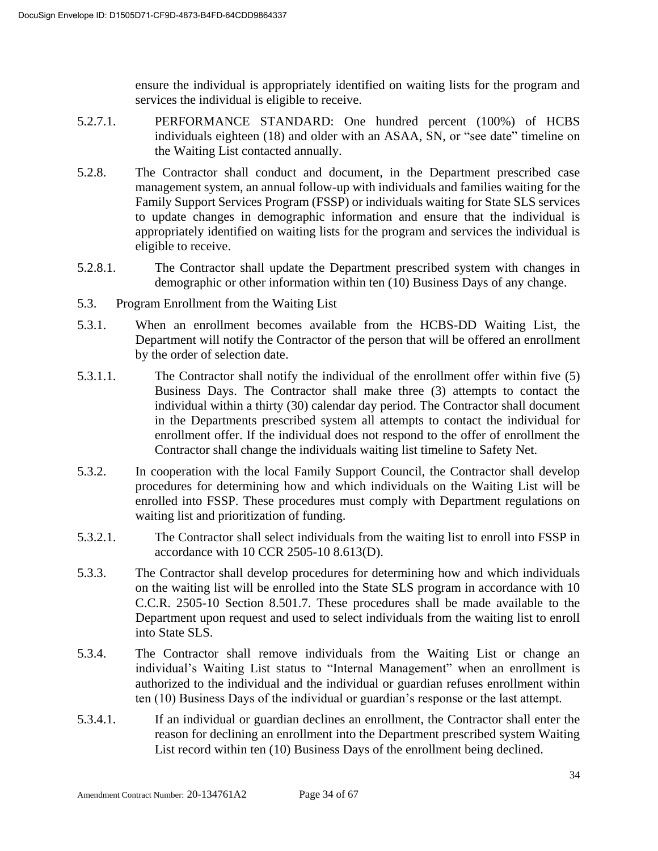ensure the individual is appropriately identified on waiting lists for the program and services the individual is eligible to receive.

- 5.2.7.1. PERFORMANCE STANDARD: One hundred percent (100%) of HCBS individuals eighteen (18) and older with an ASAA, SN, or "see date" timeline on the Waiting List contacted annually.
- 5.2.8. The Contractor shall conduct and document, in the Department prescribed case management system, an annual follow-up with individuals and families waiting for the Family Support Services Program (FSSP) or individuals waiting for State SLS services to update changes in demographic information and ensure that the individual is appropriately identified on waiting lists for the program and services the individual is eligible to receive.
- 5.2.8.1. The Contractor shall update the Department prescribed system with changes in demographic or other information within ten (10) Business Days of any change.
- 5.3. Program Enrollment from the Waiting List
- 5.3.1. When an enrollment becomes available from the HCBS-DD Waiting List, the Department will notify the Contractor of the person that will be offered an enrollment by the order of selection date.
- 5.3.1.1. The Contractor shall notify the individual of the enrollment offer within five (5) Business Days. The Contractor shall make three (3) attempts to contact the individual within a thirty (30) calendar day period. The Contractor shall document in the Departments prescribed system all attempts to contact the individual for enrollment offer. If the individual does not respond to the offer of enrollment the Contractor shall change the individuals waiting list timeline to Safety Net.
- 5.3.2. In cooperation with the local Family Support Council, the Contractor shall develop procedures for determining how and which individuals on the Waiting List will be enrolled into FSSP. These procedures must comply with Department regulations on waiting list and prioritization of funding.
- 5.3.2.1. The Contractor shall select individuals from the waiting list to enroll into FSSP in accordance with 10 CCR 2505-10 8.613(D).
- 5.3.3. The Contractor shall develop procedures for determining how and which individuals on the waiting list will be enrolled into the State SLS program in accordance with 10 C.C.R. 2505-10 Section 8.501.7. These procedures shall be made available to the Department upon request and used to select individuals from the waiting list to enroll into State SLS.
- 5.3.4. The Contractor shall remove individuals from the Waiting List or change an individual's Waiting List status to "Internal Management" when an enrollment is authorized to the individual and the individual or guardian refuses enrollment within ten (10) Business Days of the individual or guardian's response or the last attempt.
- 5.3.4.1. If an individual or guardian declines an enrollment, the Contractor shall enter the reason for declining an enrollment into the Department prescribed system Waiting List record within ten (10) Business Days of the enrollment being declined.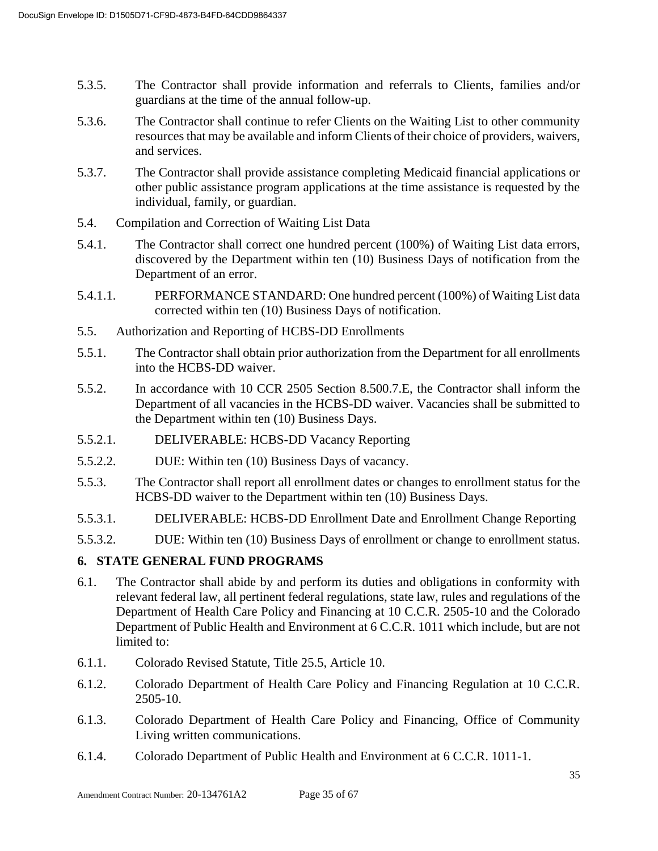- 5.3.5. The Contractor shall provide information and referrals to Clients, families and/or guardians at the time of the annual follow-up.
- 5.3.6. The Contractor shall continue to refer Clients on the Waiting List to other community resources that may be available and inform Clients of their choice of providers, waivers, and services.
- 5.3.7. The Contractor shall provide assistance completing Medicaid financial applications or other public assistance program applications at the time assistance is requested by the individual, family, or guardian.
- 5.4. Compilation and Correction of Waiting List Data
- 5.4.1. The Contractor shall correct one hundred percent (100%) of Waiting List data errors, discovered by the Department within ten (10) Business Days of notification from the Department of an error.
- 5.4.1.1. PERFORMANCE STANDARD: One hundred percent (100%) of Waiting List data corrected within ten (10) Business Days of notification.
- 5.5. Authorization and Reporting of HCBS-DD Enrollments
- 5.5.1. The Contractor shall obtain prior authorization from the Department for all enrollments into the HCBS-DD waiver.
- 5.5.2. In accordance with 10 CCR 2505 Section 8.500.7.E, the Contractor shall inform the Department of all vacancies in the HCBS-DD waiver. Vacancies shall be submitted to the Department within ten (10) Business Days.
- 5.5.2.1. DELIVERABLE: HCBS-DD Vacancy Reporting
- 5.5.2.2. DUE: Within ten (10) Business Days of vacancy.
- 5.5.3. The Contractor shall report all enrollment dates or changes to enrollment status for the HCBS-DD waiver to the Department within ten (10) Business Days.
- 5.5.3.1. DELIVERABLE: HCBS-DD Enrollment Date and Enrollment Change Reporting
- 5.5.3.2. DUE: Within ten (10) Business Days of enrollment or change to enrollment status.

#### **6. STATE GENERAL FUND PROGRAMS**

- 6.1. The Contractor shall abide by and perform its duties and obligations in conformity with relevant federal law, all pertinent federal regulations, state law, rules and regulations of the Department of Health Care Policy and Financing at 10 C.C.R. 2505-10 and the Colorado Department of Public Health and Environment at 6 C.C.R. 1011 which include, but are not limited to:
- 6.1.1. Colorado Revised Statute, Title 25.5, Article 10.
- 6.1.2. Colorado Department of Health Care Policy and Financing Regulation at 10 C.C.R. 2505-10.
- 6.1.3. Colorado Department of Health Care Policy and Financing, Office of Community Living written communications.
- 6.1.4. Colorado Department of Public Health and Environment at 6 C.C.R. 1011-1.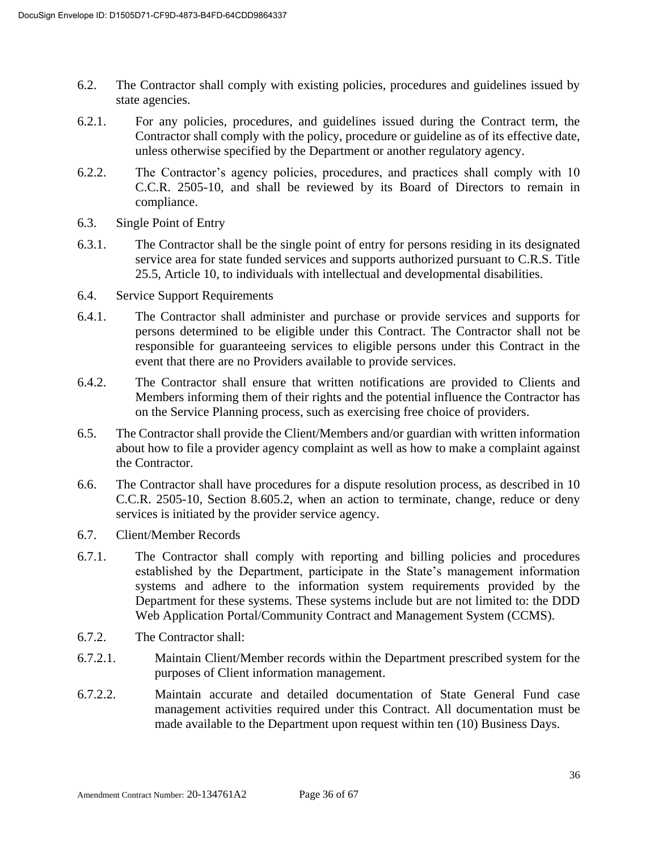- 6.2. The Contractor shall comply with existing policies, procedures and guidelines issued by state agencies.
- 6.2.1. For any policies, procedures, and guidelines issued during the Contract term, the Contractor shall comply with the policy, procedure or guideline as of its effective date, unless otherwise specified by the Department or another regulatory agency.
- 6.2.2. The Contractor's agency policies, procedures, and practices shall comply with 10 C.C.R. 2505-10, and shall be reviewed by its Board of Directors to remain in compliance.
- 6.3. Single Point of Entry
- 6.3.1. The Contractor shall be the single point of entry for persons residing in its designated service area for state funded services and supports authorized pursuant to C.R.S. Title 25.5, Article 10, to individuals with intellectual and developmental disabilities.
- 6.4. Service Support Requirements
- 6.4.1. The Contractor shall administer and purchase or provide services and supports for persons determined to be eligible under this Contract. The Contractor shall not be responsible for guaranteeing services to eligible persons under this Contract in the event that there are no Providers available to provide services.
- 6.4.2. The Contractor shall ensure that written notifications are provided to Clients and Members informing them of their rights and the potential influence the Contractor has on the Service Planning process, such as exercising free choice of providers.
- 6.5. The Contractor shall provide the Client/Members and/or guardian with written information about how to file a provider agency complaint as well as how to make a complaint against the Contractor.
- 6.6. The Contractor shall have procedures for a dispute resolution process, as described in 10 C.C.R. 2505-10, Section 8.605.2, when an action to terminate, change, reduce or deny services is initiated by the provider service agency.
- 6.7. Client/Member Records
- 6.7.1. The Contractor shall comply with reporting and billing policies and procedures established by the Department, participate in the State's management information systems and adhere to the information system requirements provided by the Department for these systems. These systems include but are not limited to: the DDD Web Application Portal/Community Contract and Management System (CCMS).
- 6.7.2. The Contractor shall:
- 6.7.2.1. Maintain Client/Member records within the Department prescribed system for the purposes of Client information management.
- 6.7.2.2. Maintain accurate and detailed documentation of State General Fund case management activities required under this Contract. All documentation must be made available to the Department upon request within ten (10) Business Days.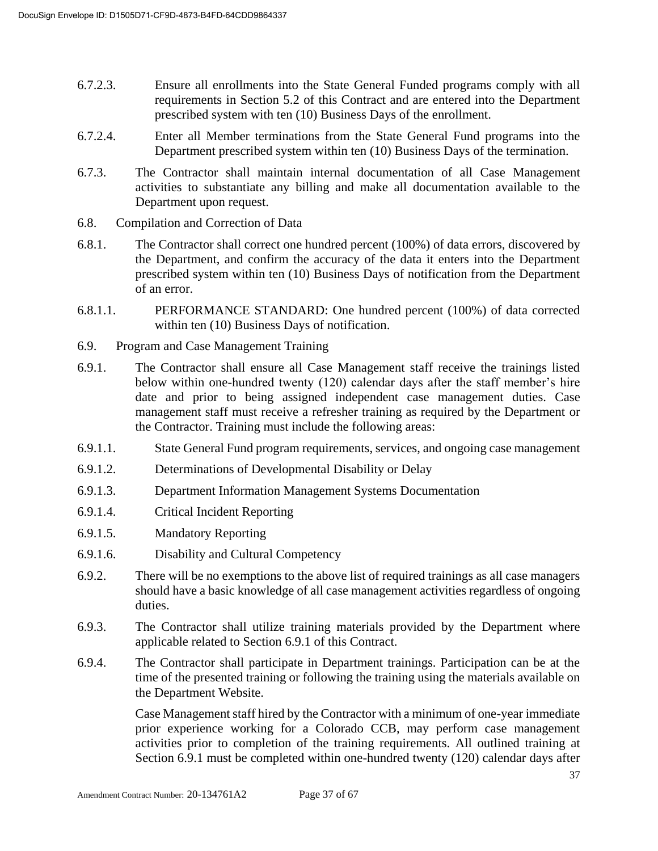- 6.7.2.3. Ensure all enrollments into the State General Funded programs comply with all requirements in Section 5.2 of this Contract and are entered into the Department prescribed system with ten (10) Business Days of the enrollment.
- 6.7.2.4. Enter all Member terminations from the State General Fund programs into the Department prescribed system within ten (10) Business Days of the termination.
- 6.7.3. The Contractor shall maintain internal documentation of all Case Management activities to substantiate any billing and make all documentation available to the Department upon request.
- 6.8. Compilation and Correction of Data
- 6.8.1. The Contractor shall correct one hundred percent (100%) of data errors, discovered by the Department, and confirm the accuracy of the data it enters into the Department prescribed system within ten (10) Business Days of notification from the Department of an error.
- 6.8.1.1. PERFORMANCE STANDARD: One hundred percent (100%) of data corrected within ten (10) Business Days of notification.
- 6.9. Program and Case Management Training
- 6.9.1. The Contractor shall ensure all Case Management staff receive the trainings listed below within one-hundred twenty (120) calendar days after the staff member's hire date and prior to being assigned independent case management duties. Case management staff must receive a refresher training as required by the Department or the Contractor. Training must include the following areas:
- 6.9.1.1. State General Fund program requirements, services, and ongoing case management
- 6.9.1.2. Determinations of Developmental Disability or Delay
- 6.9.1.3. Department Information Management Systems Documentation
- 6.9.1.4. Critical Incident Reporting
- 6.9.1.5. Mandatory Reporting
- 6.9.1.6. Disability and Cultural Competency
- 6.9.2. There will be no exemptions to the above list of required trainings as all case managers should have a basic knowledge of all case management activities regardless of ongoing duties.
- 6.9.3. The Contractor shall utilize training materials provided by the Department where applicable related to Section 6.9.1 of this Contract.
- 6.9.4. The Contractor shall participate in Department trainings. Participation can be at the time of the presented training or following the training using the materials available on the Department Website.

Case Management staff hired by the Contractor with a minimum of one-year immediate prior experience working for a Colorado CCB, may perform case management activities prior to completion of the training requirements. All outlined training at Section 6.9.1 must be completed within one-hundred twenty (120) calendar days after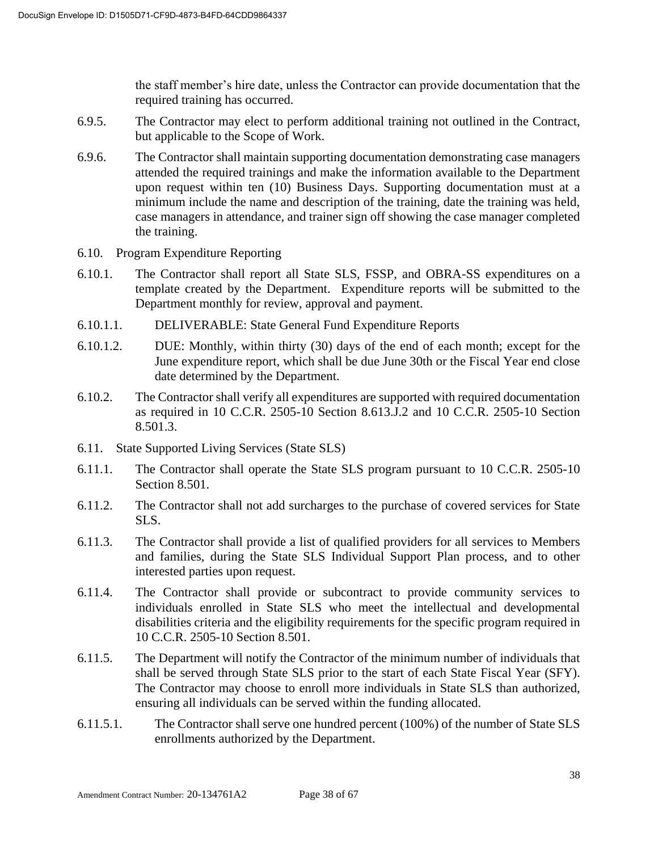the staff member's hire date, unless the Contractor can provide documentation that the required training has occurred.

- 6.9.5. The Contractor may elect to perform additional training not outlined in the Contract, but applicable to the Scope of Work.
- 6.9.6. The Contractor shall maintain supporting documentation demonstrating case managers attended the required trainings and make the information available to the Department upon request within ten (10) Business Days. Supporting documentation must at a minimum include the name and description of the training, date the training was held, case managers in attendance, and trainer sign off showing the case manager completed the training.
- 6.10. Program Expenditure Reporting
- 6.10.1. The Contractor shall report all State SLS, FSSP, and OBRA-SS expenditures on a template created by the Department. Expenditure reports will be submitted to the Department monthly for review, approval and payment.
- 6.10.1.1. DELIVERABLE: State General Fund Expenditure Reports
- 6.10.1.2. DUE: Monthly, within thirty (30) days of the end of each month; except for the June expenditure report, which shall be due June 30th or the Fiscal Year end close date determined by the Department.
- 6.10.2. The Contractor shall verify all expenditures are supported with required documentation as required in 10 C.C.R. 2505-10 Section 8.613.J.2 and 10 C.C.R. 2505-10 Section 8.501.3.
- 6.11. State Supported Living Services (State SLS)
- 6.11.1. The Contractor shall operate the State SLS program pursuant to 10 C.C.R. 2505-10 Section 8.501.
- 6.11.2. The Contractor shall not add surcharges to the purchase of covered services for State SLS.
- 6.11.3. The Contractor shall provide a list of qualified providers for all services to Members and families, during the State SLS Individual Support Plan process, and to other interested parties upon request.
- 6.11.4. The Contractor shall provide or subcontract to provide community services to individuals enrolled in State SLS who meet the intellectual and developmental disabilities criteria and the eligibility requirements for the specific program required in 10 C.C.R. 2505-10 Section 8.501.
- 6.11.5. The Department will notify the Contractor of the minimum number of individuals that shall be served through State SLS prior to the start of each State Fiscal Year (SFY). The Contractor may choose to enroll more individuals in State SLS than authorized, ensuring all individuals can be served within the funding allocated.
- 6.11.5.1. The Contractor shall serve one hundred percent (100%) of the number of State SLS enrollments authorized by the Department.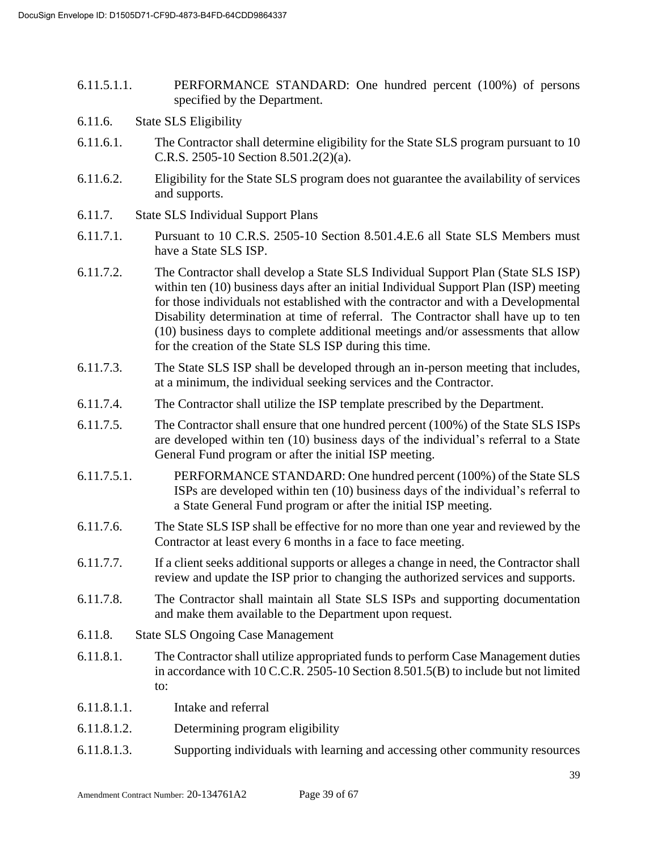- 6.11.5.1.1. PERFORMANCE STANDARD: One hundred percent (100%) of persons specified by the Department.
- 6.11.6. State SLS Eligibility
- 6.11.6.1. The Contractor shall determine eligibility for the State SLS program pursuant to 10 C.R.S. 2505-10 Section 8.501.2(2)(a).
- 6.11.6.2. Eligibility for the State SLS program does not guarantee the availability of services and supports.
- 6.11.7. State SLS Individual Support Plans
- 6.11.7.1. Pursuant to 10 C.R.S. 2505-10 Section 8.501.4.E.6 all State SLS Members must have a State SLS ISP.
- 6.11.7.2. The Contractor shall develop a State SLS Individual Support Plan (State SLS ISP) within ten (10) business days after an initial Individual Support Plan (ISP) meeting for those individuals not established with the contractor and with a Developmental Disability determination at time of referral. The Contractor shall have up to ten (10) business days to complete additional meetings and/or assessments that allow for the creation of the State SLS ISP during this time.
- 6.11.7.3. The State SLS ISP shall be developed through an in-person meeting that includes, at a minimum, the individual seeking services and the Contractor.
- 6.11.7.4. The Contractor shall utilize the ISP template prescribed by the Department.
- 6.11.7.5. The Contractor shall ensure that one hundred percent (100%) of the State SLS ISPs are developed within ten (10) business days of the individual's referral to a State General Fund program or after the initial ISP meeting.
- 6.11.7.5.1. PERFORMANCE STANDARD: One hundred percent (100%) of the State SLS ISPs are developed within ten (10) business days of the individual's referral to a State General Fund program or after the initial ISP meeting.
- 6.11.7.6. The State SLS ISP shall be effective for no more than one year and reviewed by the Contractor at least every 6 months in a face to face meeting.
- 6.11.7.7. If a client seeks additional supports or alleges a change in need, the Contractor shall review and update the ISP prior to changing the authorized services and supports.
- 6.11.7.8. The Contractor shall maintain all State SLS ISPs and supporting documentation and make them available to the Department upon request.
- 6.11.8. State SLS Ongoing Case Management
- 6.11.8.1. The Contractor shall utilize appropriated funds to perform Case Management duties in accordance with 10 C.C.R. 2505-10 Section 8.501.5(B) to include but not limited to:
- 6.11.8.1.1. Intake and referral
- 6.11.8.1.2. Determining program eligibility
- 6.11.8.1.3. Supporting individuals with learning and accessing other community resources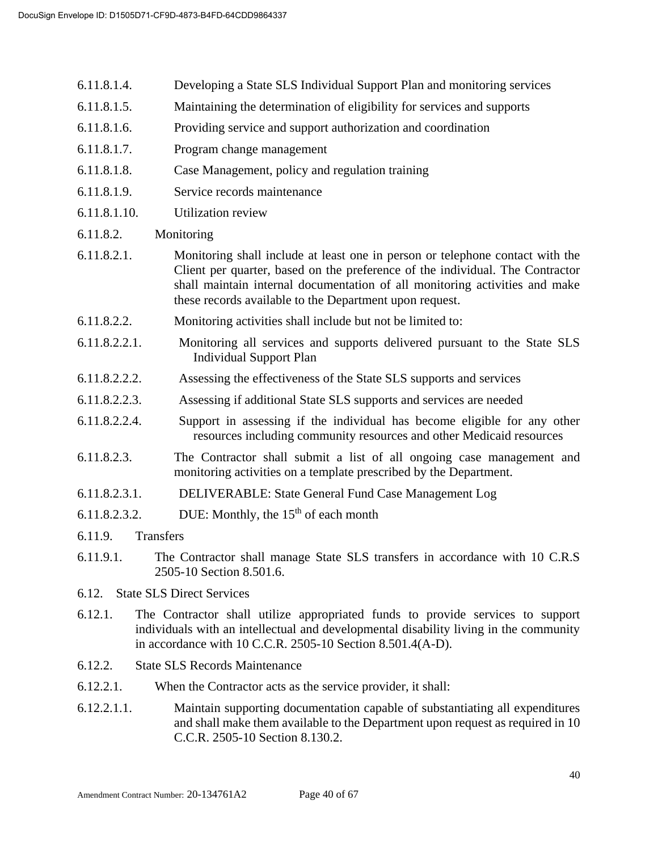- 6.11.8.1.4. Developing a State SLS Individual Support Plan and monitoring services
- 6.11.8.1.5. Maintaining the determination of eligibility for services and supports
- 6.11.8.1.6. Providing service and support authorization and coordination
- 6.11.8.1.7. Program change management
- 6.11.8.1.8. Case Management, policy and regulation training
- 6.11.8.1.9. Service records maintenance
- 6.11.8.1.10. Utilization review
- 6.11.8.2. Monitoring
- 6.11.8.2.1. Monitoring shall include at least one in person or telephone contact with the Client per quarter, based on the preference of the individual. The Contractor shall maintain internal documentation of all monitoring activities and make these records available to the Department upon request.
- 6.11.8.2.2. Monitoring activities shall include but not be limited to:
- 6.11.8.2.2.1. Monitoring all services and supports delivered pursuant to the State SLS Individual Support Plan
- 6.11.8.2.2.2. Assessing the effectiveness of the State SLS supports and services
- 6.11.8.2.2.3. Assessing if additional State SLS supports and services are needed
- 6.11.8.2.2.4. Support in assessing if the individual has become eligible for any other resources including community resources and other Medicaid resources
- 6.11.8.2.3. The Contractor shall submit a list of all ongoing case management and monitoring activities on a template prescribed by the Department.
- 6.11.8.2.3.1. DELIVERABLE: State General Fund Case Management Log
- 6.11.8.2.3.2. DUE: Monthly, the  $15<sup>th</sup>$  of each month
- 6.11.9. Transfers
- 6.11.9.1. The Contractor shall manage State SLS transfers in accordance with 10 C.R.S 2505-10 Section 8.501.6.
- 6.12. State SLS Direct Services
- 6.12.1. The Contractor shall utilize appropriated funds to provide services to support individuals with an intellectual and developmental disability living in the community in accordance with 10 C.C.R. 2505-10 Section 8.501.4(A-D).
- 6.12.2. State SLS Records Maintenance
- 6.12.2.1. When the Contractor acts as the service provider, it shall:
- 6.12.2.1.1. Maintain supporting documentation capable of substantiating all expenditures and shall make them available to the Department upon request as required in 10 C.C.R. 2505-10 Section 8.130.2.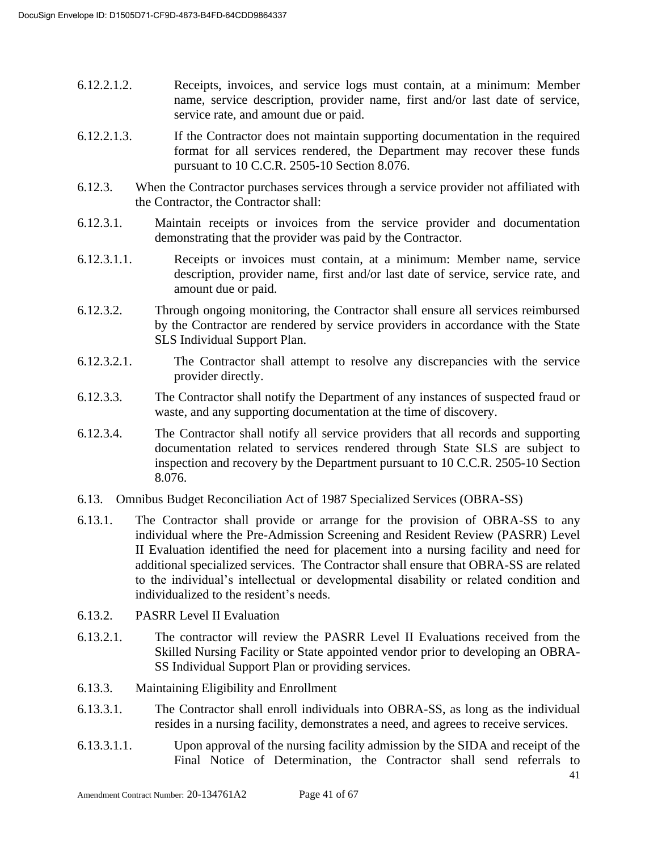- 6.12.2.1.2. Receipts, invoices, and service logs must contain, at a minimum: Member name, service description, provider name, first and/or last date of service, service rate, and amount due or paid.
- 6.12.2.1.3. If the Contractor does not maintain supporting documentation in the required format for all services rendered, the Department may recover these funds pursuant to 10 C.C.R. 2505-10 Section 8.076.
- 6.12.3. When the Contractor purchases services through a service provider not affiliated with the Contractor, the Contractor shall:
- 6.12.3.1. Maintain receipts or invoices from the service provider and documentation demonstrating that the provider was paid by the Contractor.
- 6.12.3.1.1. Receipts or invoices must contain, at a minimum: Member name, service description, provider name, first and/or last date of service, service rate, and amount due or paid.
- 6.12.3.2. Through ongoing monitoring, the Contractor shall ensure all services reimbursed by the Contractor are rendered by service providers in accordance with the State SLS Individual Support Plan.
- 6.12.3.2.1. The Contractor shall attempt to resolve any discrepancies with the service provider directly.
- 6.12.3.3. The Contractor shall notify the Department of any instances of suspected fraud or waste, and any supporting documentation at the time of discovery.
- 6.12.3.4. The Contractor shall notify all service providers that all records and supporting documentation related to services rendered through State SLS are subject to inspection and recovery by the Department pursuant to 10 C.C.R. 2505-10 Section 8.076.
- 6.13. Omnibus Budget Reconciliation Act of 1987 Specialized Services (OBRA**-**SS)
- 6.13.1. The Contractor shall provide or arrange for the provision of OBRA-SS to any individual where the Pre-Admission Screening and Resident Review (PASRR) Level II Evaluation identified the need for placement into a nursing facility and need for additional specialized services. The Contractor shall ensure that OBRA-SS are related to the individual's intellectual or developmental disability or related condition and individualized to the resident's needs.
- 6.13.2. PASRR Level II Evaluation
- 6.13.2.1. The contractor will review the PASRR Level II Evaluations received from the Skilled Nursing Facility or State appointed vendor prior to developing an OBRA-SS Individual Support Plan or providing services.
- 6.13.3. Maintaining Eligibility and Enrollment
- 6.13.3.1. The Contractor shall enroll individuals into OBRA-SS, as long as the individual resides in a nursing facility, demonstrates a need, and agrees to receive services.
- 6.13.3.1.1. Upon approval of the nursing facility admission by the SIDA and receipt of the Final Notice of Determination, the Contractor shall send referrals to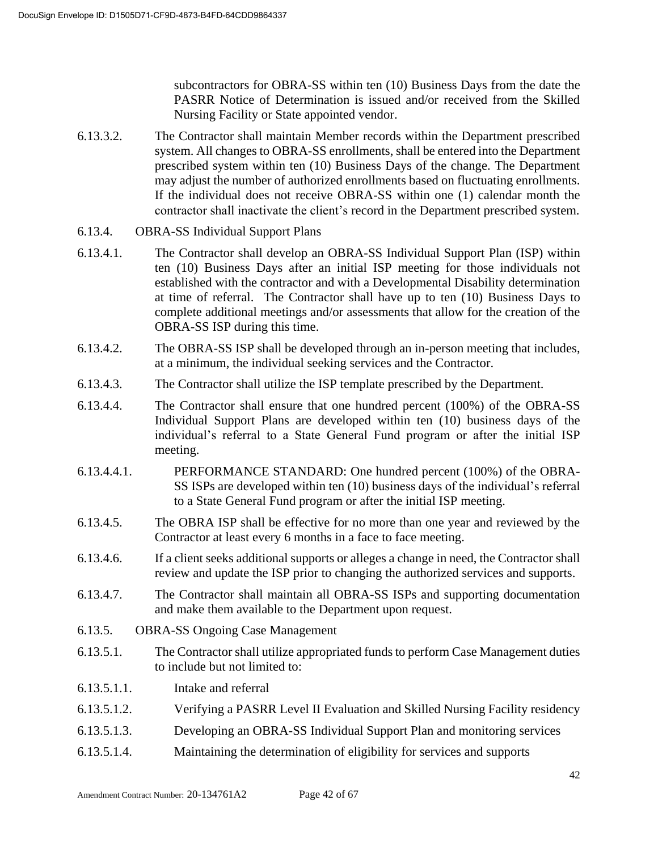subcontractors for OBRA-SS within ten (10) Business Days from the date the PASRR Notice of Determination is issued and/or received from the Skilled Nursing Facility or State appointed vendor.

- 6.13.3.2. The Contractor shall maintain Member records within the Department prescribed system. All changes to OBRA-SS enrollments, shall be entered into the Department prescribed system within ten (10) Business Days of the change. The Department may adjust the number of authorized enrollments based on fluctuating enrollments. If the individual does not receive OBRA-SS within one (1) calendar month the contractor shall inactivate the client's record in the Department prescribed system.
- 6.13.4. OBRA-SS Individual Support Plans
- 6.13.4.1. The Contractor shall develop an OBRA-SS Individual Support Plan (ISP) within ten (10) Business Days after an initial ISP meeting for those individuals not established with the contractor and with a Developmental Disability determination at time of referral. The Contractor shall have up to ten (10) Business Days to complete additional meetings and/or assessments that allow for the creation of the OBRA-SS ISP during this time.
- 6.13.4.2. The OBRA-SS ISP shall be developed through an in-person meeting that includes, at a minimum, the individual seeking services and the Contractor.
- 6.13.4.3. The Contractor shall utilize the ISP template prescribed by the Department.
- 6.13.4.4. The Contractor shall ensure that one hundred percent (100%) of the OBRA-SS Individual Support Plans are developed within ten (10) business days of the individual's referral to a State General Fund program or after the initial ISP meeting.
- 6.13.4.4.1. PERFORMANCE STANDARD: One hundred percent (100%) of the OBRA-SS ISPs are developed within ten (10) business days of the individual's referral to a State General Fund program or after the initial ISP meeting.
- 6.13.4.5. The OBRA ISP shall be effective for no more than one year and reviewed by the Contractor at least every 6 months in a face to face meeting.
- 6.13.4.6. If a client seeks additional supports or alleges a change in need, the Contractor shall review and update the ISP prior to changing the authorized services and supports.
- 6.13.4.7. The Contractor shall maintain all OBRA-SS ISPs and supporting documentation and make them available to the Department upon request.
- 6.13.5. OBRA-SS Ongoing Case Management
- 6.13.5.1. The Contractor shall utilize appropriated funds to perform Case Management duties to include but not limited to:
- 6.13.5.1.1. Intake and referral
- 6.13.5.1.2. Verifying a PASRR Level II Evaluation and Skilled Nursing Facility residency
- 6.13.5.1.3. Developing an OBRA-SS Individual Support Plan and monitoring services
- 6.13.5.1.4. Maintaining the determination of eligibility for services and supports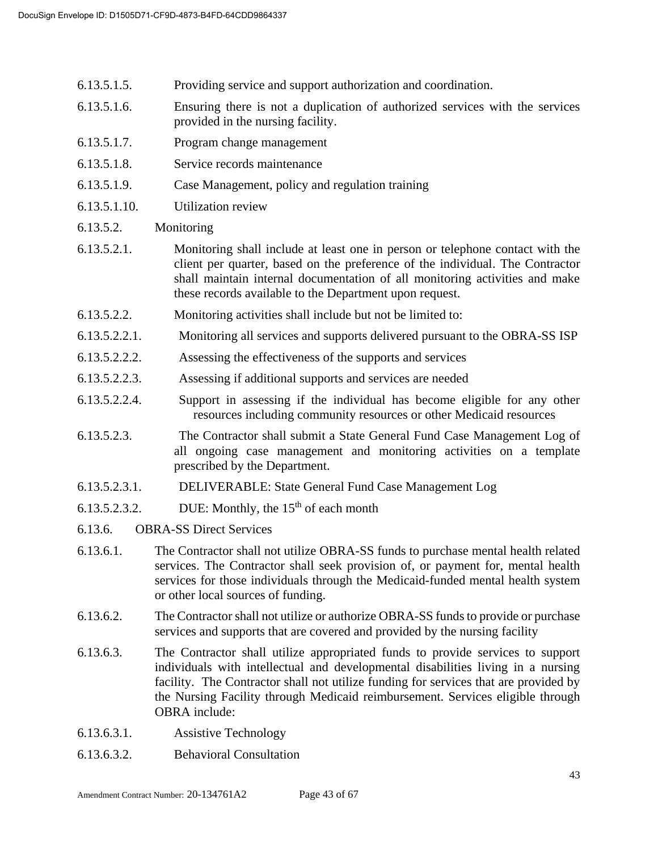- 6.13.5.1.5. Providing service and support authorization and coordination.
- 6.13.5.1.6. Ensuring there is not a duplication of authorized services with the services provided in the nursing facility.
- 6.13.5.1.7. Program change management
- 6.13.5.1.8. Service records maintenance
- 6.13.5.1.9. Case Management, policy and regulation training
- 6.13.5.1.10. Utilization review
- 6.13.5.2. Monitoring
- 6.13.5.2.1. Monitoring shall include at least one in person or telephone contact with the client per quarter, based on the preference of the individual. The Contractor shall maintain internal documentation of all monitoring activities and make these records available to the Department upon request.
- 6.13.5.2.2. Monitoring activities shall include but not be limited to:
- 6.13.5.2.2.1. Monitoring all services and supports delivered pursuant to the OBRA-SS ISP
- 6.13.5.2.2.2. Assessing the effectiveness of the supports and services
- 6.13.5.2.2.3. Assessing if additional supports and services are needed
- 6.13.5.2.2.4. Support in assessing if the individual has become eligible for any other resources including community resources or other Medicaid resources
- 6.13.5.2.3. The Contractor shall submit a State General Fund Case Management Log of all ongoing case management and monitoring activities on a template prescribed by the Department.
- 6.13.5.2.3.1. DELIVERABLE: State General Fund Case Management Log
- 6.13.5.2.3.2. DUE: Monthly, the  $15<sup>th</sup>$  of each month
- 6.13.6. OBRA-SS Direct Services
- 6.13.6.1. The Contractor shall not utilize OBRA-SS funds to purchase mental health related services. The Contractor shall seek provision of, or payment for, mental health services for those individuals through the Medicaid-funded mental health system or other local sources of funding.
- 6.13.6.2. The Contractor shall not utilize or authorize OBRA-SS funds to provide or purchase services and supports that are covered and provided by the nursing facility
- 6.13.6.3. The Contractor shall utilize appropriated funds to provide services to support individuals with intellectual and developmental disabilities living in a nursing facility. The Contractor shall not utilize funding for services that are provided by the Nursing Facility through Medicaid reimbursement. Services eligible through OBRA include:
- 6.13.6.3.1. Assistive Technology
- 6.13.6.3.2. Behavioral Consultation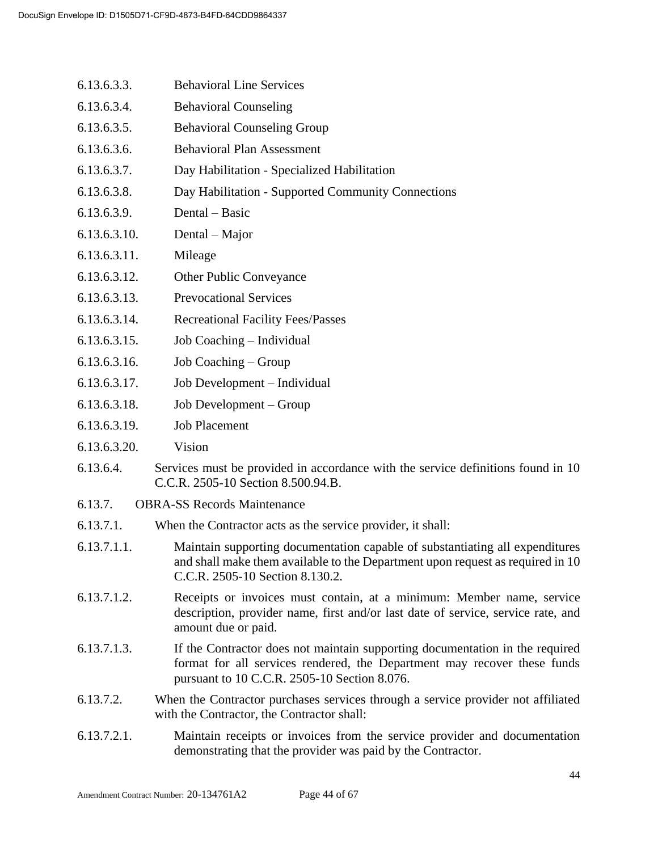- 6.13.6.3.3. Behavioral Line Services
- 6.13.6.3.4. Behavioral Counseling
- 6.13.6.3.5. Behavioral Counseling Group
- 6.13.6.3.6. Behavioral Plan Assessment
- 6.13.6.3.7. Day Habilitation Specialized Habilitation
- 6.13.6.3.8. Day Habilitation Supported Community Connections
- 6.13.6.3.9. Dental Basic
- 6.13.6.3.10. Dental Major
- 6.13.6.3.11. Mileage
- 6.13.6.3.12. Other Public Conveyance
- 6.13.6.3.13. Prevocational Services
- 6.13.6.3.14. Recreational Facility Fees/Passes
- 6.13.6.3.15. Job Coaching Individual
- 6.13.6.3.16. Job Coaching Group
- 6.13.6.3.17. Job Development Individual
- 6.13.6.3.18. Job Development Group
- 6.13.6.3.19. Job Placement
- 6.13.6.3.20. Vision
- 6.13.6.4. Services must be provided in accordance with the service definitions found in 10 C.C.R. 2505-10 Section 8.500.94.B.
- 6.13.7. OBRA-SS Records Maintenance
- 6.13.7.1. When the Contractor acts as the service provider, it shall:
- 6.13.7.1.1. Maintain supporting documentation capable of substantiating all expenditures and shall make them available to the Department upon request as required in 10 C.C.R. 2505-10 Section 8.130.2.
- 6.13.7.1.2. Receipts or invoices must contain, at a minimum: Member name, service description, provider name, first and/or last date of service, service rate, and amount due or paid.
- 6.13.7.1.3. If the Contractor does not maintain supporting documentation in the required format for all services rendered, the Department may recover these funds pursuant to 10 C.C.R. 2505-10 Section 8.076.
- 6.13.7.2. When the Contractor purchases services through a service provider not affiliated with the Contractor, the Contractor shall:
- 6.13.7.2.1. Maintain receipts or invoices from the service provider and documentation demonstrating that the provider was paid by the Contractor.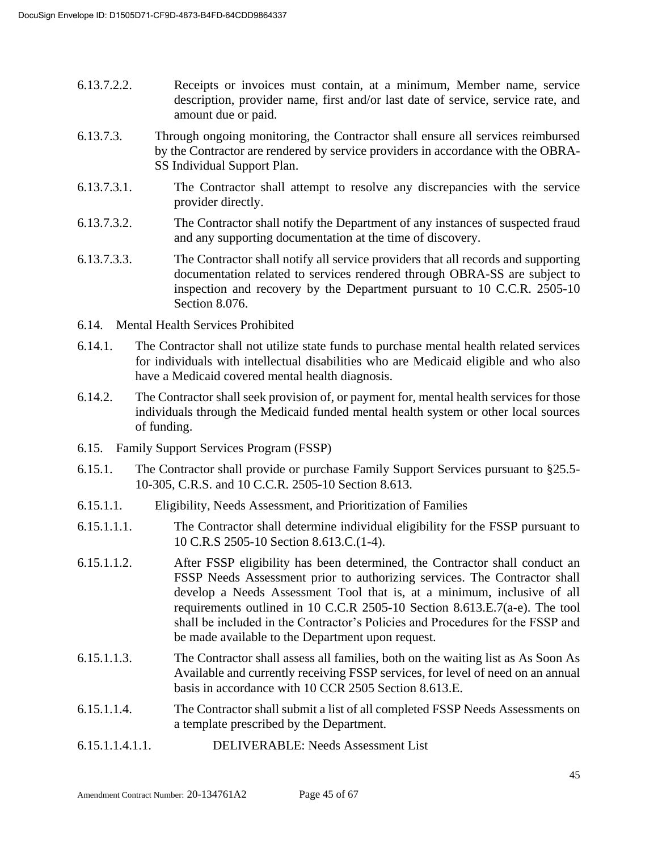- 6.13.7.2.2. Receipts or invoices must contain, at a minimum, Member name, service description, provider name, first and/or last date of service, service rate, and amount due or paid.
- 6.13.7.3. Through ongoing monitoring, the Contractor shall ensure all services reimbursed by the Contractor are rendered by service providers in accordance with the OBRA-SS Individual Support Plan.
- 6.13.7.3.1. The Contractor shall attempt to resolve any discrepancies with the service provider directly.
- 6.13.7.3.2. The Contractor shall notify the Department of any instances of suspected fraud and any supporting documentation at the time of discovery.
- 6.13.7.3.3. The Contractor shall notify all service providers that all records and supporting documentation related to services rendered through OBRA-SS are subject to inspection and recovery by the Department pursuant to 10 C.C.R. 2505-10 Section 8.076.
- 6.14. Mental Health Services Prohibited
- 6.14.1. The Contractor shall not utilize state funds to purchase mental health related services for individuals with intellectual disabilities who are Medicaid eligible and who also have a Medicaid covered mental health diagnosis.
- 6.14.2. The Contractor shall seek provision of, or payment for, mental health services for those individuals through the Medicaid funded mental health system or other local sources of funding.
- 6.15. Family Support Services Program (FSSP)
- 6.15.1. The Contractor shall provide or purchase Family Support Services pursuant to §25.5- 10-305, C.R.S. and 10 C.C.R. 2505-10 Section 8.613.
- 6.15.1.1. Eligibility, Needs Assessment, and Prioritization of Families
- 6.15.1.1.1. The Contractor shall determine individual eligibility for the FSSP pursuant to 10 C.R.S 2505-10 Section 8.613.C.(1-4).
- 6.15.1.1.2. After FSSP eligibility has been determined, the Contractor shall conduct an FSSP Needs Assessment prior to authorizing services. The Contractor shall develop a Needs Assessment Tool that is, at a minimum, inclusive of all requirements outlined in 10 C.C.R 2505-10 Section 8.613.E.7(a-e). The tool shall be included in the Contractor's Policies and Procedures for the FSSP and be made available to the Department upon request.
- 6.15.1.1.3. The Contractor shall assess all families, both on the waiting list as As Soon As Available and currently receiving FSSP services, for level of need on an annual basis in accordance with 10 CCR 2505 Section 8.613.E.
- 6.15.1.1.4. The Contractor shall submit a list of all completed FSSP Needs Assessments on a template prescribed by the Department.
- 6.15.1.1.4.1.1. DELIVERABLE: Needs Assessment List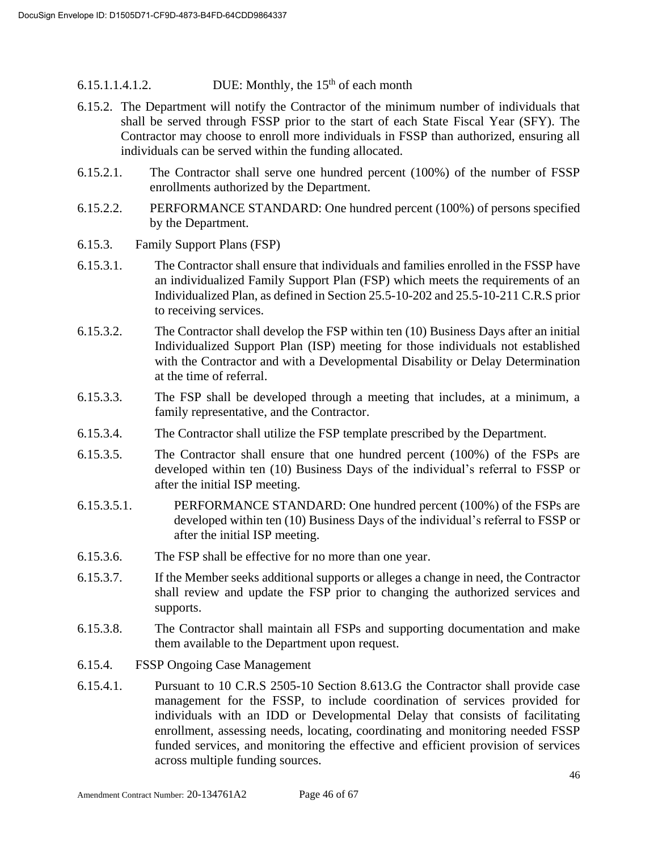6.15.1.1.4.1.2. DUE: Monthly, the  $15<sup>th</sup>$  of each month

- 6.15.2. The Department will notify the Contractor of the minimum number of individuals that shall be served through FSSP prior to the start of each State Fiscal Year (SFY). The Contractor may choose to enroll more individuals in FSSP than authorized, ensuring all individuals can be served within the funding allocated.
- 6.15.2.1. The Contractor shall serve one hundred percent (100%) of the number of FSSP enrollments authorized by the Department.
- 6.15.2.2. PERFORMANCE STANDARD: One hundred percent (100%) of persons specified by the Department.
- 6.15.3. Family Support Plans (FSP)
- 6.15.3.1. The Contractor shall ensure that individuals and families enrolled in the FSSP have an individualized Family Support Plan (FSP) which meets the requirements of an Individualized Plan, as defined in Section 25.5-10-202 and 25.5-10-211 C.R.S prior to receiving services.
- 6.15.3.2. The Contractor shall develop the FSP within ten (10) Business Days after an initial Individualized Support Plan (ISP) meeting for those individuals not established with the Contractor and with a Developmental Disability or Delay Determination at the time of referral.
- 6.15.3.3. The FSP shall be developed through a meeting that includes, at a minimum, a family representative, and the Contractor.
- 6.15.3.4. The Contractor shall utilize the FSP template prescribed by the Department.
- 6.15.3.5. The Contractor shall ensure that one hundred percent (100%) of the FSPs are developed within ten (10) Business Days of the individual's referral to FSSP or after the initial ISP meeting.
- 6.15.3.5.1. PERFORMANCE STANDARD: One hundred percent (100%) of the FSPs are developed within ten (10) Business Days of the individual's referral to FSSP or after the initial ISP meeting.
- 6.15.3.6. The FSP shall be effective for no more than one year.
- 6.15.3.7. If the Member seeks additional supports or alleges a change in need, the Contractor shall review and update the FSP prior to changing the authorized services and supports.
- 6.15.3.8. The Contractor shall maintain all FSPs and supporting documentation and make them available to the Department upon request.
- 6.15.4. FSSP Ongoing Case Management
- 6.15.4.1. Pursuant to 10 C.R.S 2505-10 Section 8.613.G the Contractor shall provide case management for the FSSP, to include coordination of services provided for individuals with an IDD or Developmental Delay that consists of facilitating enrollment, assessing needs, locating, coordinating and monitoring needed FSSP funded services, and monitoring the effective and efficient provision of services across multiple funding sources.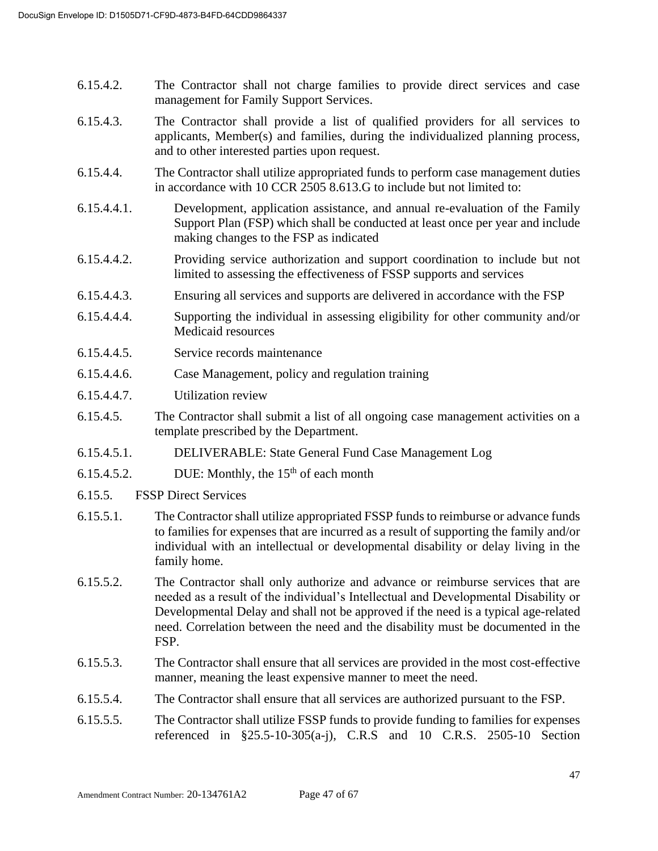- 6.15.4.2. The Contractor shall not charge families to provide direct services and case management for Family Support Services.
- 6.15.4.3. The Contractor shall provide a list of qualified providers for all services to applicants, Member(s) and families, during the individualized planning process, and to other interested parties upon request.
- 6.15.4.4. The Contractor shall utilize appropriated funds to perform case management duties in accordance with 10 CCR 2505 8.613.G to include but not limited to:
- 6.15.4.4.1. Development, application assistance, and annual re-evaluation of the Family Support Plan (FSP) which shall be conducted at least once per year and include making changes to the FSP as indicated
- 6.15.4.4.2. Providing service authorization and support coordination to include but not limited to assessing the effectiveness of FSSP supports and services
- 6.15.4.4.3. Ensuring all services and supports are delivered in accordance with the FSP
- 6.15.4.4.4. Supporting the individual in assessing eligibility for other community and/or Medicaid resources
- 6.15.4.4.5. Service records maintenance
- 6.15.4.4.6. Case Management, policy and regulation training
- 6.15.4.4.7. Utilization review
- 6.15.4.5. The Contractor shall submit a list of all ongoing case management activities on a template prescribed by the Department.
- 6.15.4.5.1. DELIVERABLE: State General Fund Case Management Log
- 6.15.4.5.2. DUE: Monthly, the  $15<sup>th</sup>$  of each month
- 6.15.5. FSSP Direct Services
- 6.15.5.1. The Contractor shall utilize appropriated FSSP funds to reimburse or advance funds to families for expenses that are incurred as a result of supporting the family and/or individual with an intellectual or developmental disability or delay living in the family home.
- 6.15.5.2. The Contractor shall only authorize and advance or reimburse services that are needed as a result of the individual's Intellectual and Developmental Disability or Developmental Delay and shall not be approved if the need is a typical age-related need. Correlation between the need and the disability must be documented in the FSP.
- 6.15.5.3. The Contractor shall ensure that all services are provided in the most cost-effective manner, meaning the least expensive manner to meet the need.
- 6.15.5.4. The Contractor shall ensure that all services are authorized pursuant to the FSP.
- 6.15.5.5. The Contractor shall utilize FSSP funds to provide funding to families for expenses referenced in §25.5-10-305(a-j), C.R.S and 10 C.R.S. 2505-10 Section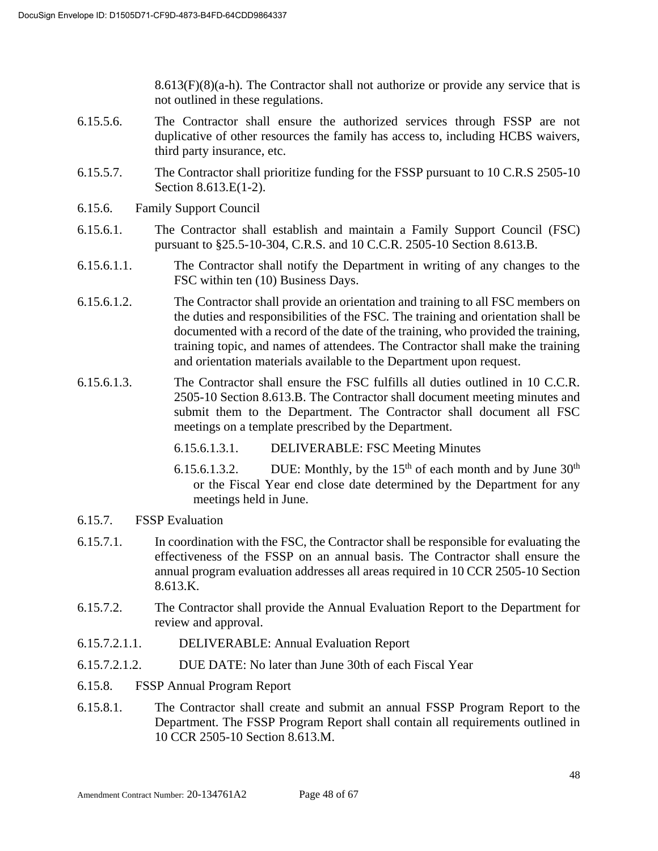$8.613(F)(8)(a-h)$ . The Contractor shall not authorize or provide any service that is not outlined in these regulations.

- 6.15.5.6. The Contractor shall ensure the authorized services through FSSP are not duplicative of other resources the family has access to, including HCBS waivers, third party insurance, etc.
- 6.15.5.7. The Contractor shall prioritize funding for the FSSP pursuant to 10 C.R.S 2505-10 Section 8.613.E(1-2).
- 6.15.6. Family Support Council
- 6.15.6.1. The Contractor shall establish and maintain a Family Support Council (FSC) pursuant to §25.5-10-304, C.R.S. and 10 C.C.R. 2505-10 Section 8.613.B.
- 6.15.6.1.1. The Contractor shall notify the Department in writing of any changes to the FSC within ten (10) Business Days.
- 6.15.6.1.2. The Contractor shall provide an orientation and training to all FSC members on the duties and responsibilities of the FSC. The training and orientation shall be documented with a record of the date of the training, who provided the training, training topic, and names of attendees. The Contractor shall make the training and orientation materials available to the Department upon request.
- 6.15.6.1.3. The Contractor shall ensure the FSC fulfills all duties outlined in 10 C.C.R. 2505-10 Section 8.613.B. The Contractor shall document meeting minutes and submit them to the Department. The Contractor shall document all FSC meetings on a template prescribed by the Department.
	- 6.15.6.1.3.1. DELIVERABLE: FSC Meeting Minutes
	- 6.15.6.1.3.2. DUE: Monthly, by the  $15<sup>th</sup>$  of each month and by June  $30<sup>th</sup>$ or the Fiscal Year end close date determined by the Department for any meetings held in June.
- 6.15.7. FSSP Evaluation
- 6.15.7.1. In coordination with the FSC, the Contractor shall be responsible for evaluating the effectiveness of the FSSP on an annual basis. The Contractor shall ensure the annual program evaluation addresses all areas required in 10 CCR 2505-10 Section 8.613.K.
- 6.15.7.2. The Contractor shall provide the Annual Evaluation Report to the Department for review and approval.
- 6.15.7.2.1.1. DELIVERABLE: Annual Evaluation Report
- 6.15.7.2.1.2. DUE DATE: No later than June 30th of each Fiscal Year
- 6.15.8. FSSP Annual Program Report
- 6.15.8.1. The Contractor shall create and submit an annual FSSP Program Report to the Department. The FSSP Program Report shall contain all requirements outlined in 10 CCR 2505-10 Section 8.613.M.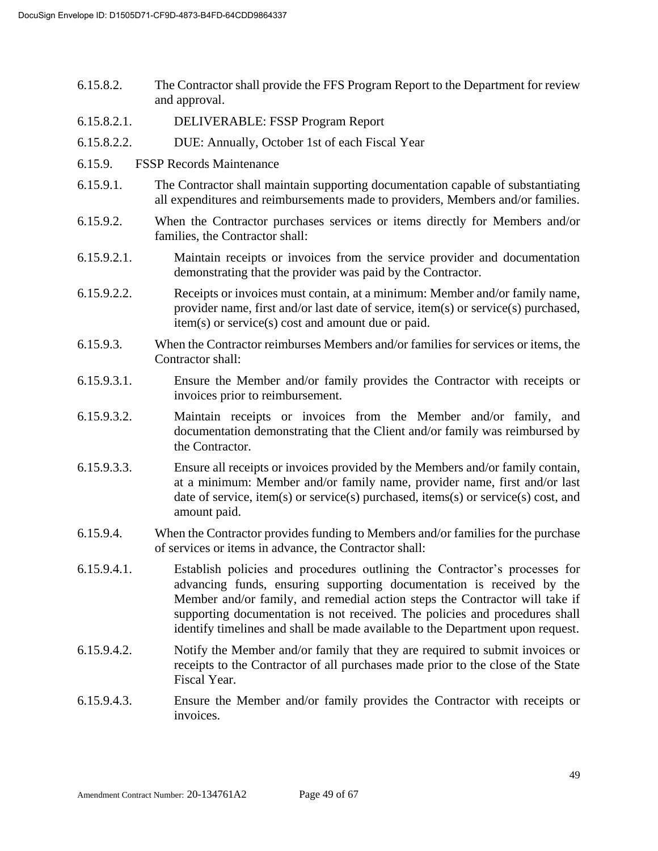- 6.15.8.2. The Contractor shall provide the FFS Program Report to the Department for review and approval.
- 6.15.8.2.1. DELIVERABLE: FSSP Program Report
- 6.15.8.2.2. DUE: Annually, October 1st of each Fiscal Year
- 6.15.9. FSSP Records Maintenance
- 6.15.9.1. The Contractor shall maintain supporting documentation capable of substantiating all expenditures and reimbursements made to providers, Members and/or families.
- 6.15.9.2. When the Contractor purchases services or items directly for Members and/or families, the Contractor shall:
- 6.15.9.2.1. Maintain receipts or invoices from the service provider and documentation demonstrating that the provider was paid by the Contractor.
- 6.15.9.2.2. Receipts or invoices must contain, at a minimum: Member and/or family name, provider name, first and/or last date of service, item(s) or service(s) purchased, item(s) or service(s) cost and amount due or paid.
- 6.15.9.3. When the Contractor reimburses Members and/or families for services or items, the Contractor shall:
- 6.15.9.3.1. Ensure the Member and/or family provides the Contractor with receipts or invoices prior to reimbursement.
- 6.15.9.3.2. Maintain receipts or invoices from the Member and/or family, and documentation demonstrating that the Client and/or family was reimbursed by the Contractor.
- 6.15.9.3.3. Ensure all receipts or invoices provided by the Members and/or family contain, at a minimum: Member and/or family name, provider name, first and/or last date of service, item(s) or service(s) purchased, items(s) or service(s) cost, and amount paid.
- 6.15.9.4. When the Contractor provides funding to Members and/or families for the purchase of services or items in advance, the Contractor shall:
- 6.15.9.4.1. Establish policies and procedures outlining the Contractor's processes for advancing funds, ensuring supporting documentation is received by the Member and/or family, and remedial action steps the Contractor will take if supporting documentation is not received. The policies and procedures shall identify timelines and shall be made available to the Department upon request.
- 6.15.9.4.2. Notify the Member and/or family that they are required to submit invoices or receipts to the Contractor of all purchases made prior to the close of the State Fiscal Year.
- 6.15.9.4.3. Ensure the Member and/or family provides the Contractor with receipts or invoices.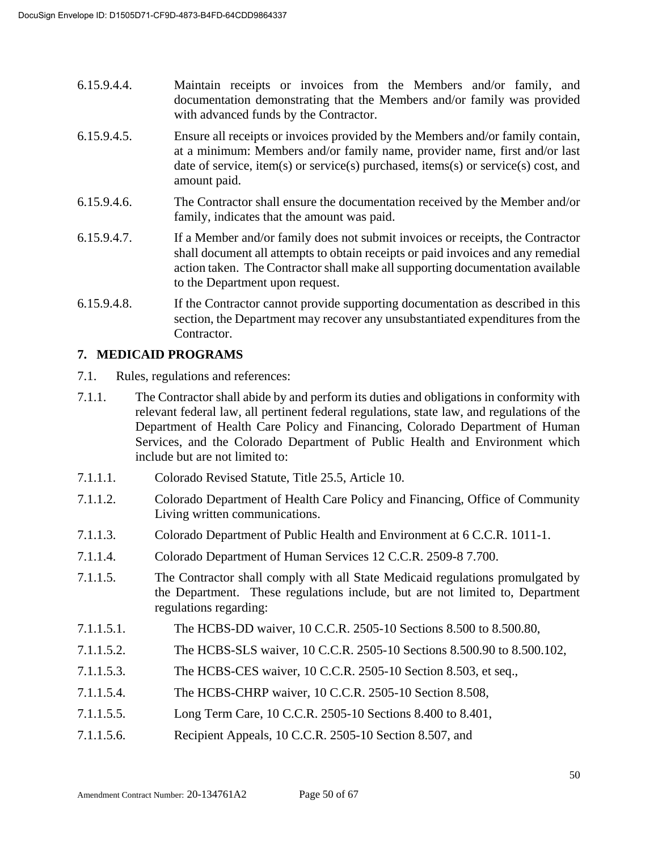- 6.15.9.4.4. Maintain receipts or invoices from the Members and/or family, and documentation demonstrating that the Members and/or family was provided with advanced funds by the Contractor.
- 6.15.9.4.5. Ensure all receipts or invoices provided by the Members and/or family contain, at a minimum: Members and/or family name, provider name, first and/or last date of service, item(s) or service(s) purchased, items(s) or service(s) cost, and amount paid.
- 6.15.9.4.6. The Contractor shall ensure the documentation received by the Member and/or family, indicates that the amount was paid.
- 6.15.9.4.7. If a Member and/or family does not submit invoices or receipts, the Contractor shall document all attempts to obtain receipts or paid invoices and any remedial action taken. The Contractor shall make all supporting documentation available to the Department upon request.
- 6.15.9.4.8. If the Contractor cannot provide supporting documentation as described in this section, the Department may recover any unsubstantiated expenditures from the Contractor.

## **7. MEDICAID PROGRAMS**

- 7.1. Rules, regulations and references:
- 7.1.1. The Contractor shall abide by and perform its duties and obligations in conformity with relevant federal law, all pertinent federal regulations, state law, and regulations of the Department of Health Care Policy and Financing, Colorado Department of Human Services, and the Colorado Department of Public Health and Environment which include but are not limited to:
- 7.1.1.1. Colorado Revised Statute, Title 25.5, Article 10.
- 7.1.1.2. Colorado Department of Health Care Policy and Financing, Office of Community Living written communications.
- 7.1.1.3. Colorado Department of Public Health and Environment at 6 C.C.R. 1011-1.
- 7.1.1.4. Colorado Department of Human Services 12 C.C.R. 2509-8 7.700.
- 7.1.1.5. The Contractor shall comply with all State Medicaid regulations promulgated by the Department. These regulations include, but are not limited to, Department regulations regarding:
- 7.1.1.5.1. The HCBS-DD waiver, 10 C.C.R. 2505-10 Sections 8.500 to 8.500.80,
- 7.1.1.5.2. The HCBS-SLS waiver, 10 C.C.R. 2505-10 Sections 8.500.90 to 8.500.102,
- 7.1.1.5.3. The HCBS-CES waiver, 10 C.C.R. 2505-10 Section 8.503, et seq.,
- 7.1.1.5.4. The HCBS-CHRP waiver, 10 C.C.R. 2505-10 Section 8.508,
- 7.1.1.5.5. Long Term Care, 10 C.C.R. 2505-10 Sections 8.400 to 8.401,
- 7.1.1.5.6. Recipient Appeals, 10 C.C.R. 2505-10 Section 8.507, and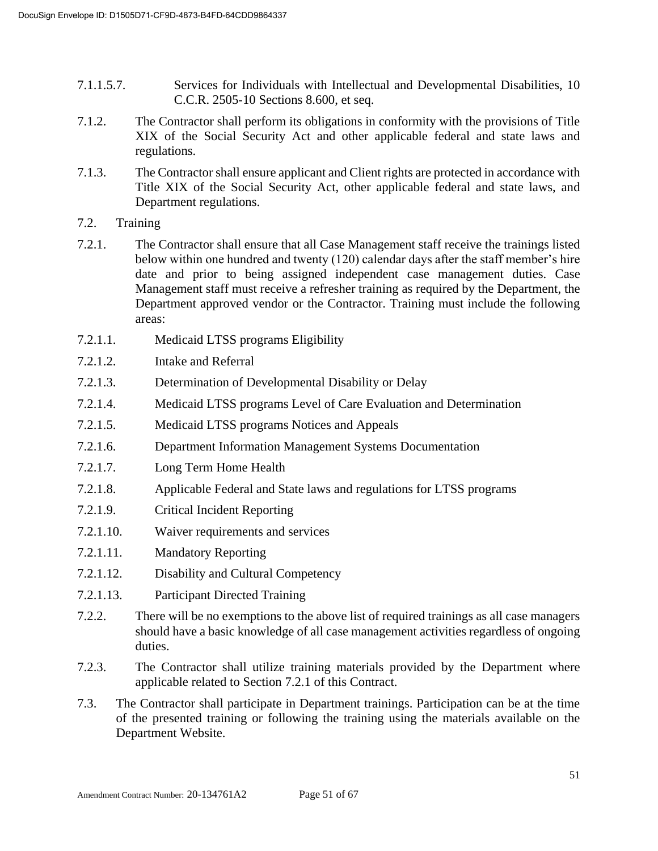- 7.1.1.5.7. Services for Individuals with Intellectual and Developmental Disabilities, 10 C.C.R. 2505-10 Sections 8.600, et seq.
- 7.1.2. The Contractor shall perform its obligations in conformity with the provisions of Title XIX of the Social Security Act and other applicable federal and state laws and regulations.
- 7.1.3. The Contractor shall ensure applicant and Client rights are protected in accordance with Title XIX of the Social Security Act, other applicable federal and state laws, and Department regulations.
- 7.2. Training
- 7.2.1. The Contractor shall ensure that all Case Management staff receive the trainings listed below within one hundred and twenty (120) calendar days after the staff member's hire date and prior to being assigned independent case management duties. Case Management staff must receive a refresher training as required by the Department, the Department approved vendor or the Contractor. Training must include the following areas:
- 7.2.1.1. Medicaid LTSS programs Eligibility
- 7.2.1.2. Intake and Referral
- 7.2.1.3. Determination of Developmental Disability or Delay
- 7.2.1.4. Medicaid LTSS programs Level of Care Evaluation and Determination
- 7.2.1.5. Medicaid LTSS programs Notices and Appeals
- 7.2.1.6. Department Information Management Systems Documentation
- 7.2.1.7. Long Term Home Health
- 7.2.1.8. Applicable Federal and State laws and regulations for LTSS programs
- 7.2.1.9. Critical Incident Reporting
- 7.2.1.10. Waiver requirements and services
- 7.2.1.11. Mandatory Reporting
- 7.2.1.12. Disability and Cultural Competency
- 7.2.1.13. Participant Directed Training
- 7.2.2. There will be no exemptions to the above list of required trainings as all case managers should have a basic knowledge of all case management activities regardless of ongoing duties.
- 7.2.3. The Contractor shall utilize training materials provided by the Department where applicable related to Section 7.2.1 of this Contract.
- 7.3. The Contractor shall participate in Department trainings. Participation can be at the time of the presented training or following the training using the materials available on the Department Website.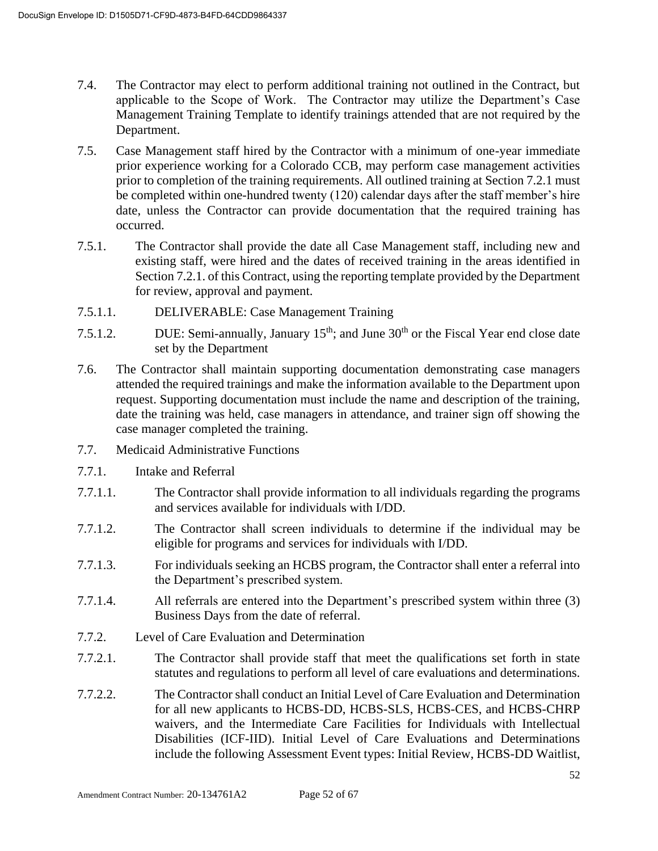- 7.4. The Contractor may elect to perform additional training not outlined in the Contract, but applicable to the Scope of Work. The Contractor may utilize the Department's Case Management Training Template to identify trainings attended that are not required by the Department.
- 7.5. Case Management staff hired by the Contractor with a minimum of one-year immediate prior experience working for a Colorado CCB, may perform case management activities prior to completion of the training requirements. All outlined training at Section 7.2.1 must be completed within one-hundred twenty (120) calendar days after the staff member's hire date, unless the Contractor can provide documentation that the required training has occurred.
- 7.5.1. The Contractor shall provide the date all Case Management staff, including new and existing staff, were hired and the dates of received training in the areas identified in Section 7.2.1. of this Contract, using the reporting template provided by the Department for review, approval and payment.
- 7.5.1.1. DELIVERABLE: Case Management Training
- 7.5.1.2. DUE: Semi-annually, January  $15<sup>th</sup>$ ; and June  $30<sup>th</sup>$  or the Fiscal Year end close date set by the Department
- 7.6. The Contractor shall maintain supporting documentation demonstrating case managers attended the required trainings and make the information available to the Department upon request. Supporting documentation must include the name and description of the training, date the training was held, case managers in attendance, and trainer sign off showing the case manager completed the training.
- 7.7. Medicaid Administrative Functions
- 7.7.1. Intake and Referral
- 7.7.1.1. The Contractor shall provide information to all individuals regarding the programs and services available for individuals with I/DD.
- 7.7.1.2. The Contractor shall screen individuals to determine if the individual may be eligible for programs and services for individuals with I/DD.
- 7.7.1.3. For individuals seeking an HCBS program, the Contractor shall enter a referral into the Department's prescribed system.
- 7.7.1.4. All referrals are entered into the Department's prescribed system within three (3) Business Days from the date of referral.
- 7.7.2. Level of Care Evaluation and Determination
- 7.7.2.1. The Contractor shall provide staff that meet the qualifications set forth in state statutes and regulations to perform all level of care evaluations and determinations.
- 7.7.2.2. The Contractor shall conduct an Initial Level of Care Evaluation and Determination for all new applicants to HCBS-DD, HCBS-SLS, HCBS-CES, and HCBS-CHRP waivers, and the Intermediate Care Facilities for Individuals with Intellectual Disabilities (ICF-IID). Initial Level of Care Evaluations and Determinations include the following Assessment Event types: Initial Review, HCBS-DD Waitlist,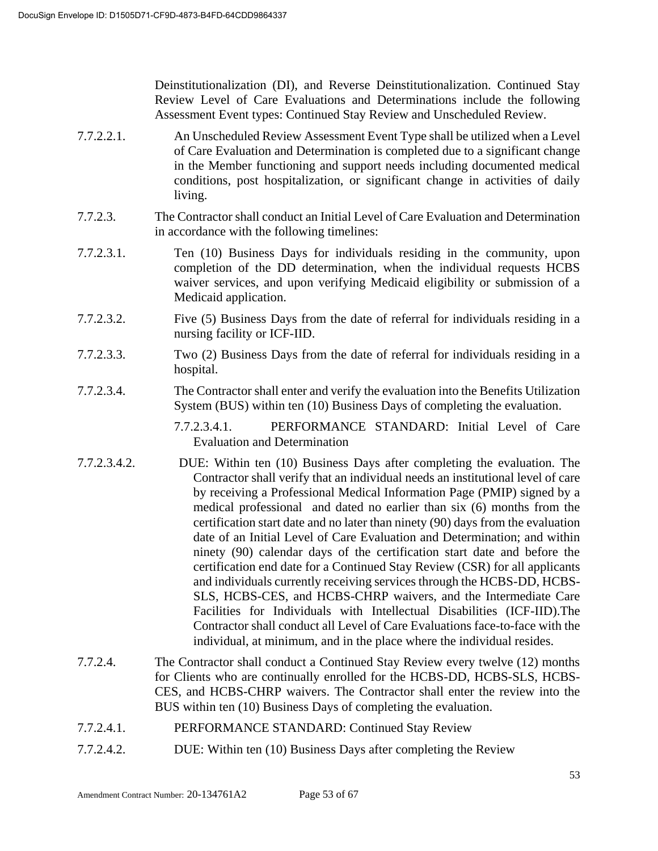Deinstitutionalization (DI), and Reverse Deinstitutionalization. Continued Stay Review Level of Care Evaluations and Determinations include the following Assessment Event types: Continued Stay Review and Unscheduled Review.

- 7.7.2.2.1. An Unscheduled Review Assessment Event Type shall be utilized when a Level of Care Evaluation and Determination is completed due to a significant change in the Member functioning and support needs including documented medical conditions, post hospitalization, or significant change in activities of daily living.
- 7.7.2.3. The Contractor shall conduct an Initial Level of Care Evaluation and Determination in accordance with the following timelines:
- 7.7.2.3.1. Ten (10) Business Days for individuals residing in the community, upon completion of the DD determination, when the individual requests HCBS waiver services, and upon verifying Medicaid eligibility or submission of a Medicaid application.
- 7.7.2.3.2. Five (5) Business Days from the date of referral for individuals residing in a nursing facility or ICF-IID.
- 7.7.2.3.3. Two (2) Business Days from the date of referral for individuals residing in a hospital.
- 7.7.2.3.4. The Contractor shall enter and verify the evaluation into the Benefits Utilization System (BUS) within ten (10) Business Days of completing the evaluation.

7.7.2.3.4.1. PERFORMANCE STANDARD: Initial Level of Care Evaluation and Determination

- 7.7.2.3.4.2. DUE: Within ten (10) Business Days after completing the evaluation. The Contractor shall verify that an individual needs an institutional level of care by receiving a Professional Medical Information Page (PMIP) signed by a medical professional and dated no earlier than six (6) months from the certification start date and no later than ninety (90) days from the evaluation date of an Initial Level of Care Evaluation and Determination; and within ninety (90) calendar days of the certification start date and before the certification end date for a Continued Stay Review (CSR) for all applicants and individuals currently receiving services through the HCBS-DD, HCBS-SLS, HCBS-CES, and HCBS-CHRP waivers, and the Intermediate Care Facilities for Individuals with Intellectual Disabilities (ICF-IID).The Contractor shall conduct all Level of Care Evaluations face-to-face with the individual, at minimum, and in the place where the individual resides.
- 7.7.2.4. The Contractor shall conduct a Continued Stay Review every twelve (12) months for Clients who are continually enrolled for the HCBS-DD, HCBS-SLS, HCBS-CES, and HCBS-CHRP waivers. The Contractor shall enter the review into the BUS within ten (10) Business Days of completing the evaluation.
- 7.7.2.4.1. PERFORMANCE STANDARD: Continued Stay Review
- 7.7.2.4.2. DUE: Within ten (10) Business Days after completing the Review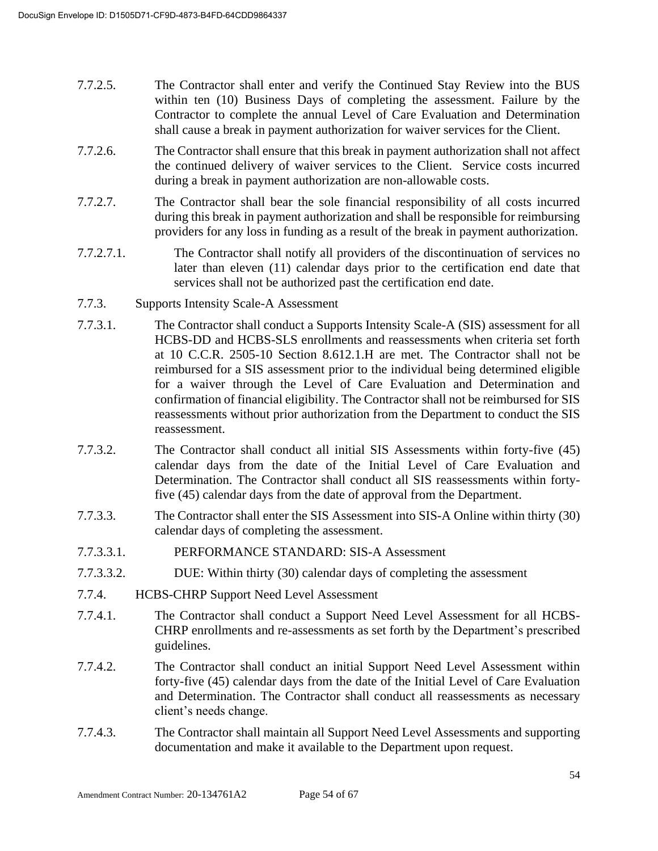- 7.7.2.5. The Contractor shall enter and verify the Continued Stay Review into the BUS within ten (10) Business Days of completing the assessment. Failure by the Contractor to complete the annual Level of Care Evaluation and Determination shall cause a break in payment authorization for waiver services for the Client.
- 7.7.2.6. The Contractor shall ensure that this break in payment authorization shall not affect the continued delivery of waiver services to the Client. Service costs incurred during a break in payment authorization are non-allowable costs.
- 7.7.2.7. The Contractor shall bear the sole financial responsibility of all costs incurred during this break in payment authorization and shall be responsible for reimbursing providers for any loss in funding as a result of the break in payment authorization.
- 7.7.2.7.1. The Contractor shall notify all providers of the discontinuation of services no later than eleven (11) calendar days prior to the certification end date that services shall not be authorized past the certification end date.
- 7.7.3. Supports Intensity Scale-A Assessment
- 7.7.3.1. The Contractor shall conduct a Supports Intensity Scale-A (SIS) assessment for all HCBS-DD and HCBS-SLS enrollments and reassessments when criteria set forth at 10 C.C.R. 2505-10 Section 8.612.1.H are met. The Contractor shall not be reimbursed for a SIS assessment prior to the individual being determined eligible for a waiver through the Level of Care Evaluation and Determination and confirmation of financial eligibility. The Contractor shall not be reimbursed for SIS reassessments without prior authorization from the Department to conduct the SIS reassessment.
- 7.7.3.2. The Contractor shall conduct all initial SIS Assessments within forty-five (45) calendar days from the date of the Initial Level of Care Evaluation and Determination. The Contractor shall conduct all SIS reassessments within fortyfive (45) calendar days from the date of approval from the Department.
- 7.7.3.3. The Contractor shall enter the SIS Assessment into SIS-A Online within thirty (30) calendar days of completing the assessment.
- 7.7.3.3.1. PERFORMANCE STANDARD: SIS-A Assessment
- 7.7.3.3.2. DUE: Within thirty (30) calendar days of completing the assessment
- 7.7.4. HCBS-CHRP Support Need Level Assessment
- 7.7.4.1. The Contractor shall conduct a Support Need Level Assessment for all HCBS-CHRP enrollments and re-assessments as set forth by the Department's prescribed guidelines.
- 7.7.4.2. The Contractor shall conduct an initial Support Need Level Assessment within forty-five (45) calendar days from the date of the Initial Level of Care Evaluation and Determination. The Contractor shall conduct all reassessments as necessary client's needs change.
- 7.7.4.3. The Contractor shall maintain all Support Need Level Assessments and supporting documentation and make it available to the Department upon request.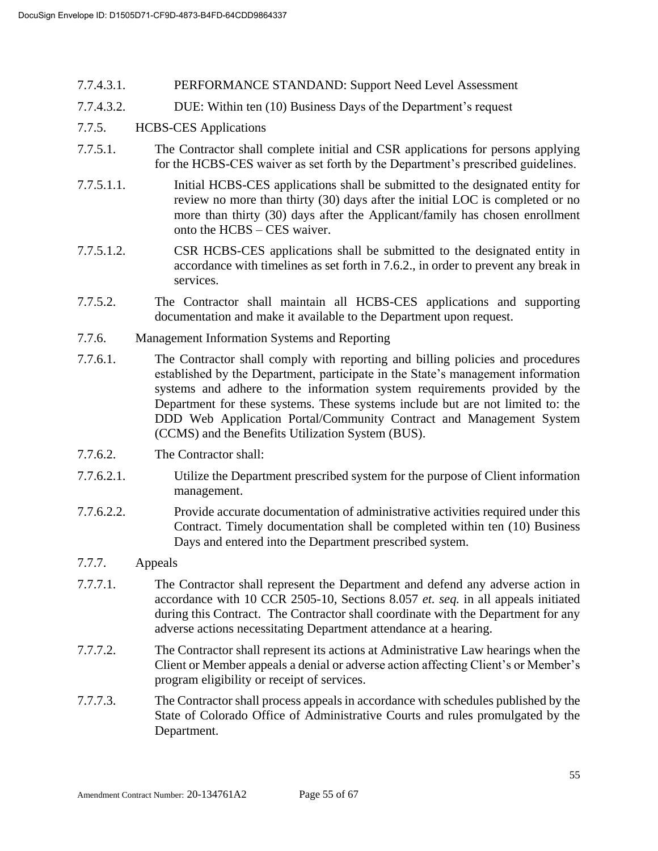- 7.7.4.3.1. PERFORMANCE STANDAND: Support Need Level Assessment
- 7.7.4.3.2. DUE: Within ten (10) Business Days of the Department's request

#### 7.7.5. HCBS-CES Applications

- 7.7.5.1. The Contractor shall complete initial and CSR applications for persons applying for the HCBS-CES waiver as set forth by the Department's prescribed guidelines.
- 7.7.5.1.1. Initial HCBS-CES applications shall be submitted to the designated entity for review no more than thirty (30) days after the initial LOC is completed or no more than thirty (30) days after the Applicant/family has chosen enrollment onto the HCBS – CES waiver.
- 7.7.5.1.2. CSR HCBS-CES applications shall be submitted to the designated entity in accordance with timelines as set forth in 7.6.2., in order to prevent any break in services.
- 7.7.5.2. The Contractor shall maintain all HCBS-CES applications and supporting documentation and make it available to the Department upon request.
- 7.7.6. Management Information Systems and Reporting
- 7.7.6.1. The Contractor shall comply with reporting and billing policies and procedures established by the Department, participate in the State's management information systems and adhere to the information system requirements provided by the Department for these systems. These systems include but are not limited to: the DDD Web Application Portal/Community Contract and Management System (CCMS) and the Benefits Utilization System (BUS).
- 7.7.6.2. The Contractor shall:
- 7.7.6.2.1. Utilize the Department prescribed system for the purpose of Client information management.
- 7.7.6.2.2. Provide accurate documentation of administrative activities required under this Contract. Timely documentation shall be completed within ten (10) Business Days and entered into the Department prescribed system.

#### 7.7.7. Appeals

- 7.7.7.1. The Contractor shall represent the Department and defend any adverse action in accordance with 10 CCR 2505-10, Sections 8.057 *et. seq.* in all appeals initiated during this Contract. The Contractor shall coordinate with the Department for any adverse actions necessitating Department attendance at a hearing.
- 7.7.7.2. The Contractor shall represent its actions at Administrative Law hearings when the Client or Member appeals a denial or adverse action affecting Client's or Member's program eligibility or receipt of services.
- 7.7.7.3. The Contractor shall process appeals in accordance with schedules published by the State of Colorado Office of Administrative Courts and rules promulgated by the Department.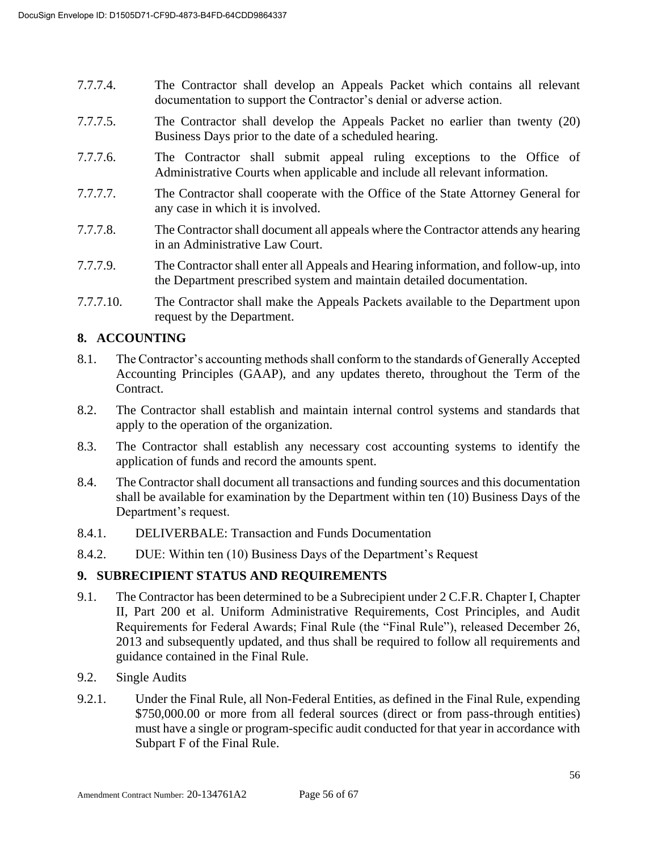- 7.7.7.4. The Contractor shall develop an Appeals Packet which contains all relevant documentation to support the Contractor's denial or adverse action.
- 7.7.7.5. The Contractor shall develop the Appeals Packet no earlier than twenty (20) Business Days prior to the date of a scheduled hearing.
- 7.7.7.6. The Contractor shall submit appeal ruling exceptions to the Office of Administrative Courts when applicable and include all relevant information.
- 7.7.7.7. The Contractor shall cooperate with the Office of the State Attorney General for any case in which it is involved.
- 7.7.7.8. The Contractor shall document all appeals where the Contractor attends any hearing in an Administrative Law Court.
- 7.7.7.9. The Contractor shall enter all Appeals and Hearing information, and follow-up, into the Department prescribed system and maintain detailed documentation.
- 7.7.7.10. The Contractor shall make the Appeals Packets available to the Department upon request by the Department.

## **8. ACCOUNTING**

- 8.1. The Contractor's accounting methods shall conform to the standards of Generally Accepted Accounting Principles (GAAP), and any updates thereto, throughout the Term of the Contract.
- 8.2. The Contractor shall establish and maintain internal control systems and standards that apply to the operation of the organization.
- 8.3. The Contractor shall establish any necessary cost accounting systems to identify the application of funds and record the amounts spent.
- 8.4. The Contractor shall document all transactions and funding sources and this documentation shall be available for examination by the Department within ten (10) Business Days of the Department's request.
- 8.4.1. DELIVERBALE: Transaction and Funds Documentation
- 8.4.2. DUE: Within ten (10) Business Days of the Department's Request

#### **9. SUBRECIPIENT STATUS AND REQUIREMENTS**

- 9.1. The Contractor has been determined to be a Subrecipient under 2 C.F.R. Chapter I, Chapter II, Part 200 et al. Uniform Administrative Requirements, Cost Principles, and Audit Requirements for Federal Awards; Final Rule (the "Final Rule"), released December 26, 2013 and subsequently updated, and thus shall be required to follow all requirements and guidance contained in the Final Rule.
- 9.2. Single Audits
- 9.2.1. Under the Final Rule, all Non-Federal Entities, as defined in the Final Rule, expending \$750,000.00 or more from all federal sources (direct or from pass-through entities) must have a single or program-specific audit conducted for that year in accordance with Subpart F of the Final Rule.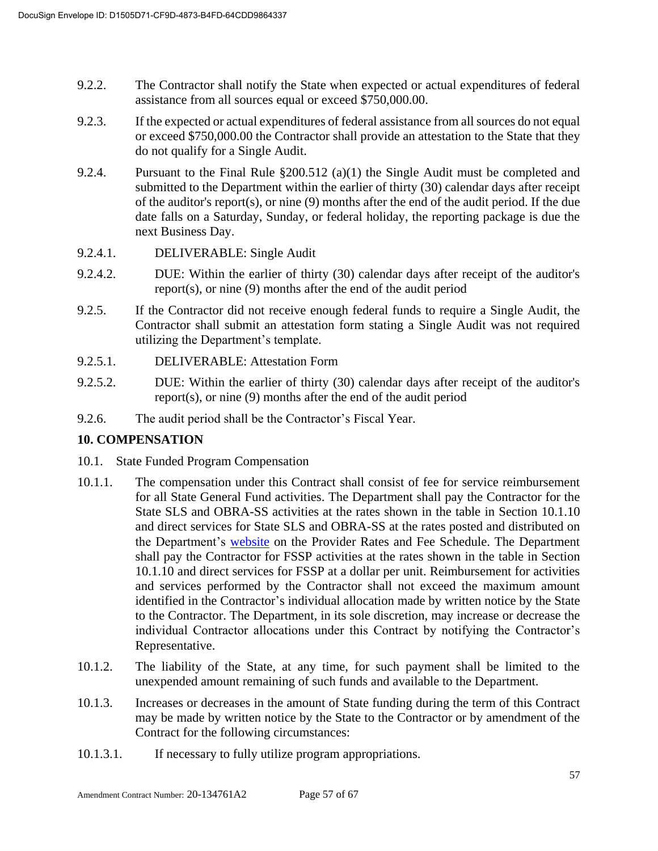- 9.2.2. The Contractor shall notify the State when expected or actual expenditures of federal assistance from all sources equal or exceed \$750,000.00.
- 9.2.3. If the expected or actual expenditures of federal assistance from all sources do not equal or exceed \$750,000.00 the Contractor shall provide an attestation to the State that they do not qualify for a Single Audit.
- 9.2.4. Pursuant to the Final Rule §200.512 (a)(1) the Single Audit must be completed and submitted to the Department within the earlier of thirty (30) calendar days after receipt of the auditor's report(s), or nine (9) months after the end of the audit period. If the due date falls on a Saturday, Sunday, or federal holiday, the reporting package is due the next Business Day.
- 9.2.4.1. DELIVERABLE: Single Audit
- 9.2.4.2. DUE: Within the earlier of thirty (30) calendar days after receipt of the auditor's report(s), or nine (9) months after the end of the audit period
- 9.2.5. If the Contractor did not receive enough federal funds to require a Single Audit, the Contractor shall submit an attestation form stating a Single Audit was not required utilizing the Department's template.
- 9.2.5.1. DELIVERABLE: Attestation Form
- 9.2.5.2. DUE: Within the earlier of thirty (30) calendar days after receipt of the auditor's report(s), or nine (9) months after the end of the audit period
- 9.2.6. The audit period shall be the Contractor's Fiscal Year.

## **10. COMPENSATION**

- 10.1. State Funded Program Compensation
- 10.1.1. The compensation under this Contract shall consist of fee for service reimbursement for all State General Fund activities. The Department shall pay the Contractor for the State SLS and OBRA-SS activities at the rates shown in the table in Section 10.1.10 and direct services for State SLS and OBRA-SS at the rates posted and distributed on the Department's [website](https://www.colorado.gov/pacific/hcpf/provider-rates-fee-schedule) on the Provider Rates and Fee Schedule. The Department shall pay the Contractor for FSSP activities at the rates shown in the table in Section 10.1.10 and direct services for FSSP at a dollar per unit. Reimbursement for activities and services performed by the Contractor shall not exceed the maximum amount identified in the Contractor's individual allocation made by written notice by the State to the Contractor. The Department, in its sole discretion, may increase or decrease the individual Contractor allocations under this Contract by notifying the Contractor's Representative.
- 10.1.2. The liability of the State, at any time, for such payment shall be limited to the unexpended amount remaining of such funds and available to the Department.
- 10.1.3. Increases or decreases in the amount of State funding during the term of this Contract may be made by written notice by the State to the Contractor or by amendment of the Contract for the following circumstances:
- 10.1.3.1. If necessary to fully utilize program appropriations.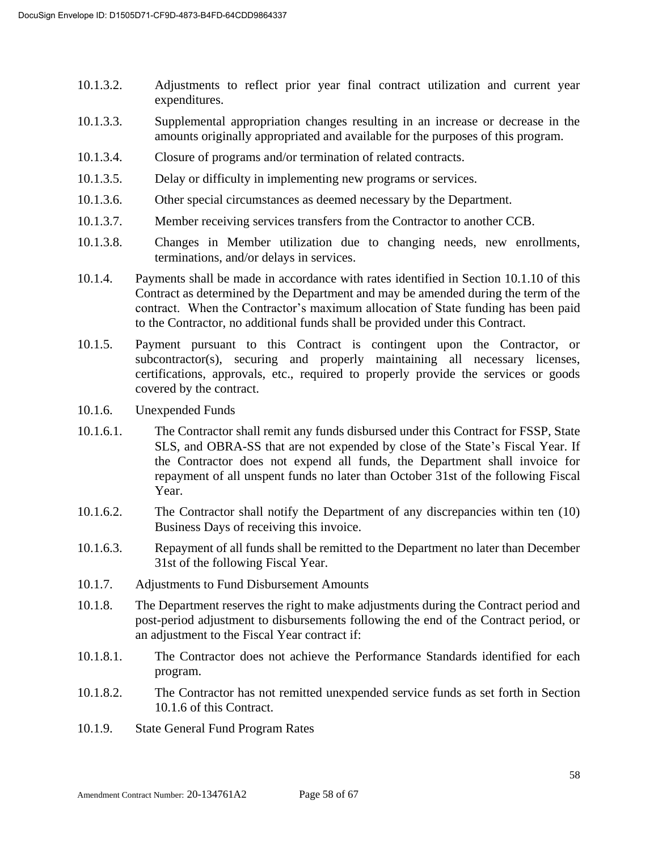- 10.1.3.2. Adjustments to reflect prior year final contract utilization and current year expenditures.
- 10.1.3.3. Supplemental appropriation changes resulting in an increase or decrease in the amounts originally appropriated and available for the purposes of this program.
- 10.1.3.4. Closure of programs and/or termination of related contracts.
- 10.1.3.5. Delay or difficulty in implementing new programs or services.
- 10.1.3.6. Other special circumstances as deemed necessary by the Department.
- 10.1.3.7. Member receiving services transfers from the Contractor to another CCB.
- 10.1.3.8. Changes in Member utilization due to changing needs, new enrollments, terminations, and/or delays in services.
- 10.1.4. Payments shall be made in accordance with rates identified in Section 10.1.10 of this Contract as determined by the Department and may be amended during the term of the contract. When the Contractor's maximum allocation of State funding has been paid to the Contractor, no additional funds shall be provided under this Contract.
- 10.1.5. Payment pursuant to this Contract is contingent upon the Contractor, or subcontractor(s), securing and properly maintaining all necessary licenses, certifications, approvals, etc., required to properly provide the services or goods covered by the contract.
- 10.1.6. Unexpended Funds
- 10.1.6.1. The Contractor shall remit any funds disbursed under this Contract for FSSP, State SLS, and OBRA-SS that are not expended by close of the State's Fiscal Year. If the Contractor does not expend all funds, the Department shall invoice for repayment of all unspent funds no later than October 31st of the following Fiscal Year.
- 10.1.6.2. The Contractor shall notify the Department of any discrepancies within ten (10) Business Days of receiving this invoice.
- 10.1.6.3. Repayment of all funds shall be remitted to the Department no later than December 31st of the following Fiscal Year.
- 10.1.7. Adjustments to Fund Disbursement Amounts
- 10.1.8. The Department reserves the right to make adjustments during the Contract period and post-period adjustment to disbursements following the end of the Contract period, or an adjustment to the Fiscal Year contract if:
- 10.1.8.1. The Contractor does not achieve the Performance Standards identified for each program.
- 10.1.8.2. The Contractor has not remitted unexpended service funds as set forth in Section 10.1.6 of this Contract.
- 10.1.9. State General Fund Program Rates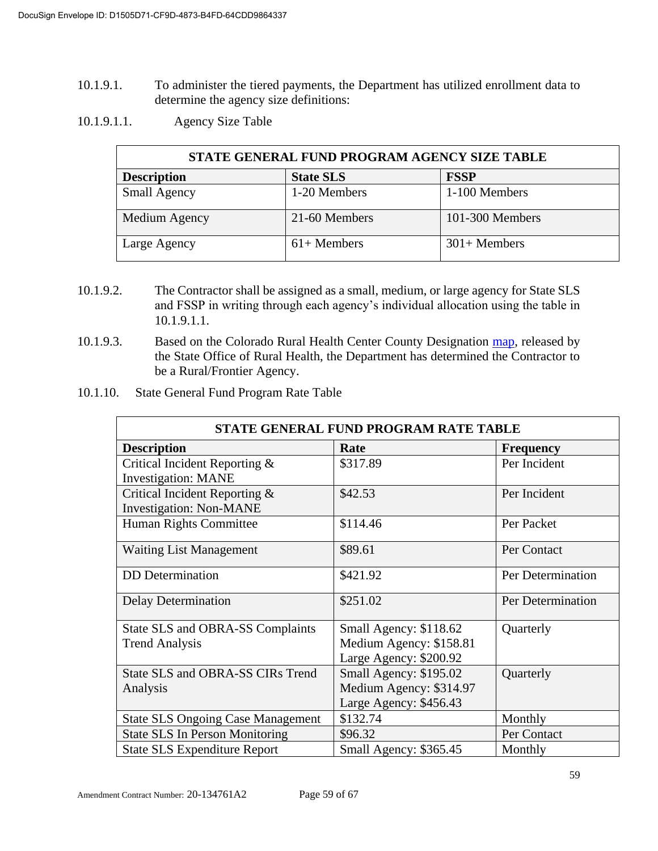- 10.1.9.1. To administer the tiered payments, the Department has utilized enrollment data to determine the agency size definitions:
- 10.1.9.1.1. Agency Size Table

| STATE GENERAL FUND PROGRAM AGENCY SIZE TABLE |                  |                 |  |
|----------------------------------------------|------------------|-----------------|--|
| <b>Description</b>                           | <b>State SLS</b> | <b>FSSP</b>     |  |
| <b>Small Agency</b>                          | 1-20 Members     | 1-100 Members   |  |
| Medium Agency                                | 21-60 Members    | 101-300 Members |  |
| Large Agency                                 | $61+$ Members    | $301+$ Members  |  |

- 10.1.9.2. The Contractor shall be assigned as a small, medium, or large agency for State SLS and FSSP in writing through each agency's individual allocation using the table in 10.1.9.1.1.
- 10.1.9.3. Based on the Colorado Rural Health Center County Designation [map,](https://coruralhealth.org/resources/maps-resource) released by the State Office of Rural Health, the Department has determined the Contractor to be a Rural/Frontier Agency.
- 10.1.10. State General Fund Program Rate Table

| STATE GENERAL FUND PROGRAM RATE TABLE                           |                         |                   |  |
|-----------------------------------------------------------------|-------------------------|-------------------|--|
| <b>Description</b><br>Rate<br><b>Frequency</b>                  |                         |                   |  |
| Critical Incident Reporting &<br><b>Investigation: MANE</b>     | \$317.89                | Per Incident      |  |
| Critical Incident Reporting &<br><b>Investigation: Non-MANE</b> | \$42.53                 | Per Incident      |  |
| Human Rights Committee                                          | \$114.46                | Per Packet        |  |
| <b>Waiting List Management</b>                                  | \$89.61                 | Per Contact       |  |
| <b>DD</b> Determination                                         | \$421.92                | Per Determination |  |
| Delay Determination                                             | \$251.02                | Per Determination |  |
| State SLS and OBRA-SS Complaints                                | Small Agency: \$118.62  | Quarterly         |  |
| <b>Trend Analysis</b>                                           | Medium Agency: \$158.81 |                   |  |
|                                                                 | Large Agency: \$200.92  |                   |  |
| State SLS and OBRA-SS CIRs Trend                                | Small Agency: \$195.02  | Quarterly         |  |
| Analysis                                                        | Medium Agency: \$314.97 |                   |  |
|                                                                 | Large Agency: \$456.43  |                   |  |
| <b>State SLS Ongoing Case Management</b>                        | \$132.74                | Monthly           |  |
| <b>State SLS In Person Monitoring</b>                           | \$96.32                 | Per Contact       |  |
| <b>State SLS Expenditure Report</b>                             | Small Agency: \$365.45  | Monthly           |  |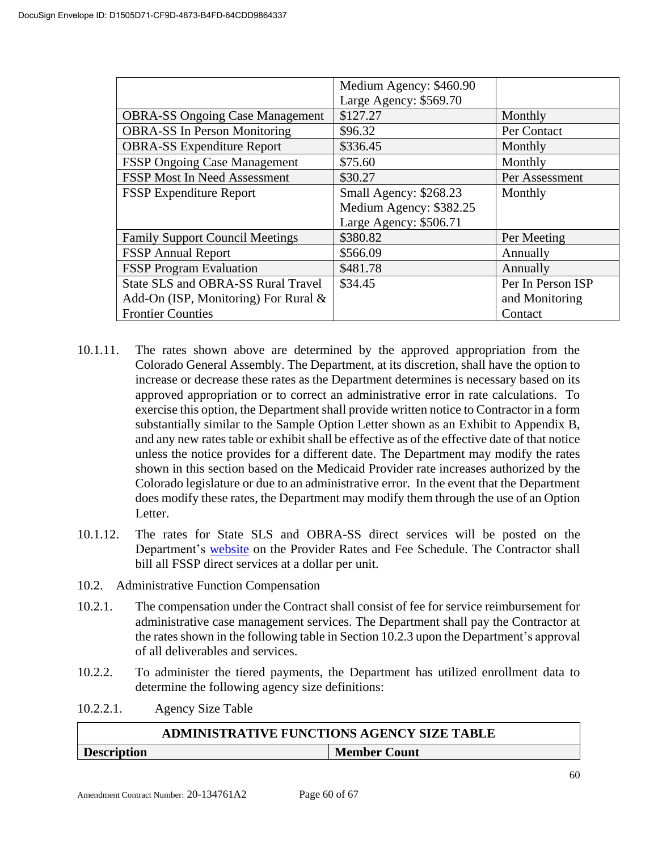|                                           | Medium Agency: \$460.90 |                   |
|-------------------------------------------|-------------------------|-------------------|
|                                           | Large Agency: \$569.70  |                   |
| <b>OBRA-SS Ongoing Case Management</b>    | \$127.27                | Monthly           |
| <b>OBRA-SS In Person Monitoring</b>       | \$96.32                 | Per Contact       |
| <b>OBRA-SS Expenditure Report</b>         | \$336.45                | Monthly           |
| <b>FSSP Ongoing Case Management</b>       | \$75.60                 | Monthly           |
| <b>FSSP Most In Need Assessment</b>       | \$30.27                 | Per Assessment    |
| <b>FSSP Expenditure Report</b>            | Small Agency: \$268.23  | Monthly           |
|                                           | Medium Agency: \$382.25 |                   |
|                                           | Large Agency: \$506.71  |                   |
| <b>Family Support Council Meetings</b>    | \$380.82                | Per Meeting       |
| <b>FSSP</b> Annual Report                 | \$566.09                | Annually          |
| <b>FSSP</b> Program Evaluation            | \$481.78                | Annually          |
| <b>State SLS and OBRA-SS Rural Travel</b> | \$34.45                 | Per In Person ISP |
| Add-On (ISP, Monitoring) For Rural $\&$   |                         | and Monitoring    |
| <b>Frontier Counties</b>                  |                         | Contact           |

- 10.1.11. The rates shown above are determined by the approved appropriation from the Colorado General Assembly. The Department, at its discretion, shall have the option to increase or decrease these rates as the Department determines is necessary based on its approved appropriation or to correct an administrative error in rate calculations. To exercise this option, the Department shall provide written notice to Contractor in a form substantially similar to the Sample Option Letter shown as an Exhibit to Appendix B, and any new rates table or exhibit shall be effective as of the effective date of that notice unless the notice provides for a different date. The Department may modify the rates shown in this section based on the Medicaid Provider rate increases authorized by the Colorado legislature or due to an administrative error. In the event that the Department does modify these rates, the Department may modify them through the use of an Option Letter.
- 10.1.12. The rates for State SLS and OBRA-SS direct services will be posted on the Department's [website](https://www.colorado.gov/pacific/hcpf/provider-rates-fee-schedule) on the Provider Rates and Fee Schedule. The Contractor shall bill all FSSP direct services at a dollar per unit.
- 10.2. Administrative Function Compensation
- 10.2.1. The compensation under the Contract shall consist of fee for service reimbursement for administrative case management services. The Department shall pay the Contractor at the rates shown in the following table in Section 10.2.3 upon the Department's approval of all deliverables and services.
- 10.2.2. To administer the tiered payments, the Department has utilized enrollment data to determine the following agency size definitions:
- 10.2.2.1. Agency Size Table

| <b>ADMINISTRATIVE FUNCTIONS AGENCY SIZE TABLE</b> |                     |  |  |  |
|---------------------------------------------------|---------------------|--|--|--|
| <b>Description</b>                                | <b>Member Count</b> |  |  |  |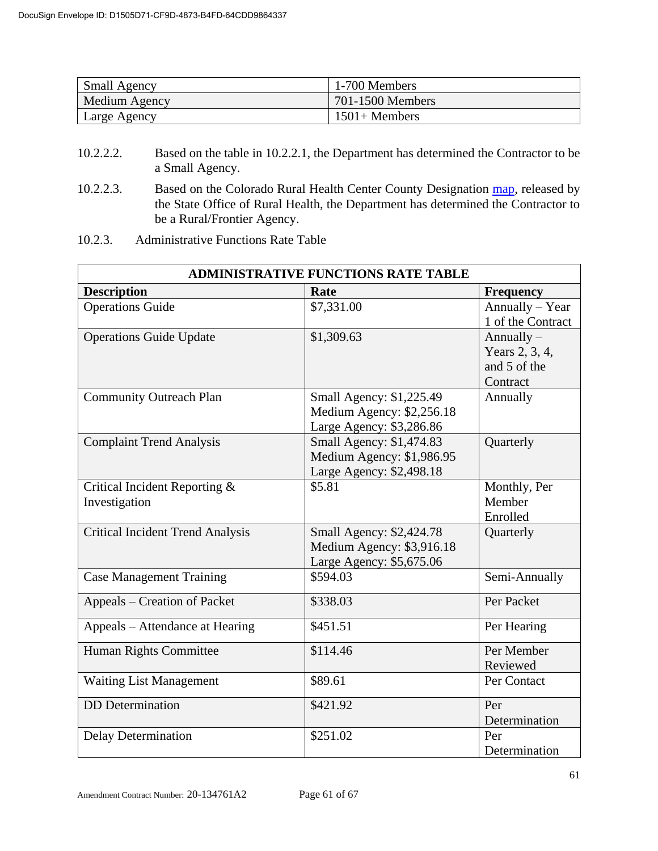| <b>Small Agency</b> | 1-700 Members    |
|---------------------|------------------|
| Medium Agency       | 701-1500 Members |
| Large Agency        | $1501 +$ Members |

- 10.2.2.2. Based on the table in 10.2.2.1, the Department has determined the Contractor to be a Small Agency.
- 10.2.2.3. Based on the Colorado Rural Health Center County Designation [map,](https://coruralhealth.org/resources/maps-resource) released by the State Office of Rural Health, the Department has determined the Contractor to be a Rural/Frontier Agency.
- 10.2.3. Administrative Functions Rate Table

| <b>ADMINISTRATIVE FUNCTIONS RATE TABLE</b>     |                                                                                   |                                                            |  |
|------------------------------------------------|-----------------------------------------------------------------------------------|------------------------------------------------------------|--|
| <b>Description</b>                             | Rate                                                                              | <b>Frequency</b>                                           |  |
| <b>Operations Guide</b>                        | \$7,331.00                                                                        | Annually - Year<br>1 of the Contract                       |  |
| <b>Operations Guide Update</b>                 | \$1,309.63                                                                        | Annually $-$<br>Years 2, 3, 4,<br>and 5 of the<br>Contract |  |
| <b>Community Outreach Plan</b>                 | Small Agency: \$1,225.49<br>Medium Agency: \$2,256.18<br>Large Agency: \$3,286.86 | Annually                                                   |  |
| <b>Complaint Trend Analysis</b>                | Small Agency: \$1,474.83<br>Medium Agency: \$1,986.95<br>Large Agency: \$2,498.18 | Quarterly                                                  |  |
| Critical Incident Reporting &<br>Investigation | \$5.81                                                                            | Monthly, Per<br>Member<br>Enrolled                         |  |
| <b>Critical Incident Trend Analysis</b>        | Small Agency: \$2,424.78<br>Medium Agency: \$3,916.18<br>Large Agency: \$5,675.06 | Quarterly                                                  |  |
| <b>Case Management Training</b>                | \$594.03                                                                          | Semi-Annually                                              |  |
| Appeals – Creation of Packet                   | \$338.03                                                                          | Per Packet                                                 |  |
| Appeals – Attendance at Hearing                | \$451.51                                                                          | Per Hearing                                                |  |
| Human Rights Committee                         | \$114.46                                                                          | Per Member<br>Reviewed                                     |  |
| <b>Waiting List Management</b>                 | \$89.61                                                                           | Per Contact                                                |  |
| <b>DD</b> Determination                        | \$421.92                                                                          | Per<br>Determination                                       |  |
| <b>Delay Determination</b>                     | \$251.02                                                                          | Per<br>Determination                                       |  |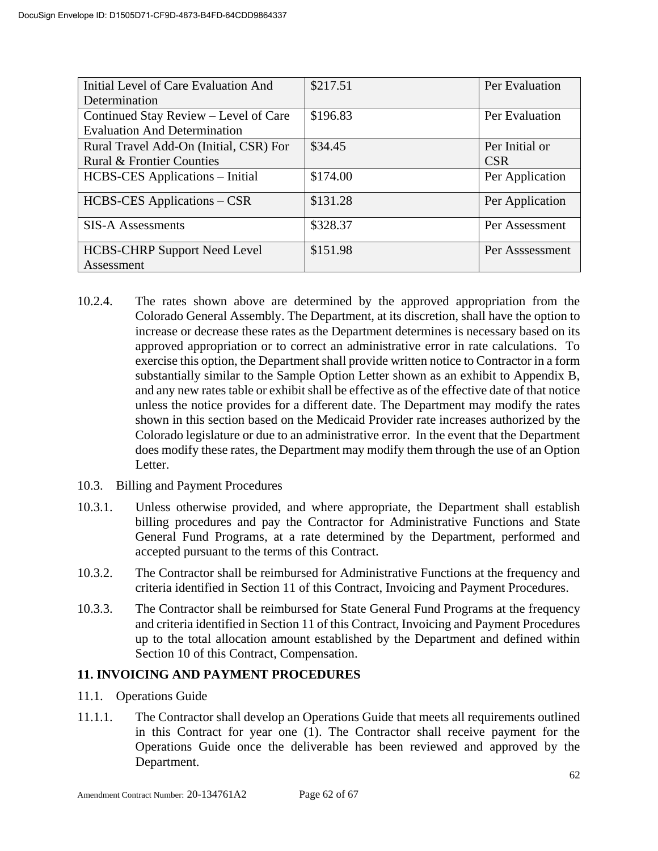| Initial Level of Care Evaluation And   | \$217.51 | Per Evaluation  |
|----------------------------------------|----------|-----------------|
| Determination                          |          |                 |
| Continued Stay Review – Level of Care  | \$196.83 | Per Evaluation  |
| <b>Evaluation And Determination</b>    |          |                 |
| Rural Travel Add-On (Initial, CSR) For | \$34.45  | Per Initial or  |
| <b>Rural &amp; Frontier Counties</b>   |          | <b>CSR</b>      |
| <b>HCBS-CES</b> Applications – Initial | \$174.00 | Per Application |
| HCBS-CES Applications – CSR            | \$131.28 | Per Application |
| <b>SIS-A Assessments</b>               | \$328.37 | Per Assessment  |
| <b>HCBS-CHRP Support Need Level</b>    | \$151.98 | Per Asssessment |
| Assessment                             |          |                 |

- 10.2.4. The rates shown above are determined by the approved appropriation from the Colorado General Assembly. The Department, at its discretion, shall have the option to increase or decrease these rates as the Department determines is necessary based on its approved appropriation or to correct an administrative error in rate calculations. To exercise this option, the Department shall provide written notice to Contractor in a form substantially similar to the Sample Option Letter shown as an exhibit to Appendix B, and any new rates table or exhibit shall be effective as of the effective date of that notice unless the notice provides for a different date. The Department may modify the rates shown in this section based on the Medicaid Provider rate increases authorized by the Colorado legislature or due to an administrative error. In the event that the Department does modify these rates, the Department may modify them through the use of an Option Letter.
- 10.3. Billing and Payment Procedures
- 10.3.1. Unless otherwise provided, and where appropriate, the Department shall establish billing procedures and pay the Contractor for Administrative Functions and State General Fund Programs, at a rate determined by the Department, performed and accepted pursuant to the terms of this Contract.
- 10.3.2. The Contractor shall be reimbursed for Administrative Functions at the frequency and criteria identified in Section 11 of this Contract, Invoicing and Payment Procedures.
- 10.3.3. The Contractor shall be reimbursed for State General Fund Programs at the frequency and criteria identified in Section 11 of this Contract, Invoicing and Payment Procedures up to the total allocation amount established by the Department and defined within Section 10 of this Contract, Compensation.

#### **11. INVOICING AND PAYMENT PROCEDURES**

- 11.1. Operations Guide
- 11.1.1. The Contractor shall develop an Operations Guide that meets all requirements outlined in this Contract for year one (1). The Contractor shall receive payment for the Operations Guide once the deliverable has been reviewed and approved by the Department.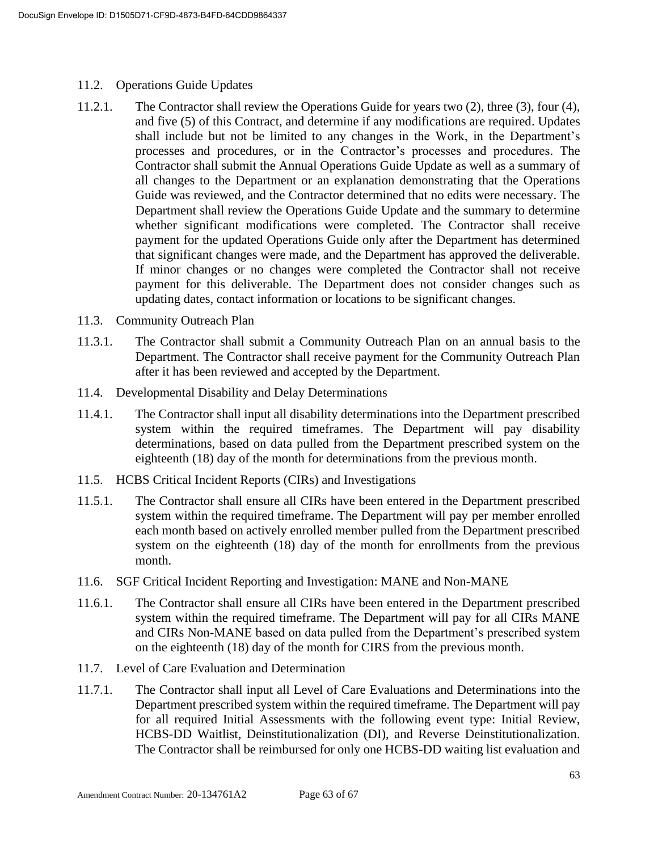- 11.2. Operations Guide Updates
- 11.2.1. The Contractor shall review the Operations Guide for years two (2), three (3), four (4), and five (5) of this Contract, and determine if any modifications are required. Updates shall include but not be limited to any changes in the Work, in the Department's processes and procedures, or in the Contractor's processes and procedures. The Contractor shall submit the Annual Operations Guide Update as well as a summary of all changes to the Department or an explanation demonstrating that the Operations Guide was reviewed, and the Contractor determined that no edits were necessary. The Department shall review the Operations Guide Update and the summary to determine whether significant modifications were completed. The Contractor shall receive payment for the updated Operations Guide only after the Department has determined that significant changes were made, and the Department has approved the deliverable. If minor changes or no changes were completed the Contractor shall not receive payment for this deliverable. The Department does not consider changes such as updating dates, contact information or locations to be significant changes.
- 11.3. Community Outreach Plan
- 11.3.1. The Contractor shall submit a Community Outreach Plan on an annual basis to the Department. The Contractor shall receive payment for the Community Outreach Plan after it has been reviewed and accepted by the Department.
- 11.4. Developmental Disability and Delay Determinations
- 11.4.1. The Contractor shall input all disability determinations into the Department prescribed system within the required timeframes. The Department will pay disability determinations, based on data pulled from the Department prescribed system on the eighteenth (18) day of the month for determinations from the previous month.
- 11.5. HCBS Critical Incident Reports (CIRs) and Investigations
- 11.5.1. The Contractor shall ensure all CIRs have been entered in the Department prescribed system within the required timeframe. The Department will pay per member enrolled each month based on actively enrolled member pulled from the Department prescribed system on the eighteenth (18) day of the month for enrollments from the previous month.
- 11.6. SGF Critical Incident Reporting and Investigation: MANE and Non-MANE
- 11.6.1. The Contractor shall ensure all CIRs have been entered in the Department prescribed system within the required timeframe. The Department will pay for all CIRs MANE and CIRs Non-MANE based on data pulled from the Department's prescribed system on the eighteenth (18) day of the month for CIRS from the previous month.
- 11.7. Level of Care Evaluation and Determination
- 11.7.1. The Contractor shall input all Level of Care Evaluations and Determinations into the Department prescribed system within the required timeframe. The Department will pay for all required Initial Assessments with the following event type: Initial Review, HCBS-DD Waitlist, Deinstitutionalization (DI), and Reverse Deinstitutionalization. The Contractor shall be reimbursed for only one HCBS-DD waiting list evaluation and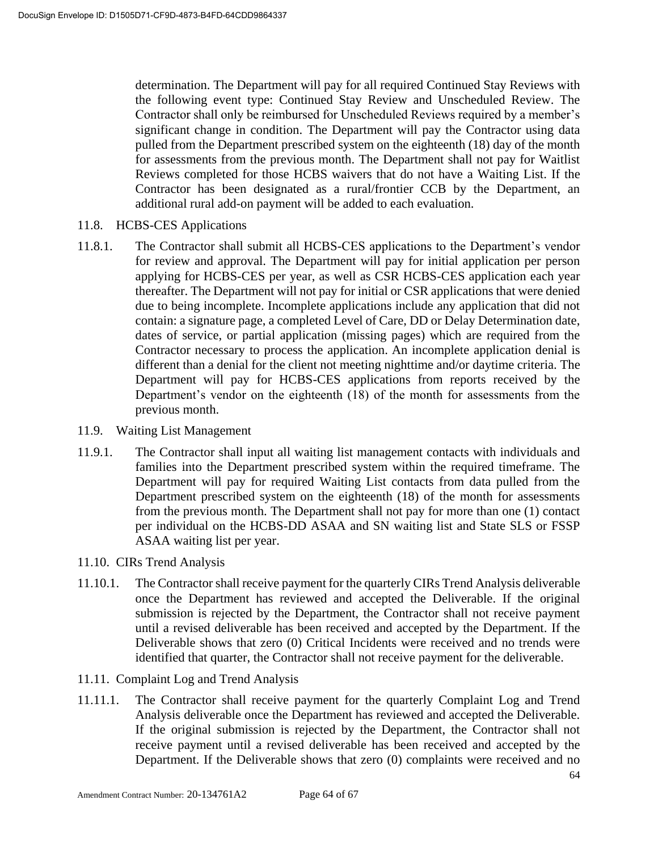determination. The Department will pay for all required Continued Stay Reviews with the following event type: Continued Stay Review and Unscheduled Review. The Contractor shall only be reimbursed for Unscheduled Reviews required by a member's significant change in condition. The Department will pay the Contractor using data pulled from the Department prescribed system on the eighteenth (18) day of the month for assessments from the previous month. The Department shall not pay for Waitlist Reviews completed for those HCBS waivers that do not have a Waiting List. If the Contractor has been designated as a rural/frontier CCB by the Department, an additional rural add-on payment will be added to each evaluation.

- 11.8. HCBS-CES Applications
- 11.8.1. The Contractor shall submit all HCBS-CES applications to the Department's vendor for review and approval. The Department will pay for initial application per person applying for HCBS-CES per year, as well as CSR HCBS-CES application each year thereafter. The Department will not pay for initial or CSR applications that were denied due to being incomplete. Incomplete applications include any application that did not contain: a signature page, a completed Level of Care, DD or Delay Determination date, dates of service, or partial application (missing pages) which are required from the Contractor necessary to process the application. An incomplete application denial is different than a denial for the client not meeting nighttime and/or daytime criteria. The Department will pay for HCBS-CES applications from reports received by the Department's vendor on the eighteenth (18) of the month for assessments from the previous month.
- 11.9. Waiting List Management
- 11.9.1. The Contractor shall input all waiting list management contacts with individuals and families into the Department prescribed system within the required timeframe. The Department will pay for required Waiting List contacts from data pulled from the Department prescribed system on the eighteenth (18) of the month for assessments from the previous month. The Department shall not pay for more than one (1) contact per individual on the HCBS-DD ASAA and SN waiting list and State SLS or FSSP ASAA waiting list per year.
- 11.10. CIRs Trend Analysis
- 11.10.1. The Contractor shall receive payment for the quarterly CIRs Trend Analysis deliverable once the Department has reviewed and accepted the Deliverable. If the original submission is rejected by the Department, the Contractor shall not receive payment until a revised deliverable has been received and accepted by the Department. If the Deliverable shows that zero (0) Critical Incidents were received and no trends were identified that quarter, the Contractor shall not receive payment for the deliverable.
- 11.11. Complaint Log and Trend Analysis
- 11.11.1. The Contractor shall receive payment for the quarterly Complaint Log and Trend Analysis deliverable once the Department has reviewed and accepted the Deliverable. If the original submission is rejected by the Department, the Contractor shall not receive payment until a revised deliverable has been received and accepted by the Department. If the Deliverable shows that zero (0) complaints were received and no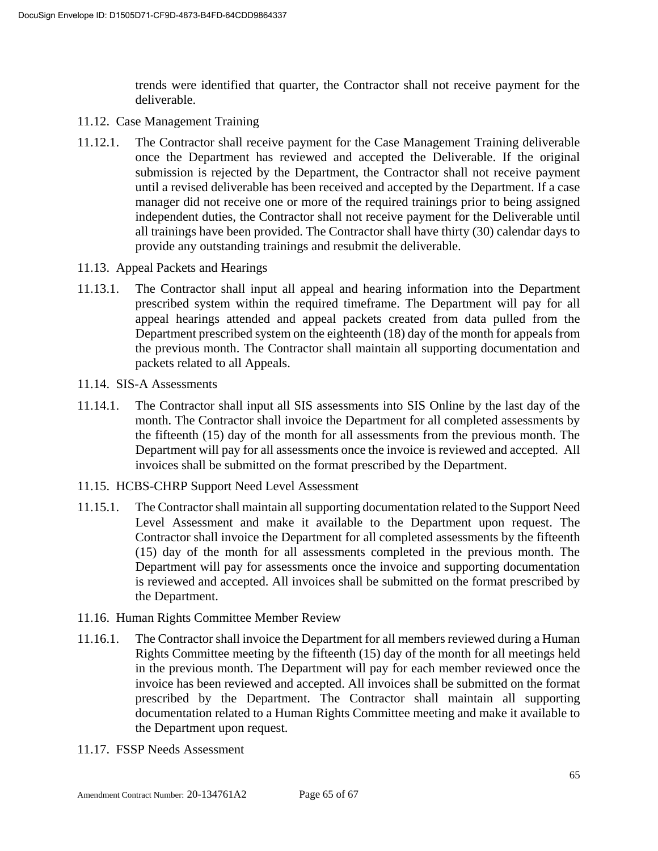trends were identified that quarter, the Contractor shall not receive payment for the deliverable.

- 11.12. Case Management Training
- 11.12.1. The Contractor shall receive payment for the Case Management Training deliverable once the Department has reviewed and accepted the Deliverable. If the original submission is rejected by the Department, the Contractor shall not receive payment until a revised deliverable has been received and accepted by the Department. If a case manager did not receive one or more of the required trainings prior to being assigned independent duties, the Contractor shall not receive payment for the Deliverable until all trainings have been provided. The Contractor shall have thirty (30) calendar days to provide any outstanding trainings and resubmit the deliverable.
- 11.13. Appeal Packets and Hearings
- 11.13.1. The Contractor shall input all appeal and hearing information into the Department prescribed system within the required timeframe. The Department will pay for all appeal hearings attended and appeal packets created from data pulled from the Department prescribed system on the eighteenth (18) day of the month for appeals from the previous month. The Contractor shall maintain all supporting documentation and packets related to all Appeals.
- 11.14. SIS-A Assessments
- 11.14.1. The Contractor shall input all SIS assessments into SIS Online by the last day of the month. The Contractor shall invoice the Department for all completed assessments by the fifteenth (15) day of the month for all assessments from the previous month. The Department will pay for all assessments once the invoice is reviewed and accepted. All invoices shall be submitted on the format prescribed by the Department.
- 11.15. HCBS-CHRP Support Need Level Assessment
- 11.15.1. The Contractor shall maintain all supporting documentation related to the Support Need Level Assessment and make it available to the Department upon request. The Contractor shall invoice the Department for all completed assessments by the fifteenth (15) day of the month for all assessments completed in the previous month. The Department will pay for assessments once the invoice and supporting documentation is reviewed and accepted. All invoices shall be submitted on the format prescribed by the Department.
- 11.16. Human Rights Committee Member Review
- 11.16.1. The Contractor shall invoice the Department for all members reviewed during a Human Rights Committee meeting by the fifteenth (15) day of the month for all meetings held in the previous month. The Department will pay for each member reviewed once the invoice has been reviewed and accepted. All invoices shall be submitted on the format prescribed by the Department. The Contractor shall maintain all supporting documentation related to a Human Rights Committee meeting and make it available to the Department upon request.
- 11.17. FSSP Needs Assessment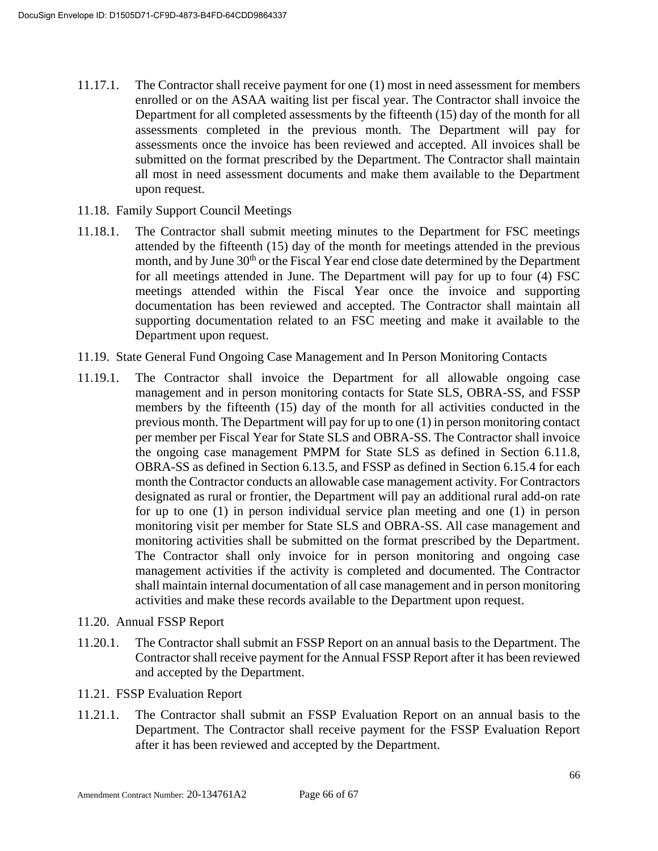- 11.17.1. The Contractor shall receive payment for one (1) most in need assessment for members enrolled or on the ASAA waiting list per fiscal year. The Contractor shall invoice the Department for all completed assessments by the fifteenth (15) day of the month for all assessments completed in the previous month. The Department will pay for assessments once the invoice has been reviewed and accepted. All invoices shall be submitted on the format prescribed by the Department. The Contractor shall maintain all most in need assessment documents and make them available to the Department upon request.
- 11.18. Family Support Council Meetings
- 11.18.1. The Contractor shall submit meeting minutes to the Department for FSC meetings attended by the fifteenth (15) day of the month for meetings attended in the previous month, and by June 30<sup>th</sup> or the Fiscal Year end close date determined by the Department for all meetings attended in June. The Department will pay for up to four (4) FSC meetings attended within the Fiscal Year once the invoice and supporting documentation has been reviewed and accepted. The Contractor shall maintain all supporting documentation related to an FSC meeting and make it available to the Department upon request.
- 11.19. State General Fund Ongoing Case Management and In Person Monitoring Contacts
- 11.19.1. The Contractor shall invoice the Department for all allowable ongoing case management and in person monitoring contacts for State SLS, OBRA-SS, and FSSP members by the fifteenth (15) day of the month for all activities conducted in the previous month. The Department will pay for up to one (1) in person monitoring contact per member per Fiscal Year for State SLS and OBRA-SS. The Contractor shall invoice the ongoing case management PMPM for State SLS as defined in Section 6.11.8, OBRA-SS as defined in Section 6.13.5, and FSSP as defined in Section 6.15.4 for each month the Contractor conducts an allowable case management activity. For Contractors designated as rural or frontier, the Department will pay an additional rural add-on rate for up to one (1) in person individual service plan meeting and one (1) in person monitoring visit per member for State SLS and OBRA-SS. All case management and monitoring activities shall be submitted on the format prescribed by the Department. The Contractor shall only invoice for in person monitoring and ongoing case management activities if the activity is completed and documented. The Contractor shall maintain internal documentation of all case management and in person monitoring activities and make these records available to the Department upon request.
- 11.20. Annual FSSP Report
- 11.20.1. The Contractor shall submit an FSSP Report on an annual basis to the Department. The Contractor shall receive payment for the Annual FSSP Report after it has been reviewed and accepted by the Department.
- 11.21. FSSP Evaluation Report
- 11.21.1. The Contractor shall submit an FSSP Evaluation Report on an annual basis to the Department. The Contractor shall receive payment for the FSSP Evaluation Report after it has been reviewed and accepted by the Department.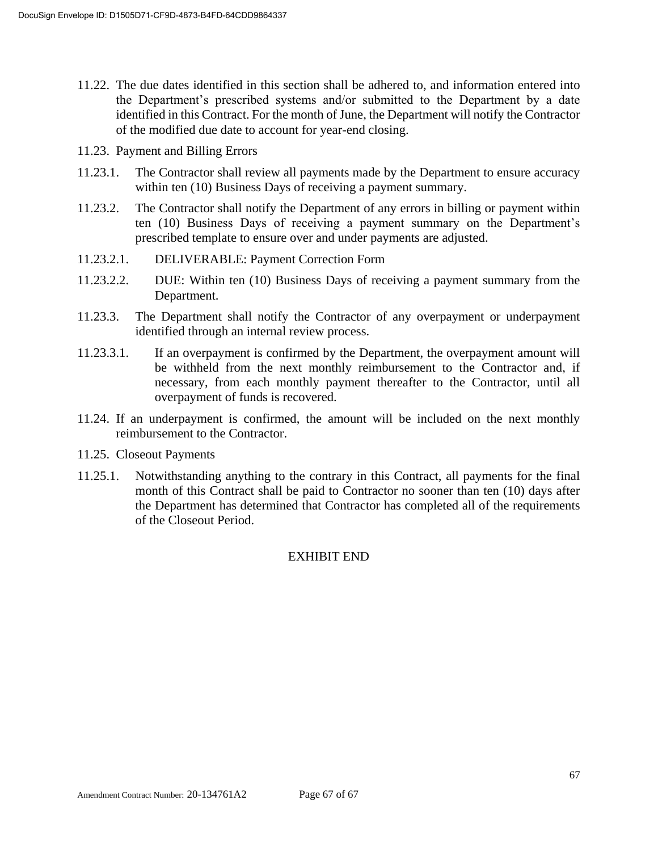- 11.22. The due dates identified in this section shall be adhered to, and information entered into the Department's prescribed systems and/or submitted to the Department by a date identified in this Contract. For the month of June, the Department will notify the Contractor of the modified due date to account for year-end closing.
- 11.23. Payment and Billing Errors
- 11.23.1. The Contractor shall review all payments made by the Department to ensure accuracy within ten (10) Business Days of receiving a payment summary.
- 11.23.2. The Contractor shall notify the Department of any errors in billing or payment within ten (10) Business Days of receiving a payment summary on the Department's prescribed template to ensure over and under payments are adjusted.
- 11.23.2.1. DELIVERABLE: Payment Correction Form
- 11.23.2.2. DUE: Within ten (10) Business Days of receiving a payment summary from the Department.
- 11.23.3. The Department shall notify the Contractor of any overpayment or underpayment identified through an internal review process.
- 11.23.3.1. If an overpayment is confirmed by the Department, the overpayment amount will be withheld from the next monthly reimbursement to the Contractor and, if necessary, from each monthly payment thereafter to the Contractor, until all overpayment of funds is recovered.
- 11.24. If an underpayment is confirmed, the amount will be included on the next monthly reimbursement to the Contractor.
- 11.25. Closeout Payments
- 11.25.1. Notwithstanding anything to the contrary in this Contract, all payments for the final month of this Contract shall be paid to Contractor no sooner than ten (10) days after the Department has determined that Contractor has completed all of the requirements of the Closeout Period.

#### EXHIBIT END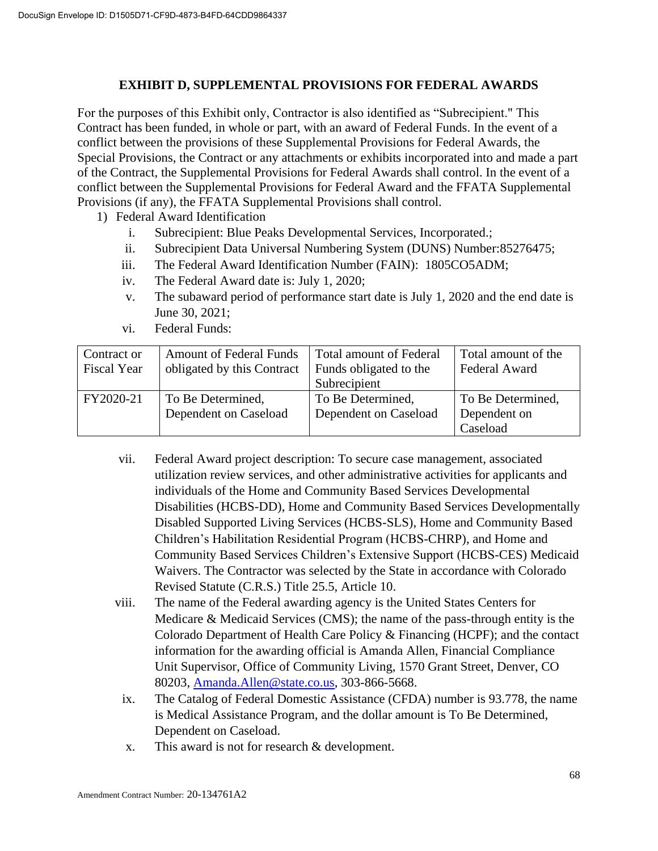## **EXHIBIT D, SUPPLEMENTAL PROVISIONS FOR FEDERAL AWARDS**

For the purposes of this Exhibit only, Contractor is also identified as "Subrecipient." This Contract has been funded, in whole or part, with an award of Federal Funds. In the event of a conflict between the provisions of these Supplemental Provisions for Federal Awards, the Special Provisions, the Contract or any attachments or exhibits incorporated into and made a part of the Contract, the Supplemental Provisions for Federal Awards shall control. In the event of a conflict between the Supplemental Provisions for Federal Award and the FFATA Supplemental Provisions (if any), the FFATA Supplemental Provisions shall control.

- 1) Federal Award Identification
	- i. Subrecipient: Blue Peaks Developmental Services, Incorporated.;
	- ii. Subrecipient Data Universal Numbering System (DUNS) Number:85276475;
	- iii. The Federal Award Identification Number (FAIN): 1805CO5ADM;
	- iv. The Federal Award date is: July 1, 2020;
	- v. The subaward period of performance start date is July 1, 2020 and the end date is June 30, 2021;
	- vi. Federal Funds:

| Contract or<br><b>Fiscal Year</b> | <b>Amount of Federal Funds</b><br>obligated by this Contract | <b>Total amount of Federal</b><br>Funds obligated to the | Total amount of the<br>Federal Award |
|-----------------------------------|--------------------------------------------------------------|----------------------------------------------------------|--------------------------------------|
|                                   |                                                              | Subrecipient                                             |                                      |
| FY2020-21                         | To Be Determined,                                            | To Be Determined,                                        | To Be Determined,                    |
|                                   | Dependent on Caseload                                        | Dependent on Caseload                                    | Dependent on                         |
|                                   |                                                              |                                                          | Caseload                             |

- vii. Federal Award project description: To secure case management, associated utilization review services, and other administrative activities for applicants and individuals of the Home and Community Based Services Developmental Disabilities (HCBS-DD), Home and Community Based Services Developmentally Disabled Supported Living Services (HCBS-SLS), Home and Community Based Children's Habilitation Residential Program (HCBS-CHRP), and Home and Community Based Services Children's Extensive Support (HCBS-CES) Medicaid Waivers. The Contractor was selected by the State in accordance with Colorado Revised Statute (C.R.S.) Title 25.5, Article 10.
- viii. The name of the Federal awarding agency is the United States Centers for Medicare & Medicaid Services (CMS); the name of the pass-through entity is the Colorado Department of Health Care Policy & Financing (HCPF); and the contact information for the awarding official is Amanda Allen, Financial Compliance Unit Supervisor, Office of Community Living, 1570 Grant Street, Denver, CO 80203, [Amanda.Allen@state.co.us,](mailto:Amanda.Allen@state.co.us) 303-866-5668.
	- ix. The Catalog of Federal Domestic Assistance (CFDA) number is 93.778, the name is Medical Assistance Program, and the dollar amount is To Be Determined, Dependent on Caseload.
	- x. This award is not for research & development.